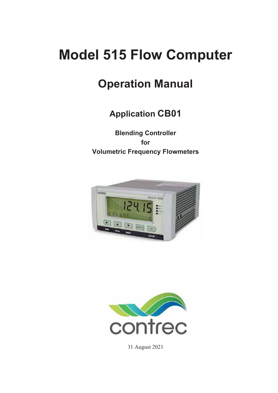# **Model 515 Flow Computer**

# **Operation Manual**

**Application CB01**

**Blending Controller for Volumetric Frequency Flowmeters**





31 August 2021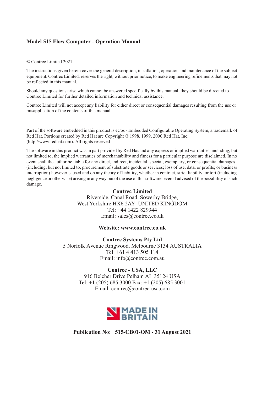#### **Model 515 Flow Computer - Operation Manual**

#### © Contrec Limited 2021

The instructions given herein cover the general description, installation, operation and maintenance of the subject equipment. Contrec Limited. reserves the right, without prior notice, to make engineering refinements that may not be reflected in this manual.

Should any questions arise which cannot be answered specifically by this manual, they should be directed to Contrec Limited for further detailed information and technical assistance.

Contrec Limited will not accept any liability for either direct or consequential damages resulting from the use or misapplication of the contents of this manual.

Part of the software embedded in this product is eCos - Embedded Configurable Operating System, a trademark of Red Hat. Portions created by Red Hat are Copyright © 1998, 1999, 2000 Red Hat, Inc. (http://www.redhat.com). All rights reserved

The software in this product was in part provided by Red Hat and any express or implied warranties, including, but not limited to, the implied warranties of merchantability and fitness for a particular purpose are disclaimed. In no event shall the author be liable for any direct, indirect, incidental, special, exemplary, or consequential damages (including, but not limited to, procurement of substitute goods or services; loss of use, data, or profits; or business interruption) however caused and on any theory of liability, whether in contract, strict liability, or tort (including negligence or otherwise) arising in any way out of the use of this software, even if advised of the possibility of such damage.

#### **Contrec Limited**

Riverside, Canal Road, Sowerby Bridge, West Yorkshire HX6 2AY UNITED KINGDOM Tel: +44 1422 829944 Email: sales@contrec.co.uk

#### **Website: www.contrec.co.uk**

**Contrec Systems Pty Ltd** 5 Norfolk Avenue Ringwood, Melbourne 3134 AUSTRALIA Tel: +61 4 413 505 114 Email: info@contrec.com.au

## **Contrec - USA, LLC**

916 Belcher Drive Pelham AL 35124 USA Tel: +1 (205) 685 3000 Fax: +1 (205) 685 3001 Email: contrec@contrec-usa.com



**Publication No: 515-CB01-OM - 31 August 2021**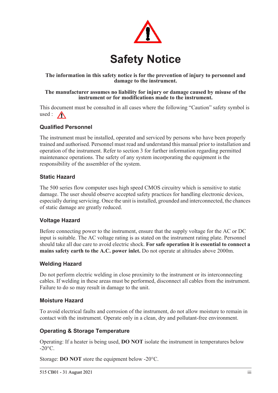

#### **The information in this safety notice is for the prevention of injury to personnel and damage to the instrument.**

#### **The manufacturer assumes no liability for injury or damage caused by misuse of the instrument or for modifications made to the instrument.**

This document must be consulted in all cases where the following "Caution" safety symbol is used :  $\bigwedge$ 

### **Qualified Personnel**

The instrument must be installed, operated and serviced by persons who have been properly trained and authorised. Personnel must read and understand this manual prior to installation and operation of the instrument. Refer to section 3 for further information regarding permitted maintenance operations. The safety of any system incorporating the equipment is the responsibility of the assembler of the system.

#### **Static Hazard**

The 500 series flow computer uses high speed CMOS circuitry which is sensitive to static damage. The user should observe accepted safety practices for handling electronic devices, especially during servicing. Once the unit is installed, grounded and interconnected, the chances of static damage are greatly reduced.

#### **Voltage Hazard**

Before connecting power to the instrument, ensure that the supply voltage for the AC or DC input is suitable. The AC voltage rating is as stated on the instrument rating plate. Personnel should take all due care to avoid electric shock. **For safe operation it is essential to connect a mains safety earth to the A.C. power inlet.** Do not operate at altitudes above 2000m.

#### **Welding Hazard**

Do not perform electric welding in close proximity to the instrument or its interconnecting cables. If welding in these areas must be performed, disconnect all cables from the instrument. Failure to do so may result in damage to the unit.

#### **Moisture Hazard**

To avoid electrical faults and corrosion of the instrument, do not allow moisture to remain in contact with the instrument. Operate only in a clean, dry and pollutant-free environment.

#### **Operating & Storage Temperature**

Operating: If a heater is being used, **DO NOT** isolate the instrument in temperatures below  $-20^{\circ}$ C.

Storage: **DO NOT** store the equipment below -20°C.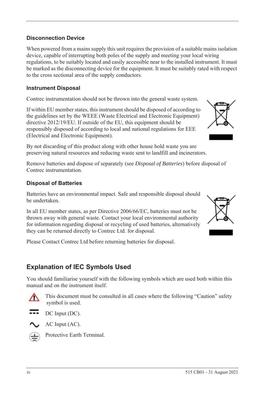#### **Disconnection Device**

When powered from a mains supply this unit requires the provision of a suitable mains isolation device, capable of interrupting both poles of the supply and meeting your local wiring regulations, to be suitably located and easily accessible near to the installed instrument. It must be marked as the disconnecting device for the equipment. It must be suitably rated with respect to the cross sectional area of the supply conductors.

#### **Instrument Disposal**

Contrec instrumentation should not be thrown into the general waste system.

If within EU member states, this instrument should be disposed of according to the guidelines set by the WEEE (Waste Electrical and Electronic Equipment) directive 2012/19/EU. If outside of the EU, this equipment should be responsibly disposed of according to local and national regulations for EEE (Electrical and Electronic Equipment).

By not discarding of this product along with other house hold waste you are preserving natural resources and reducing waste sent to landfill and incinerators.

Remove batteries and dispose of separately (see *Disposal of Batteries*) before disposal of Contrec instrumentation.

#### **Disposal of Batteries**

Batteries have an environmental impact. Safe and responsible disposal should be undertaken.

In all EU member states, as per Directive 2006/66/EC, batteries must not be thrown away with general waste. Contact your local environmental authority for information regarding disposal or recycling of used batteries, alternatively they can be returned directly to Contrec Ltd. for disposal.

Please Contact Contrec Ltd before returning batteries for disposal.

## **Explanation of IEC Symbols Used**

You should familiarise yourself with the following symbols which are used both within this manual and on the instrument itself.



 This document must be consulted in all cases where the following "Caution" safety symbol is used.





AC Input (AC).



Protective Earth Terminal.



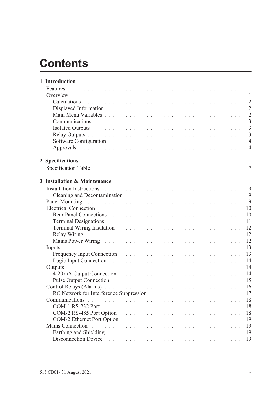# **Contents**

| 1 Introduction                                                                                                                                                                                                                       |  |
|--------------------------------------------------------------------------------------------------------------------------------------------------------------------------------------------------------------------------------------|--|
| Features<br>. The contract of the contract of the contract of the contract of the contract of $\mathcal{A}$                                                                                                                          |  |
|                                                                                                                                                                                                                                      |  |
| Calculations de la commune de la commune de la commune de la commune de la commune de 2                                                                                                                                              |  |
| Displayed Information and a contract of the contract of the contract of the contract of the contract of the contract of the contract of the contract of the contract of the contract of the contract of the contract of the co       |  |
|                                                                                                                                                                                                                                      |  |
| Communications research and containing the contract of the contract of the contract of the 3                                                                                                                                         |  |
| Isolated Outputs and a contract the contract of the contract of the contract of the contract of the 3                                                                                                                                |  |
|                                                                                                                                                                                                                                      |  |
|                                                                                                                                                                                                                                      |  |
| Approvals received a construction of the contract of the construction of 4                                                                                                                                                           |  |
|                                                                                                                                                                                                                                      |  |
| 2 Specifications                                                                                                                                                                                                                     |  |
|                                                                                                                                                                                                                                      |  |
| 3 Installation & Maintenance                                                                                                                                                                                                         |  |
| <b>Installation Instructions</b>                                                                                                                                                                                                     |  |
| Cleaning and Decontamination and the contract of the contract of the contract of the state of the Second Second Second Second Second Second Second Second Second Second Second Second Second Second Second Second Second Secon       |  |
| Panel Mounting received a contract of the contract of the contract of the contract of the P                                                                                                                                          |  |
| Electrical Connection and the set of the set of the set of the set of the set of the set of the set of the set of the set of the set of the set of the set of the set of the set of the set of the set of the set of the set o       |  |
| Rear Panel Connections and a constant of the contract of the contract of the contract of the contract of the contract of the contract of the contract of the contract of the contract of the contract of the contract of the c       |  |
| 11<br>Terminal Designations and a contract the contract of the contract of the contract of the contract of the contract of the contract of the contract of the contract of the contract of the contract of the contract of the contr |  |
| 12<br>Terminal Wiring Insulation and a contract of the contract of the contract of the contract of the contract of the contract of the contract of the contract of the contract of the contract of the contract of the contract of t |  |
| 12<br>Relay Wiring The Late and Late and Late and Late and Late and Late and Late and                                                                                                                                                |  |
| 12<br>Mains Power Wiring Mathews Allen and Allen and Allen and Allen and Allen and Allen and Allen and Allen and Allen                                                                                                               |  |
| 13<br>.<br>In the second complete the second complete the second complete the second complete the second complete the second<br>Inputs                                                                                               |  |
| 13<br>Frequency Input Connection and a contract the contract of the contract of the contract of the contract of the contract of the contract of the contract of the contract of the contract of the contract of the contract of the  |  |
| 14<br>Logic Input Connection and a construction of the contract of the contract of the contract of the contract of the contract of the contract of the contract of the contract of the contract of the contract of the contract of t |  |
| 14                                                                                                                                                                                                                                   |  |
| 4-20 mA Output Connection and a constant of the contract of the contract of the contract of the contract of the contract of the contract of the contract of the contract of the contract of the contract of the contract of th<br>14 |  |
|                                                                                                                                                                                                                                      |  |
| 16<br>Control Relays (Alarms) and a control of the control of the control of the control of the control of the control of the control of the control of the control of the control of the control of the control of the control of t |  |
| RC Network for Interference Suppression and a substitution of the set of the set of the set of the set of the<br>17                                                                                                                  |  |
| Communications<br>18<br>.<br>In the second complete state of the second complete state of the second complete state of the second complete                                                                                           |  |
| 18<br>COM-1 RS-232 Port                                                                                                                                                                                                              |  |
| COM-2 RS-485 Port Option<br>18<br>.<br>The contract of the contract of the contract of the contract of the contract of the contract of the contract of                                                                               |  |
| 19<br>COM-2 Ethernet Port Option<br>.<br>In de la casa de la casa de la casa de la casa de la casa de la casa de la casa de la casa de la casa de la ca                                                                              |  |
| <b>Mains Connection</b><br>19<br>.<br>In the second complete state of the second complete state of the second complete state of the second complete                                                                                  |  |
| Earthing and Shielding<br>19<br>والمتعاونة والمتعاونة والمتعاونة والمتعاونة والمتعاونة والمتعاونة والمتعاونة والمتعاونة والمتعاونة والمتعاونة                                                                                        |  |
| <b>Disconnection Device</b><br>19                                                                                                                                                                                                    |  |
|                                                                                                                                                                                                                                      |  |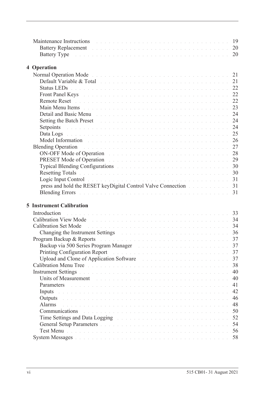| Maintenance Instructions and the contract of the contract of the contract of the contract of the contract of the contract of the contract of the contract of the contract of the contract of the contract of the contract of t | - 19     |
|--------------------------------------------------------------------------------------------------------------------------------------------------------------------------------------------------------------------------------|----------|
| Battery Replacement and a subsequent of the state of the state of the state of the state of the state of the state of the state of the state of the state of the state of the state of the state of the state of the state of  | 20       |
| Battery Type and a substitution of the state of the state of the state of the state of the state of the state of the state of the state of the state of the state of the state of the state of the state of the state of the s | 20       |
|                                                                                                                                                                                                                                |          |
| 4 Operation                                                                                                                                                                                                                    |          |
|                                                                                                                                                                                                                                | 21       |
| Default Variable & Total enterprise and a series of the series of the series of 21                                                                                                                                             |          |
| Status LEDs experiences and the second contract of the second contract of the second contract of the second contract of the second contract of the second contract of the second contract of the second contract of the second |          |
| Front Panel Keys and a contract the contract of the contract of the contract of 22                                                                                                                                             |          |
|                                                                                                                                                                                                                                | 22       |
| Main Menu Items research and contract the contract of the contract of the contract of the contract of the contract of the contract of the contract of the contract of the contract of the contract of the contract of the cont | 23       |
| Detail and Basic Menu recommended to the commence of the community of the community of the community of the community of the community of the community of the community of the community of the community of the community of | 24       |
| <b>Setting the Batch Preset Activities and Setting the Batch Preset Activities and Setting the Batch Preset Activities</b>                                                                                                     | 24       |
|                                                                                                                                                                                                                                |          |
| Data Logs de la componentación de la componentación de la componentación de 25                                                                                                                                                 |          |
| Model Information and the contract of the contract of the contract of the contract of the contract of the contract of the contract of the contract of the contract of the contract of the contract of the contract of the cont |          |
| Blending Operation and the contract of the contract of the contract of the contract of the 27                                                                                                                                  |          |
| ON-OFF Mode of Operation and a substitution of the state of the state of the 28                                                                                                                                                |          |
| PRESET Mode of Operation and a contract the contract of the contract of the 29                                                                                                                                                 |          |
| Typical Blending Configurations and a contract of the contract of the contract of the 30                                                                                                                                       |          |
|                                                                                                                                                                                                                                |          |
| Logic Input Control and an annual contract the contract of the contract of the South of the South of the South of the South of the South of the South of the South of the South of the South of the South of the South of the  |          |
| press and hold the RESET keyDigital Control Valve Connection and the same of 31                                                                                                                                                |          |
| Blending Errors and a contract the contract of the contract of the contract of the 31                                                                                                                                          |          |
|                                                                                                                                                                                                                                |          |
| <b>5 Instrument Calibration</b>                                                                                                                                                                                                |          |
| Introduction                                                                                                                                                                                                                   |          |
| Calibration View Mode and a construction of the construction of the construction of the Calibration of the Calibration of the Calibration of the Calibration of the Calibration of the Calibration of the Calibration of the C | 34       |
| <b>Calibration Set Mode</b><br>.<br>The contract of the contract of the contract of the contract of the contract of the contract of the contract o                                                                             | 34       |
| Changing the Instrument Settings and the contract of the contract of the state of the 36                                                                                                                                       |          |
| Program Backup & Reports and the contract of the contract of the contract of the 27                                                                                                                                            |          |
|                                                                                                                                                                                                                                | 37       |
| Backup via 500 Series Program Manager and a construction of the construction of                                                                                                                                                |          |
| Printing Configuration Report<br>المتعاونة والمتعاونة والمتعاونة والمتعاونة والمتعاونة والمتعاونة والمتعاونة والمتعاونة والمتعاونة والمتعاونة                                                                                  | 37<br>37 |
|                                                                                                                                                                                                                                |          |
| Upload and Clone of Application Software Figure 1 and the set of the set of the set of the set of the set of the set of the set of the set of the set of the set of the set of the set of the set of the set of the set of the |          |
|                                                                                                                                                                                                                                | 38       |
| Instrument Settings and a contract of the contract of the contract of the contract of the contract of the contract of the contract of the contract of the contract of the contract of the contract of the contract of the cont | 40       |
| Units of Measurement                                                                                                                                                                                                           | 40       |
| Parameters<br>in a cardio de la cardio de la cardio de la cardio de la cardio de la cardio de la cardio de la cardio de la                                                                                                     | 41       |
| Inputs<br>in the second contract of the second contract of the second contract of the second contract of the second                                                                                                            | 42       |
| Outputs<br>a constitución de la constitución de la constitución de la constitución de la constitución de la constitución                                                                                                       | 46       |
| Alarms<br>a constitution de la constitución de la constitución de la constitución de la constitución de la constitución                                                                                                        | 48       |
| Communications<br>in the second contract of the contract of the contract of the contract of the contract of                                                                                                                    | 50       |
| Time Settings and Data Logging and Library and the contract of the Settings and Data Logging                                                                                                                                   | 52       |
| General Setup Parameters and a construction of the construction of the construction                                                                                                                                            | 54       |
| Test Menu de la propone de la propone de la propone de la propone de la propone de                                                                                                                                             | 56       |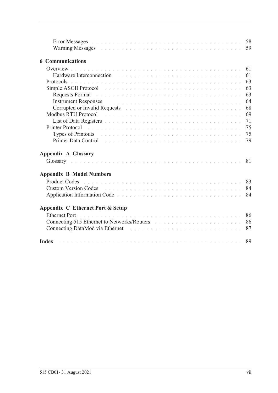| Warning Messages and a contract the contract of the contract of the contract of the contract of the contract of the contract of the contract of the contract of the contract of the contract of the contract of the contract o | 58<br>59 |
|--------------------------------------------------------------------------------------------------------------------------------------------------------------------------------------------------------------------------------|----------|
| <b>6</b> Communications                                                                                                                                                                                                        |          |
|                                                                                                                                                                                                                                | 61       |
| Hardware Interconnection and the contract of the contract of the contract of the contract of the contract of the contract of the contract of the contract of the contract of the contract of the contract of the contract of t | 61       |
| Protocols and an annual contract of the contract of the contract of the contract of the contract of the contract of the contract of the contract of the contract of the contract of the contract of the contract of the contra | 63       |
| Simple ASCII Protocol and a subsequently assumed to the contract of the set of the set of the set of the set of the set of the set of the set of the set of the set of the set of the set of the set of the set of the set of  | 63       |
| Requests Format enterprise the content of the content of the content of the content of the content of the content of the content of the content of the content of the content of the content of the content of the content of  | 63       |
| Instrument Responses and a contract the contract of the contract of the contract of the contract of the contract of the contract of the contract of the contract of the contract of the contract of the contract of the contra | 64       |
| Corrupted or Invalid Requests and the contract of the contract of the contract of the contract of the contract of the contract of the contract of the contract of the contract of the contract of the contract of the contract | 68       |
| Modbus RTU Protocol and the contract of the contract of the contract of the contract of the contract of the contract of the contract of the contract of the contract of the contract of the contract of the contract of the co | 69       |
| List of Data Registers and containing the containing the containing of the containing the contact of the contact of the contact of the contact of the contact of the contact of the contact of the contact of the contact of t | 71       |
| Printer Protocol and a construction of the construction of the construction of the construction of the construction of the construction of the construction of the construction of the construction of the construction of the | 75       |
| Types of Printouts and the contract of the contract of the contract of the contract of the contract of the contract of the contract of the contract of the contract of the contract of the contract of the contract of the con | 75       |
| Printer Data Control and a control of the control of the control of the control of the control of the control of the control of the control of the control of the control of the control of the control of the control of the  | 79       |
| <b>Appendix A Glossary</b>                                                                                                                                                                                                     |          |
| Glossary because the contract of the contract of the contract of the contract of the contract of the contract of the contract of the contract of the contract of the contract of the contract of the contract of the contract  | 81       |
| <b>Appendix B Model Numbers</b>                                                                                                                                                                                                |          |
| Product Codes and an annual contract the contract of the contract of the contract of the contract of the contract of the contract of the contract of the contract of the contract of the contract of the contract of the contr | 83       |
| Custom Version Codes and a contract the contract of the contract of the contract of the contract of the contract of the contract of the contract of the contract of the contract of the contract of the contract of the contra | 84       |
|                                                                                                                                                                                                                                | 84       |
| <b>Appendix C Ethernet Port &amp; Setup</b>                                                                                                                                                                                    |          |
| Ethernet Port and a communication of the communication of the communication of the communication of the communication of the communication of the communication of the communication of the communication of the communication | 86       |
| Connecting 515 Ethernet to Networks/Routers and a substitution of the state of the state of the state of the state of the state of the state of the state of the state of the state of the state of the state of the state of  | 86       |
| Connecting DataMod via Ethernet and a substitution of the set of the set of the set of the set of the set of the set of the set of the set of the set of the set of the set of the set of the set of the set of the set of the | 87       |
| <b>Index</b><br>in de la caractería de la caractería de la caractería de la caractería de la caractería de la caractería de la                                                                                                 | 89       |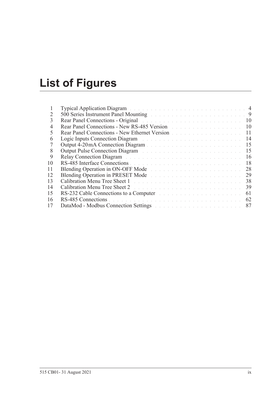# **List of Figures**

| 1                     | <b>Typical Application Diagram</b> and the contract of the contract of the state of the state of the state of the state of the state of the state of the state of the state of the state of the state of the state of the state of  |    |
|-----------------------|-------------------------------------------------------------------------------------------------------------------------------------------------------------------------------------------------------------------------------------|----|
| $\mathcal{D}_{\cdot}$ | 500 Series Instrument Panel Mounting Material Communication of the Series of the Series of the Series of the S                                                                                                                      |    |
| 3                     | <b>Rear Panel Connections - Original</b>                                                                                                                                                                                            |    |
| 4                     | Rear Panel Connections - New RS-485 Version                                                                                                                                                                                         | 10 |
| 5                     | Rear Panel Connections - New Ethernet Version and a substitution of the 11                                                                                                                                                          |    |
| 6                     | Logic Inputs Connection Diagram and a contract the contract of the 14                                                                                                                                                               |    |
|                       | Output 4-20mA Connection Diagram                                                                                                                                                                                                    |    |
| 8                     | Output Pulse Connection Diagram and a connection of the Connection of the Connection of the Connection of the Connection of the Connection of the Connection of the Connection of the Connection of the Connection of the Conn      | 15 |
| 9                     | Relay Connection Diagram and a connection of the connection of the connection of the connection of the connection of the connection of the connection of the connection of the connection of the connection of the connection       | 16 |
| 10                    |                                                                                                                                                                                                                                     |    |
| 11                    | Blending Operation in ON-OFF Mode                                                                                                                                                                                                   |    |
| 12                    | Blending Operation in PRESET Mode                                                                                                                                                                                                   | 29 |
| 13                    | <b>Calibration Menu Tree Sheet 1</b> and the same of the same of the same of the same of the same of the same of the same of the same of the same of the same of the same of the same of the same of the same of the same of the sa |    |
| 14                    | Calibration Menu Tree Sheet 2 and the contract of the contract of the contract of the contract of the contract of the contract of the contract of the contract of the contract of the contract of the contract of the contract      | 39 |
| 15                    | 61<br>RS-232 Cable Connections to a Computer enterprise and a series of the series of the series of the RS-232 Cable Connections to a Computer                                                                                      |    |
| 16                    | RS-485 Connections and a subsequently applied to the contract of the set of the set of the set of the set of the set of the set of the set of the set of the set of the set of the set of the set of the set of the set of the      | 62 |
| 17                    | DataMod - Modbus Connection Settings and the contract of the state of the 87                                                                                                                                                        |    |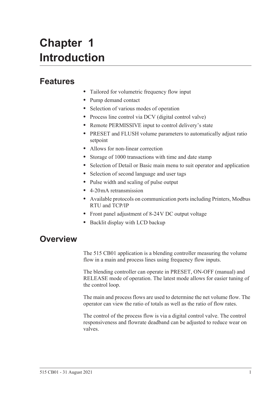# <span id="page-10-0"></span>**Chapter 1 Introduction**

# <span id="page-10-1"></span>**Features**

- Tailored for volumetric frequency flow input
- **•** Pump demand contact
- **•** Selection of various modes of operation
- Process line control via DCV (digital control valve)
- **•** Remote PERMISSIVE input to control delivery's state
- **•** PRESET and FLUSH volume parameters to automatically adjust ratio setpoint
- Allows for non-linear correction
- **•** Storage of 1000 transactions with time and date stamp
- **•** Selection of Detail or Basic main menu to suit operator and application
- **•** Selection of second language and user tags
- **•** Pulse width and scaling of pulse output
- **•** 4-20 mA retransmission
- **•** Available protocols on communication ports including Printers, Modbus RTU and TCP/IP
- **•** Front panel adjustment of 8-24 V DC output voltage
- **•** Backlit display with LCD backup

## <span id="page-10-2"></span>**Overview**

The 515 CB01 application is a blending controller measuring the volume flow in a main and process lines using frequency flow inputs.

The blending controller can operate in PRESET, ON-OFF (manual) and RELEASE mode of operation. The latest mode allows for easier tuning of the control loop.

The main and process flows are used to determine the net volume flow. The operator can view the ratio of totals as well as the ratio of flow rates.

The control of the process flow is via a digital control valve. The control responsiveness and flowrate deadband can be adjusted to reduce wear on valves.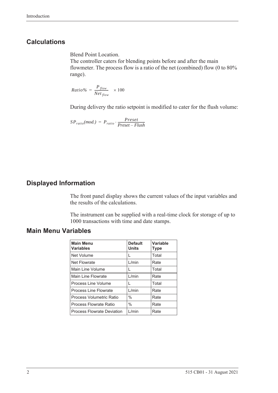## <span id="page-11-0"></span>**Calculations**

Blend Point Location.

The controller caters for blending points before and after the main flowmeter. The process flow is a ratio of the net (combined) flow (0 to 80% range).

$$
Ratio\% = \frac{P_{flow}}{Net_{flow}} \times 100
$$

During delivery the ratio setpoint is modified to cater for the flush volume:

 $SP_{ratio}(mod.) = P_{ratio} \cdot \frac{Present}{Present - Flux}$ 

### <span id="page-11-1"></span>**Displayed Information**

The front panel display shows the current values of the input variables and the results of the calculations.

The instrument can be supplied with a real-time clock for storage of up to 1000 transactions with time and date stamps.

### <span id="page-11-2"></span>**Main Menu Variables**

| Main Menu<br>Variables            | <b>Default</b><br><b>Units</b> | <b>Variable</b><br>Type |
|-----------------------------------|--------------------------------|-------------------------|
| l Net Volume                      |                                | Total                   |
| Net Flowrate                      | L/min                          | Rate                    |
| Main Line Volume                  |                                | Total                   |
| Main Line Flowrate                | L/min                          | Rate                    |
| Process Line Volume               |                                | Total                   |
| <b>Process Line Flowrate</b>      | L/min                          | Rate                    |
| Process Volumetric Ratio          | $\frac{0}{0}$                  | Rate                    |
| Process Flowrate Ratio            | $\%$                           | Rate                    |
| <b>Process Flowrate Deviation</b> | 1/min                          | Rate                    |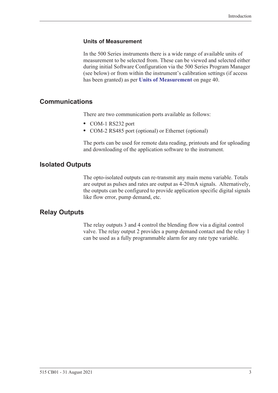#### **Units of Measurement**

In the 500 Series instruments there is a wide range of available units of measurement to be selected from. These can be viewed and selected either during initial Software Configuration via the 500 Series Program Manager (see below) or from within the instrument's calibration settings (if access has been granted) as per **[Units of Measurement](#page-49-2)** on page 40.

#### <span id="page-12-0"></span>**Communications**

There are two communication ports available as follows:

- **•** COM-1 RS232 port
- **•** COM-2 RS485 port (optional) or Ethernet (optional)

The ports can be used for remote data reading, printouts and for uploading and downloading of the application software to the instrument.

#### <span id="page-12-1"></span>**Isolated Outputs**

The opto-isolated outputs can re-transmit any main menu variable. Totals are output as pulses and rates are output as 4-20 mA signals. Alternatively, the outputs can be configured to provide application specific digital signals like flow error, pump demand, etc.

### <span id="page-12-2"></span>**Relay Outputs**

The relay outputs 3 and 4 control the blending flow via a digital control valve. The relay output 2 provides a pump demand contact and the relay 1 can be used as a fully programmable alarm for any rate type variable.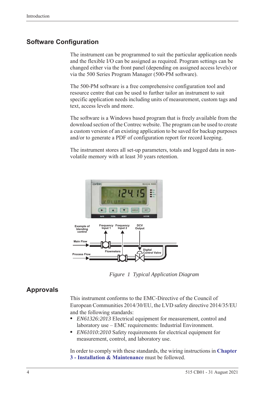### <span id="page-13-0"></span>**Software Configuration**

The instrument can be programmed to suit the particular application needs and the flexible I/O can be assigned as required. Program settings can be changed either via the front panel (depending on assigned access levels) or via the 500 Series Program Manager (500-PM software).

The 500-PM software is a free comprehensive configuration tool and resource centre that can be used to further tailor an instrument to suit specific application needs including units of measurement, custom tags and text, access levels and more.

The software is a Windows based program that is freely available from the download section of the Contrec website. The program can be used to create a custom version of an existing application to be saved for backup purposes and/or to generate a PDF of configuration report for record keeping.

The instrument stores all set-up parameters, totals and logged data in nonvolatile memory with at least 30 years retention.



*Figure 1 Typical Application Diagram*

### <span id="page-13-1"></span>**Approvals**

<span id="page-13-2"></span>This instrument conforms to the EMC-Directive of the Council of European Communities 2014/30/EU, the LVD safety directive 2014/35/EU and the following standards:

- **•** *EN61326:2013* Electrical equipment for measurement, control and laboratory use – EMC requirements: Industrial Environment.
- **•** *EN61010:2010* Safety requirements for electrical equipment for measurement, control, and laboratory use.

In order to comply with these standards, the wiring instructions in **[Chapter](#page-18-5)  [3 - Installation & Maintenance](#page-18-5)** must be followed.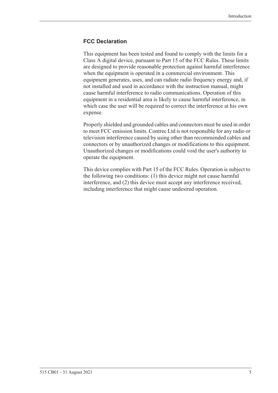#### **FCC Declaration**

This equipment has been tested and found to comply with the limits for a Class A digital device, pursuant to Part 15 of the FCC Rules. These limits are designed to provide reasonable protection against harmful interference when the equipment is operated in a commercial environment. This equipment generates, uses, and can radiate radio frequency energy and, if not installed and used in accordance with the instruction manual, might cause harmful interference to radio communications. Operation of this equipment in a residential area is likely to cause harmful interference, in which case the user will be required to correct the interference at his own expense.

Properly shielded and grounded cables and connectors must be used in order to meet FCC emission limits. Contrec Ltd is not responsible for any radio or television interference caused by using other than recommended cables and connectors or by unauthorized changes or modifications to this equipment. Unauthorized changes or modifications could void the user's authority to operate the equipment.

This device complies with Part 15 of the FCC Rules. Operation is subject to the following two conditions: (1) this device might not cause harmful interference, and (2) this device must accept any interference received, including interference that might cause undesired operation.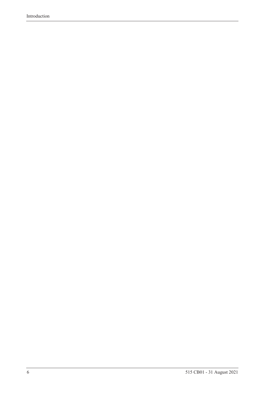Introduction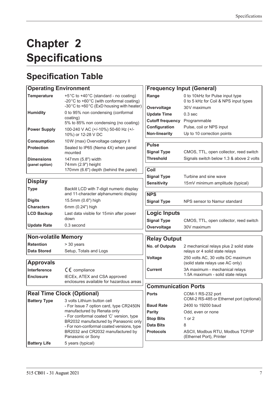# <span id="page-16-0"></span>**Chapter 2 Specifications**

# <span id="page-16-1"></span>**Specification Table**

#### **Operating Environment Temperature**  $+5^{\circ}$ C to  $+40^{\circ}$ C (standard - no coating) -20 °C to +60 °C (with conformal coating) -30 °C to +60 °C (ExD housing with heater) **Humidity** 0 to 95% non condensing (conformal coating) 5% to 85% non condensing (no coating) **Power Supply** 100-240 V AC (+/-10%) 50-60 Hz (+/- 10%) or 12-28 V DC **Consumption** 10W (max) Overvoltage category II **Protection** Sealed to IP65 (Nema 4X) when panel mounted **Dimensions (panel option)** 147 mm (5.8") width 74 mm (2.9") height 170 mm (6.6") depth (behind the panel) **Display Type** Backlit LCD with 7-digit numeric display and 11-character alphanumeric display **Digits** 15.5 mm (0.6") high **Characters** 6 mm (0.24") high **LCD Backup** Last data visible for 15 min after power down **Update Rate** 0.3 second **Non-volatile Memory Retention** > 30 years **Data Stored** Setup, Totals and Logs **Approvals Interference c**  $\epsilon$  compliance **Enclosure IECEX, ATEX and CSA approved** enclosures available for hazardous areas **Real Time Clock (Optional) Battery Type** 3 volts Lithium button cell **Frequency Input (General) Range** 0 to 10 kHz for Pulse input type 0 to 5 kHz for Coil & NPS input types **Overvoltage** 30V maximum **Update Time** 0.3 sec **Cutoff frequency** Programmable **Configuration** Pulse, coil or NPS input **Non-linearity** Up to 10 correction points **Pulse Signal Type** CMOS, TTL, open collector, reed switch **Threshold** Signals switch below 1.3 & above 2 volts **Coil Signal Type** Turbine and sine wave **Sensitivity** 15 mV minimum amplitude (typical) **NPS Signal Type** NPS sensor to Namur standard **Logic Inputs Signal Type** CMOS, TTL, open collector, reed switch **Overvoltage** 30V maximum **Relay Output No. of Outputs** 2 mechanical relays plus 2 solid state relays or 4 solid state relays **Voltage** 250 volts AC, 30 volts DC maximum (solid state relays use AC only) **Current** 3A maximum - mechanical relays 1.5A maximum - solid state relays **Communication Ports** Ports **COM-1 RS-232 port** COM-2 RS-485 or Ethernet port (optional) **Baud**

| <b>Battery Type</b> | 3 volts Lithium button cell<br>- For Issue 7 option card, type CR2450N<br>manufactured by Renata only<br>- For conformal coated 'C' version, type<br>BR2032 manufactured by Panasonic only<br>- For non-conformal coated versions, type<br>BR2032 and CR2032 manufactured by<br>Panasonic or Sony |
|---------------------|---------------------------------------------------------------------------------------------------------------------------------------------------------------------------------------------------------------------------------------------------------------------------------------------------|
| <b>Battery Life</b> | 5 years (typical)                                                                                                                                                                                                                                                                                 |

| <b>Baud Rate</b> | 2400 to 19200 baud                                           |
|------------------|--------------------------------------------------------------|
| <b>Parity</b>    | Odd, even or none                                            |
| <b>Stop Bits</b> | 1 or $2$                                                     |
| <b>Data Bits</b> | 8                                                            |
| <b>Protocols</b> | ASCII, Modbus RTU, Modbus TCP/IP<br>(Ethernet Port), Printer |
|                  |                                                              |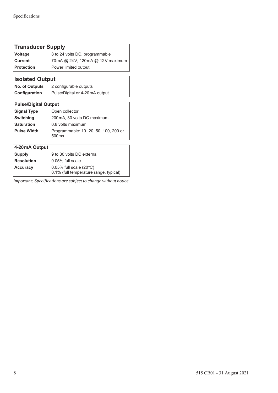| <b>Transducer Supply</b>    |                                                                                |  |  |  |  |
|-----------------------------|--------------------------------------------------------------------------------|--|--|--|--|
| Voltage                     | 8 to 24 volts DC, programmable                                                 |  |  |  |  |
| <b>Current</b>              | 70mA @ 24V, 120mA @ 12V maximum                                                |  |  |  |  |
| <b>Protection</b>           | Power limited output                                                           |  |  |  |  |
|                             |                                                                                |  |  |  |  |
| <b>Isolated Output</b>      |                                                                                |  |  |  |  |
| <b>No. of Outputs</b>       | 2 configurable outputs                                                         |  |  |  |  |
| Configuration               | Pulse/Digital or 4-20 mA output                                                |  |  |  |  |
|                             |                                                                                |  |  |  |  |
| <b>Pulse/Digital Output</b> |                                                                                |  |  |  |  |
| <b>Signal Type</b>          | Open collector                                                                 |  |  |  |  |
| Switching                   | 200 mA. 30 volts DC maximum                                                    |  |  |  |  |
| <b>Saturation</b>           | 0.8 volts maximum                                                              |  |  |  |  |
| <b>Pulse Width</b>          | Programmable: 10, 20, 50, 100, 200 or<br>500ms                                 |  |  |  |  |
| 4-20 mA Output              |                                                                                |  |  |  |  |
| Supply                      | 9 to 30 volts DC external                                                      |  |  |  |  |
| <b>Resolution</b>           | $0.05\%$ full scale                                                            |  |  |  |  |
| <b>Accuracy</b>             | $0.05\%$ full scale (20 $\degree$ C)<br>0.1% (full temperature range, typical) |  |  |  |  |

*Important: Specifications are subject to change without notice.*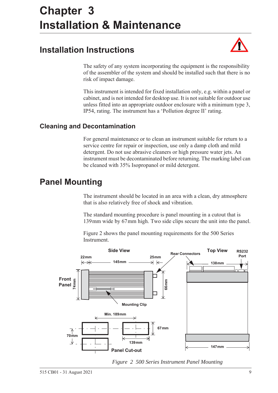# <span id="page-18-5"></span><span id="page-18-0"></span>**Chapter 3 Installation & Maintenance**

## <span id="page-18-1"></span>**Installation Instructions**



The safety of any system incorporating the equipment is the responsibility of the assembler of the system and should be installed such that there is no risk of impact damage.

This instrument is intended for fixed installation only, e.g. within a panel or cabinet, and is not intended for desktop use. It is not suitable for outdoor use unless fitted into an appropriate outdoor enclosure with a minimum type 3, IP54, rating. The instrument has a 'Pollution degree II' rating.

## <span id="page-18-2"></span>**Cleaning and Decontamination**

For general maintenance or to clean an instrument suitable for return to a service centre for repair or inspection, use only a damp cloth and mild detergent. Do not use abrasive cleaners or high pressure water jets. An instrument must be decontaminated before returning. The marking label can be cleaned with 35% Isopropanol or mild detergent.

## <span id="page-18-3"></span>**Panel Mounting**

The instrument should be located in an area with a clean, dry atmosphere that is also relatively free of shock and vibration.

The standard mounting procedure is panel mounting in a cutout that is 139 mm wide by 67 mm high. Two side clips secure the unit into the panel.

[Figure 2](#page-18-4) shows the panel mounting requirements for the 500 Series Instrument.



<span id="page-18-4"></span>*Figure 2 500 Series Instrument Panel Mounting*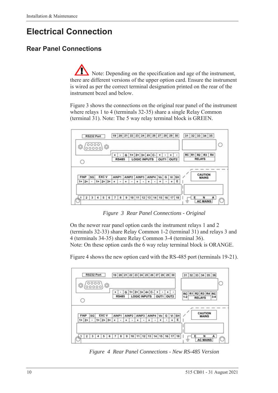# <span id="page-19-0"></span>**Electrical Connection**

## <span id="page-19-1"></span>**Rear Panel Connections**

Note: Depending on the specification and age of the instrument, there are different versions of the upper option card. Ensure the instrument is wired as per the correct terminal designation printed on the rear of the instrument bezel and below.

[Figure 3](#page-19-2) shows the connections on the original rear panel of the instrument where relays 1 to 4 (terminals 32-35) share a single Relay Common (terminal 31). Note: The 5 way relay terminal block is GREEN.



*Figure 3 Rear Panel Connections - Original*

<span id="page-19-2"></span>On the newer rear panel option cards the instrument relays 1 and 2 (terminals 32-33) share Relay Common 1-2 (terminal 31) and relays 3 and 4 (terminals 34-35) share Relay Common 3-4 (terminal 36). Note: On these option cards the 6 way relay terminal block is ORANGE.

[Figure 4](#page-19-3) shows the new option card with the RS-485 port (terminals 19-21).



<span id="page-19-3"></span>*Figure 4 Rear Panel Connections - New RS-485 Version*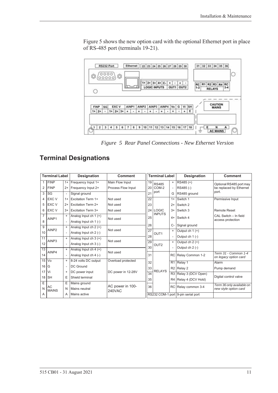[Figure 5](#page-20-1) shows the new option card with the optional Ethernet port in place of RS-485 port (terminals 19-21).



<span id="page-20-1"></span>*Figure 5 Rear Panel Connections - New Ethernet Version*

## <span id="page-20-0"></span>**Terminal Designations**

| <b>Terminal Label</b> |                    |                          | Designation               | <b>Comment</b>     | <b>Terminal Label</b> |                  |                | <b>Designation</b>                 | <b>Comment</b>                                |
|-----------------------|--------------------|--------------------------|---------------------------|--------------------|-----------------------|------------------|----------------|------------------------------------|-----------------------------------------------|
| $\mathbf{1}$          | <b>FINP</b>        | $1+$                     | Frequency Input 1+        | Main Flow Input    | 19                    | <b>RS485</b>     | $+$            | RS485 (+)                          | Optional RS485 port may                       |
| 2                     | <b>FINP</b>        | $2+$                     | Frequency Input 2+        | Process Flow Input |                       | 20 COM-2         |                | RS485 (-)                          | be replaced by Ethernet                       |
| 3                     | SG                 | $\blacksquare$           | Signal ground             |                    | 21                    | port             | G              | RS485 ground                       | port.                                         |
| 4                     | EXC V              | $1+$                     | <b>Excitation Term 1+</b> | Not used           | 22                    |                  | $1+$           | Switch 1                           | Permissive Input                              |
| 5                     | <b>EXC V</b>       | $2+$                     | <b>Excitation Term 2+</b> | Not used           | 23                    |                  | $2+$           | Switch 2                           |                                               |
| 6                     | <b>EXC V</b>       | $3+$                     | Excitation Term 3+        | Not used           |                       | 24 LOGIC         | $3+$           | Switch 3                           | <b>Remote Reset</b>                           |
| $\overline{7}$        | AINP1              | $\ddot{}$                | Analog Input ch $1 (+)$   | Not used           | 25                    | <b>INPUTS</b>    | $4+$           | Switch 4                           | CAL Switch - In field                         |
| 8                     |                    |                          | Analog Input ch 1 (-)     |                    |                       |                  |                |                                    | access protection                             |
| 9                     | AINP <sub>2</sub>  | $\ddot{}$                | Analog Input ch $2 (+)$   | Not used           | 26                    |                  | $C-$           | Signal ground                      |                                               |
| 10                    |                    | $\overline{\phantom{a}}$ | Analog Input ch 2 (-)     |                    | $\overline{27}$       | OUT <sub>1</sub> | $^{+}$         | Output ch $1 (+)$                  |                                               |
| 11                    |                    | $\ddot{}$                | Analog Input ch $3 (+)$   | Not used           | 28                    |                  |                | Output ch 1 (-)                    |                                               |
| 12                    | AINP3              | $\overline{\phantom{a}}$ | Analog Input ch 3 (-)     |                    | 29                    | OUT <sub>2</sub> | $^{+}$         | Output ch $2 (+)$                  |                                               |
| 13                    |                    | $\ddot{}$                | Analog Input ch $4 (+)$   |                    | 30                    |                  |                | Output ch 2 (-)                    |                                               |
| 14                    | AINP4              | ٠                        | Analog Input ch 4 (-)     | Not used           | 31                    |                  | RC I           | Relay Common 1-2                   | Term 31 - Common 1-4<br>on legacy option card |
|                       | $15$ Vo            | $\ddot{}$                | 8-24 volts DC output      | Overload protected | 32                    |                  | R1             | Relav 1                            | Alarm                                         |
| 16                    | G                  | $\overline{\phantom{a}}$ | DC Ground                 |                    | 33                    |                  | R2             | Relay 2                            | Pump demand                                   |
| 17 <sup>1</sup>       | l Vi               | $\ddot{}$                | DC power input            | DC power in 12-28V | 34                    | <b>RELAYS</b>    | R <sub>3</sub> | Relay 3 (DCV Open)                 |                                               |
|                       | $18$ SH            | Ε                        | Shield terminal           |                    | 35                    |                  | R <sub>4</sub> | Relay 4 (DCV Hold)                 | Digital control valve                         |
| E                     |                    | Ε                        | Mains ground              | AC power in 100-   |                       |                  |                |                                    | Term 36 only available on                     |
| N                     | AC<br><b>MAINS</b> | N                        | Mains neutral             | 240VAC             | 36                    |                  | RC I           | Relay common 3-4                   | new style option card                         |
| A                     |                    | A                        | Mains active              |                    |                       |                  |                | RS232 COM-1 port 9-pin serial port |                                               |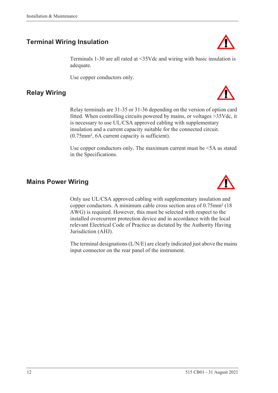Installation & Maintenance

## <span id="page-21-0"></span>**Terminal Wiring Insulation**

Terminals 1-30 are all rated at <35Vdc and wiring with basic insulation is adequate.

Use copper conductors only.

## <span id="page-21-1"></span>**Relay Wiring**

Relay terminals are 31-35 or 31-36 depending on the version of option card fitted. When controlling circuits powered by mains, or voltages >35Vdc, it is necessary to use UL/CSA approved cabling with supplementary insulation and a current capacity suitable for the connected circuit. (0.75mm², 6A current capacity is sufficient).

Use copper conductors only. The maximum current must be  $\leq 5A$  as stated in the Specifications.

## <span id="page-21-2"></span>**Mains Power Wiring**

Only use UL/CSA approved cabling with supplementary insulation and copper conductors. A minimum cable cross section area of 0.75mm² (18 AWG) is required. However, this must be selected with respect to the installed overcurrent protection device and in accordance with the local relevant Electrical Code of Practice as dictated by the Authority Having Jurisdiction (AHJ).

The terminal designations (L/N/E) are clearly indicated just above the mains input connector on the rear panel of the instrument.



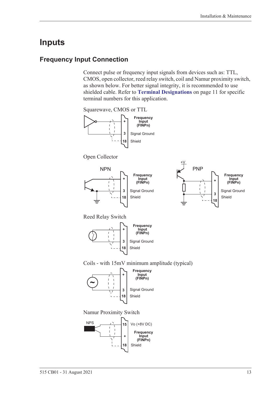## <span id="page-22-0"></span>**Inputs**

### <span id="page-22-1"></span>**Frequency Input Connection**

Connect pulse or frequency input signals from devices such as: TTL, CMOS, open collector, reed relay switch, coil and Namur proximity switch, as shown below. For better signal integrity, it is recommended to use shielded cable. Refer to **[Terminal Designations](#page-20-0)** on page 11 for specific terminal numbers for this application.

Squarewave, CMOS or TTL



Open Collector





Reed Relay Switch







Namur Proximity Switch

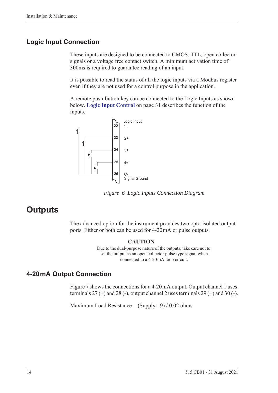## <span id="page-23-0"></span>**Logic Input Connection**

These inputs are designed to be connected to CMOS, TTL, open collector signals or a voltage free contact switch. A minimum activation time of 300ms is required to guarantee reading of an input.

It is possible to read the status of all the logic inputs via a Modbus register even if they are not used for a control purpose in the application.

A remote push-button key can be connected to the Logic Inputs as shown below. **[Logic Input Control](#page-40-3)** on page 31 describes the function of the inputs.



*Figure 6 Logic Inputs Connection Diagram*

## <span id="page-23-1"></span>**Outputs**

<span id="page-23-3"></span>The advanced option for the instrument provides two opto-isolated output ports. Either or both can be used for 4-20 mA or pulse outputs.

#### **CAUTION**

Due to the dual-purpose nature of the outputs, take care not to set the output as an open collector pulse type signal when connected to a 4-20 mA loop circuit.

## <span id="page-23-2"></span>**4-20 mA Output Connection**

[Figure 7](#page-24-1) shows the connections for a 4-20 mA output. Output channel 1 uses terminals  $27$  (+) and  $28$  (-), output channel 2 uses terminals  $29$  (+) and  $30$  (-).

Maximum Load Resistance =  $(Supply - 9) / 0.02 ohms$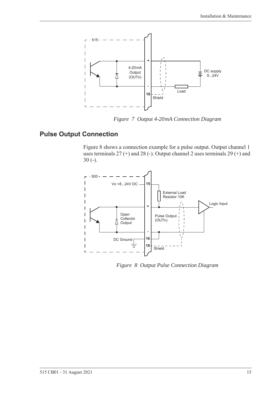

*Figure 7 Output 4-20 mA Connection Diagram*

## <span id="page-24-0"></span>**Pulse Output Connection**

<span id="page-24-1"></span>[Figure 8](#page-24-2) shows a connection example for a pulse output. Output channel 1 uses terminals 27 (+) and 28 (-). Output channel 2 uses terminals 29 (+) and 30 (-).



<span id="page-24-2"></span>*Figure 8 Output Pulse Connection Diagram*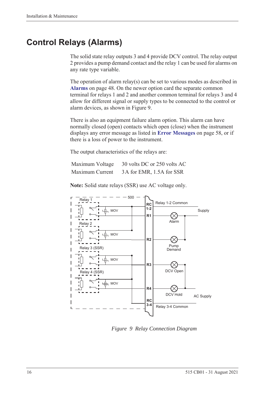## <span id="page-25-0"></span>**Control Relays (Alarms)**

The solid state relay outputs 3 and 4 provide DCV control. The relay output 2 provides a pump demand contact and the relay 1 can be used for alarms on any rate type variable.

The operation of alarm relay(s) can be set to various modes as described in **Alarms** [on page 48.](#page-57-1) On the newer option card the separate common terminal for relays 1 and 2 and another common terminal for relays 3 and 4 allow for different signal or supply types to be connected to the control or alarm devices, as shown in [Figure 9.](#page-25-1)

There is also an equipment failure alarm option. This alarm can have normally closed (open) contacts which open (close) when the instrument displays any error message as listed in **[Error Messages](#page-67-2)** on page 58, or if there is a loss of power to the instrument.

The output characteristics of the relays are:

| Maximum Voltage | 30 volts DC or 250 volts AC |
|-----------------|-----------------------------|
| Maximum Current | 3A for EMR, 1.5A for SSR    |





<span id="page-25-1"></span>*Figure 9 Relay Connection Diagram*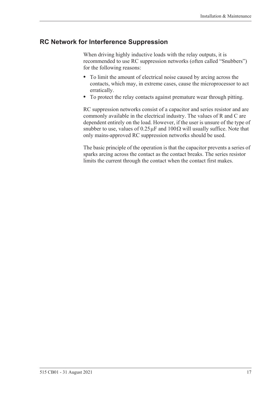### <span id="page-26-0"></span>**RC Network for Interference Suppression**

When driving highly inductive loads with the relay outputs, it is recommended to use RC suppression networks (often called "Snubbers") for the following reasons:

- **•** To limit the amount of electrical noise caused by arcing across the contacts, which may, in extreme cases, cause the microprocessor to act erratically.
- **•** To protect the relay contacts against premature wear through pitting.

RC suppression networks consist of a capacitor and series resistor and are commonly available in the electrical industry. The values of R and C are dependent entirely on the load. However, if the user is unsure of the type of snubber to use, values of  $0.25 \mu$ F and  $100 \Omega$  will usually suffice. Note that only mains-approved RC suppression networks should be used.

The basic principle of the operation is that the capacitor prevents a series of sparks arcing across the contact as the contact breaks. The series resistor limits the current through the contact when the contact first makes.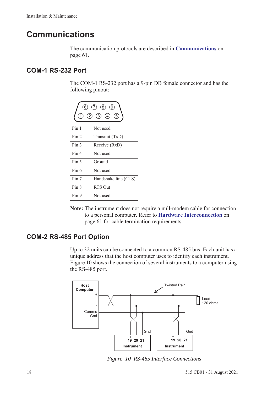## <span id="page-27-0"></span>**Communications**

The communication protocols are described in **[Communications](#page-70-4)** on [page 61.](#page-70-4)

### <span id="page-27-1"></span>**COM-1 RS-232 Port**

The COM-1 RS-232 port has a 9-pin DB female connector and has the following pinout:



**Note:** The instrument does not require a null-modem cable for connection to a personal computer. Refer to **[Hardware Interconnection](#page-70-5)** on [page 61](#page-70-5) for cable termination requirements.

## <span id="page-27-2"></span>**COM-2 RS-485 Port Option**

Up to 32 units can be connected to a common RS-485 bus. Each unit has a unique address that the host computer uses to identify each instrument. [Figure 10](#page-27-3) shows the connection of several instruments to a computer using the RS-485 port.



<span id="page-27-3"></span>*Figure 10 RS-485 Interface Connections*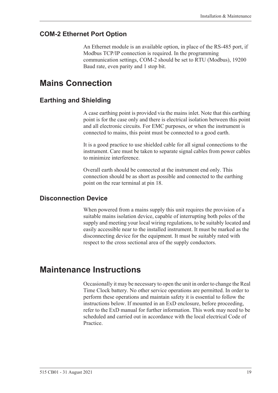#### <span id="page-28-0"></span>**COM-2 Ethernet Port Option**

An Ethernet module is an available option, in place of the RS-485 port, if Modbus TCP/IP connection is required. In the programming communication settings, COM-2 should be set to RTU (Modbus), 19200 Baud rate, even parity and 1 stop bit.

## <span id="page-28-1"></span>**Mains Connection**

### <span id="page-28-2"></span>**Earthing and Shielding**

A case earthing point is provided via the mains inlet. Note that this earthing point is for the case only and there is electrical isolation between this point and all electronic circuits. For EMC purposes, or when the instrument is connected to mains, this point must be connected to a good earth.

It is a good practice to use shielded cable for all signal connections to the instrument. Care must be taken to separate signal cables from power cables to minimize interference.

Overall earth should be connected at the instrument end only. This connection should be as short as possible and connected to the earthing point on the rear terminal at pin 18.

#### <span id="page-28-3"></span>**Disconnection Device**

When powered from a mains supply this unit requires the provision of a suitable mains isolation device, capable of interrupting both poles of the supply and meeting your local wiring regulations, to be suitably located and easily accessible near to the installed instrument. It must be marked as the disconnecting device for the equipment. It must be suitably rated with respect to the cross sectional area of the supply conductors.

## <span id="page-28-4"></span>**Maintenance Instructions**

Occasionally it may be necessary to open the unit in order to change the Real Time Clock battery. No other service operations are permitted. In order to perform these operations and maintain safety it is essential to follow the instructions below. If mounted in an ExD enclosure, before proceeding, refer to the ExD manual for further information. This work may need to be scheduled and carried out in accordance with the local electrical Code of Practice.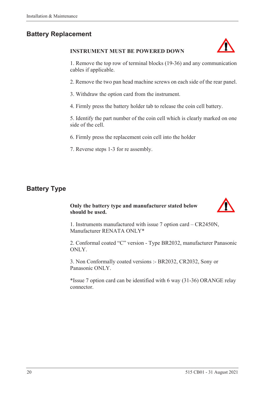## <span id="page-29-0"></span>**Battery Replacement**

#### **INSTRUMENT MUST BE POWERED DOWN**



1. Remove the top row of terminal blocks (19-36) and any communication cables if applicable.

2. Remove the two pan head machine screws on each side of the rear panel.

3. Withdraw the option card from the instrument.

4. Firmly press the battery holder tab to release the coin cell battery.

5. Identify the part number of the coin cell which is clearly marked on one side of the cell.

6. Firmly press the replacement coin cell into the holder

7. Reverse steps 1-3 for re assembly.

## <span id="page-29-1"></span>**Battery Type**

#### **Only the battery type and manufacturer stated below should be used.**



1. Instruments manufactured with issue 7 option card – CR2450N, Manufacturer RENATA ONLY\*

2. Conformal coated "C" version - Type BR2032, manufacturer Panasonic ONLY.

3. Non Conformally coated versions :- BR2032, CR2032, Sony or Panasonic ONLY.

\*Issue 7 option card can be identified with 6 way (31-36) ORANGE relay connector.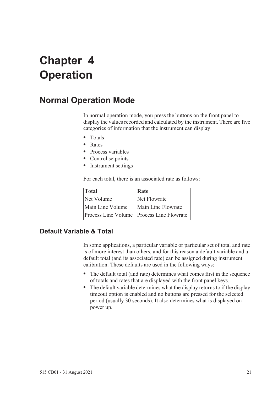# <span id="page-30-0"></span>**Chapter 4 Operation**

## <span id="page-30-1"></span>**Normal Operation Mode**

In normal operation mode, you press the buttons on the front panel to display the values recorded and calculated by the instrument. There are five categories of information that the instrument can display:

- **•** Totals
- **•** Rates
- **•** Process variables
- **•** Control setpoints
- **•** Instrument settings

For each total, there is an associated rate as follows:

| Total                                            | Rate               |
|--------------------------------------------------|--------------------|
| Net Volume                                       | Net Flowrate       |
| Main Line Volume                                 | Main Line Flowrate |
| <b>Process Line Volume Process Line Flowrate</b> |                    |

## <span id="page-30-2"></span>**Default Variable & Total**

In some applications, a particular variable or particular set of total and rate is of more interest than others, and for this reason a default variable and a default total (and its associated rate) can be assigned during instrument calibration. These defaults are used in the following ways:

- **•** The default total (and rate) determines what comes first in the sequence of totals and rates that are displayed with the front panel keys.
- **•** The default variable determines what the display returns to if the display timeout option is enabled and no buttons are pressed for the selected period (usually 30 seconds). It also determines what is displayed on power up.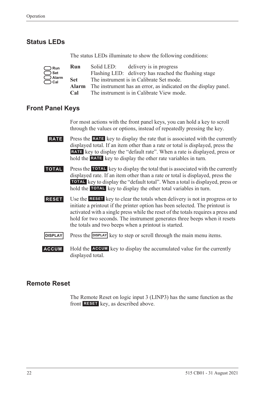## <span id="page-31-0"></span>**Status LEDs**

The status LEDs illuminate to show the following conditions:



| Run | Solid LED: delivery is in progress                                           |                                                       |  |  |  |
|-----|------------------------------------------------------------------------------|-------------------------------------------------------|--|--|--|
|     |                                                                              | Flashing LED: delivery has reached the flushing stage |  |  |  |
| Set | The instrument is in Calibrate Set mode.                                     |                                                       |  |  |  |
|     | <b>Alarm</b> The instrument has an error, as indicated on the display panel. |                                                       |  |  |  |
| Cal | The instrument is in Calibrate View mode.                                    |                                                       |  |  |  |

## <span id="page-31-1"></span>**Front Panel Keys**

For most actions with the front panel keys, you can hold a key to scroll through the values or options, instead of repeatedly pressing the key.

- **RATE** Press the **RATE** key to display the rate that is associated with the currently displayed total. If an item other than a rate or total is displayed, press the key to display the "default rate". When a rate is displayed, press or **RATE** hold the **RATE** key to display the other rate variables in turn.
- **TOTAL** Press the TOTAL key to display the total that is associated with the currently displayed rate. If an item other than a rate or total is displayed, press the **TOTAL** key to display the "default total". When a total is displayed, press or hold the **TOTAL** key to display the other total variables in turn.
- **RESET** Use the **RESET** key to clear the totals when delivery is not in progress or to initiate a printout if the printer option has been selected. The printout is activated with a single press while the reset of the totals requires a press and hold for two seconds. The instrument generates three beeps when it resets the totals and two beeps when a printout is started.
- **DISPLAY** Press the **DISPLAY** key to step or scroll through the main menu items.
- **ACCUM** Hold the **ACCUM** key to display the accumulated value for the currently displayed total.

## <span id="page-31-2"></span>**Remote Reset**

The Remote Reset on logic input 3 (LINP3) has the same function as the front **RESET** key, as described above.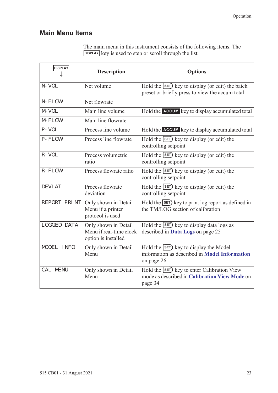## <span id="page-32-0"></span>**Main Menu Items**

The main menu in this instrument consists of the following items. The **DISPLAY** key is used to step or scroll through the list.

| <b>DISPLAY</b> | <b>Description</b>                                                     | <b>Options</b>                                                                                                  |
|----------------|------------------------------------------------------------------------|-----------------------------------------------------------------------------------------------------------------|
| $N-VOL$        | Net volume                                                             | Hold the SET key to display (or edit) the batch<br>preset or briefly press to view the accum total              |
| N-FLOW         | Net flowrate                                                           |                                                                                                                 |
| M-VOL          | Main line volume                                                       | Hold the ACCUM key to display accumulated total                                                                 |
| M-FLOW         | Main line flowrate                                                     |                                                                                                                 |
| $P-VOL$        | Process line volume                                                    | Hold the ACCUM key to display accumulated total                                                                 |
| P-FLOW         | Process line flowrate                                                  | Hold the <b>SET</b> ) key to display (or edit) the<br>controlling setpoint                                      |
| $R-VOL$        | Process volumetric<br>ratio                                            | Hold the $\overline{\text{SET}}$ key to display (or edit) the<br>controlling setpoint                           |
| R-FLOW         | Process flowrate ratio                                                 | Hold the SET) key to display (or edit) the<br>controlling setpoint                                              |
| <b>DEVI AT</b> | Process flowrate<br>deviation                                          | Hold the SET key to display (or edit) the<br>controlling setpoint                                               |
| REPORT PRINT   | Only shown in Detail<br>Menu if a printer<br>protocol is used          | Hold the $\overline{\text{SET}}$ key to print log report as defined in<br>the TM/LOG section of calibration     |
| LOGGED DATA    | Only shown in Detail<br>Menu if real-time clock<br>option is installed | Hold the SET) key to display data logs as<br>described in Data Logs on page 25                                  |
| MODEL INFO     | Only shown in Detail<br>Menu                                           | Hold the SET) key to display the Model<br>information as described in <b>Model Information</b><br>on page 26    |
| CAL MENU       | Only shown in Detail<br>Menu                                           | Hold the <b>SET</b> ) key to enter Calibration View<br>mode as described in Calibration View Mode on<br>page 34 |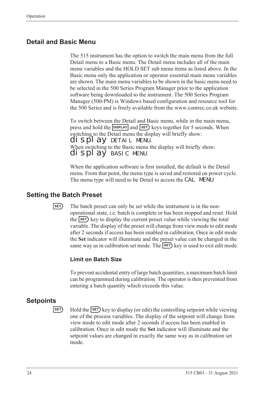## <span id="page-33-0"></span>**Detail and Basic Menu**

The 515 instrument has the option to switch the main menu from the full Detail menu to a Basic menu. The Detail menu includes all of the main menu variables and the HOLD SET sub menu items as listed above. In the Basic menu only the application or operator essential main menu variables are shown. The main menu variables to be shown in the basic menu need to be selected in the 500 Series Program Manager prior to the application software being downloaded to the instrument. The 500 Series Program Manager (500-PM) is Windows based configuration and resource tool for the 500 Series and is freely available from the www.contrec.co.uk website.

To switch between the Detail and Basic menu, while in the main menu, press and hold the **DISPLAY** and **SET**) keys together for 5 seconds. When switching to the Detail menu the display will briefly show: display DETAIL MENU. When switching to the Basic menu the display will briefly show: display BASIC MENU.

When the application software is first installed, the default is the Detail menu. From that point, the menu type is saved and restored on power cycle. The menu type will need to be Detail to access the CAL MENU

## <span id="page-33-1"></span>**Setting the Batch Preset**

**SET**

The batch preset can only be set while the instrument is in the nonoperational state, i.e. batch is complete or has been stopped and reset. Hold the **SET** key to display the current preset value while viewing the total variable. The display of the preset will change from view mode to edit mode after 2 seconds if access has been enabled in calibration. Once in edit mode the **Set** indicator will illuminate and the preset value can be changed in the same way as in calibration set mode. The **SET** key is used to exit edit mode.

### **Limit on Batch Size**

To prevent accidental entry of large batch quantities, a maximum batch limit can be programmed during calibration. The operator is then prevented from entering a batch quantity which exceeds this value.

## <span id="page-33-2"></span>**Setpoints**

**EXECUTE:** Hold the **SET** key to display (or edit) the controlling setpoint while viewing one of the process variables. The display of the setpoint will change from view mode to edit mode after 2 seconds if access has been enabled in calibration. Once in edit mode the **Set** indicator will illuminate and the setpoint values are changed in exactly the same way as in calibration set mode.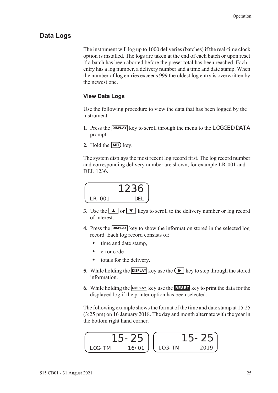### <span id="page-34-0"></span>**Data Logs**

The instrument will log up to 1000 deliveries (batches) if the real-time clock option is installed. The logs are taken at the end of each batch or upon reset if a batch has been aborted before the preset total has been reached. Each entry has a log number, a delivery number and a time and date stamp. When the number of log entries exceeds 999 the oldest log entry is overwritten by the newest one.

#### **View Data Logs**

Use the following procedure to view the data that has been logged by the instrument:

- **1.** Press the **DISPLAY** key to scroll through the menu to the LOGGED DATA prompt.
- **2.** Hold the  $\overline{\text{SET}}$  key.

The system displays the most recent log record first. The log record number and corresponding delivery number are shown, for example LR-001 and DEL 1236.



- **3.** Use the  $\Box$  or  $\Box$  keys to scroll to the delivery number or log record of interest.
- 4. Press the **DISPLAY** key to show the information stored in the selected log record. Each log record consists of:
	- time and date stamp,
	- **•** error code
	- **•** totals for the delivery.
- **5.** While holding the  $\boxed{\text{DISPLAN}}$  key use the  $\boxed{\blacktriangleright}$  key to step through the stored information.
- **6.** While holding the **DISPLAY** key use the **RESET** key to print the data for the displayed log if the printer option has been selected.

The following example shows the format of the time and date stamp at 15:25 (3:25 pm) on 16 January 2018. The day and month alternate with the year in the bottom right hand corner.

$$
\begin{array}{|c|c|}\n\hline\n15-25 \\
\hline\n16/01\n\end{array}\n\begin{array}{|c|}\n\hline\n15-25 \\
\hline\n\end{array}
$$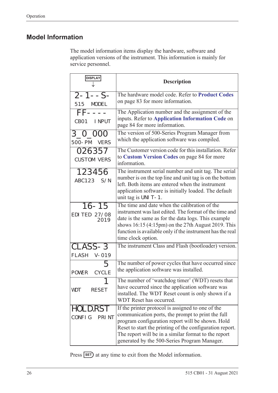## <span id="page-35-0"></span>**Model Information**

The model information items display the hardware, software and application versions of the instrument. This information is mainly for service personnel.

| <b>DISPLAY</b>                                         | <b>Description</b>                                                                                                                                                                                                                                                                                                             |
|--------------------------------------------------------|--------------------------------------------------------------------------------------------------------------------------------------------------------------------------------------------------------------------------------------------------------------------------------------------------------------------------------|
| $2 - 1 - -5 -$<br>515 MODEL                            | The hardware model code. Refer to Product Codes<br>on page 83 for more information.                                                                                                                                                                                                                                            |
| $FF---$<br>CB01 INPUT                                  | The Application number and the assignment of the<br>inputs. Refer to Application Information Code on<br>page 84 for more information.                                                                                                                                                                                          |
| 3 0 000<br>500-PM VERS                                 | The version of 500-Series Program Manager from<br>which the application software was compiled.                                                                                                                                                                                                                                 |
| 026357<br><b>CUSTOM VERS</b>                           | The Customer version code for this installation. Refer<br>to Custom Version Codes on page 84 for more<br>information.                                                                                                                                                                                                          |
| 123456<br>ABC123 S/N                                   | The instrument serial number and unit tag. The serial<br>number is on the top line and unit tag is on the bottom<br>left. Both items are entered when the instrument<br>application software is initially loaded. The default<br>unit tag is UNI T-1.                                                                          |
| $16 - 15$<br>EDI TED 27/08<br>2019                     | The time and date when the calibration of the<br>instrument was last edited. The format of the time and<br>date is the same as for the data logs. This example<br>shows $16:15$ (4:15pm) on the 27th August 2019. This<br>function is available only if the instrument has the real<br>time clock option.                      |
| CLASS-3<br>FLASH V-019                                 | The instrument Class and Flash (bootloader) version.                                                                                                                                                                                                                                                                           |
| POWER<br><b>CYCLE</b>                                  | The number of power cycles that have occurred since<br>the application software was installed.                                                                                                                                                                                                                                 |
| <b>RESET</b><br>WDT                                    | The number of 'watchdog timer' (WDT) resets that<br>have occurred since the application software was<br>installed. The WDT Reset count is only shown if a<br>WDT Reset has occurred.                                                                                                                                           |
| $H()$   $I) RST$<br>CONFI <sub>G</sub><br><b>PRINT</b> | If the printer protocol is assigned to one of the<br>communication ports, the prompt to print the full<br>program configuration report will be shown. Hold<br>Reset to start the printing of the configuration report.<br>The report will be in a similar format to the report<br>generated by the 500-Series Program Manager. |

Press **SET**) at any time to exit from the Model information.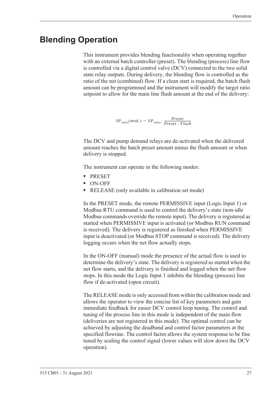# <span id="page-36-0"></span>**Blending Operation**

This instrument provides blending functionality when operating together with an external batch controller (preset). The blending (process) line flow is controlled via a digital control valve (DCV) connected to the two solid state relay outputs. During delivery, the blending flow is controlled as the ratio of the net (combined) flow. If a clean start is required, the batch flush amount can be programmed and the instrument will modify the target ratio setpoint to allow for the main line flush amount at the end of the delivery:

$$
SP_{ratio}(mod.) = SP_{ratio} \cdot \frac{Present}{Present - Fluxh}
$$

The DCV and pump demand relays are de-activated when the delivered amount reaches the batch preset amount minus the flush amount or when delivery is stopped.

The instrument can operate in the following modes:

- **•** PRESET
- **•** ON-OFF
- **•** RELEASE (only available in calibration set mode)

In the PRESET mode, the remote PERMISSIVE input (Logic Input 1) or Modbus RTU command is used to control the delivery's state (non-idle Modbus commands override the remote input). The delivery is registered as started when PERMISSIVE input is activated (or Modbus RUN command is received). The delivery is registered as finished when PERMISSIVE input is deactivated (or Modbus STOP command is received). The delivery logging occurs when the net flow actually stops.

In the ON-OFF (manual) mode the presence of the actual flow is used to determine the delivery's state. The delivery is registered as started when the net flow starts, and the delivery is finished and logged when the net flow stops. In this mode the Logic Input 1 inhibits the blending (process) line flow if de-activated (open circuit).

The RELEASE mode is only accessed from within the calibration mode and allows the operator to view the concise list of key parameters and gain immediate feedback for easier DCV control loop tuning. The control and tuning of the process line in this mode is independent of the main flow (deliveries are not registered in this mode). The optimal control can be achieved by adjusting the deadband and control factor parameters at the specified flowrate. The control factor allows the system response to be fine tuned by scaling the control signal (lower values will slow down the DCV operation).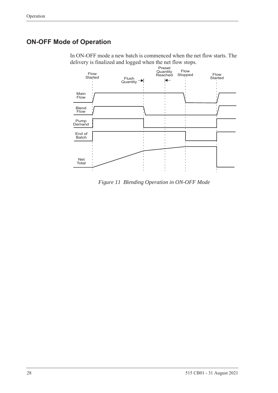## **ON-OFF Mode of Operation**

In ON-OFF mode a new batch is commenced when the net flow starts. The delivery is finalized and logged when the net flow stops.



*Figure 11 Blending Operation in ON-OFF Mode*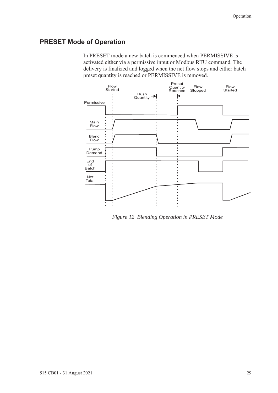## **PRESET Mode of Operation**

In PRESET mode a new batch is commenced when PERMISSIVE is activated either via a permissive input or Modbus RTU command. The delivery is finalized and logged when the net flow stops and either batch preset quantity is reached or PERMISSIVE is removed.



*Figure 12 Blending Operation in PRESET Mode*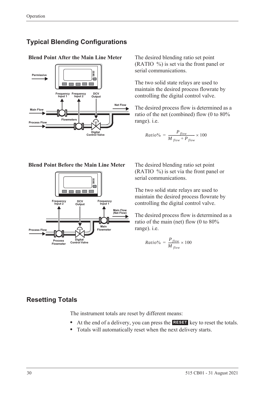## **Typical Blending Configurations**

#### **Blend Point After the Main Line Meter** The desired blending ratio set point



(RATIO %) is set via the front panel or serial communications.

The two solid state relays are used to maintain the desired process flowrate by controlling the digital control valve.

The desired process flow is determined as a ratio of the net (combined) flow (0 to 80% range). i.e.

$$
Ratio\% = \frac{P_{flow}}{M_{flow} + P_{flow}} \times 100
$$

**Blend Point Before the Main Line Meter** The desired blending ratio set point



(RATIO %) is set via the front panel or serial communications.

The two solid state relays are used to maintain the desired process flowrate by controlling the digital control valve.

The desired process flow is determined as a ratio of the main (net) flow (0 to 80% range). i.e.

$$
Ratio\% = \frac{P_{flow}}{M_{flow}} \times 100
$$

## **Resetting Totals**

The instrument totals are reset by different means:

- At the end of a delivery, you can press the **RESET** key to reset the totals.
- **•** Totals will automatically reset when the next delivery starts.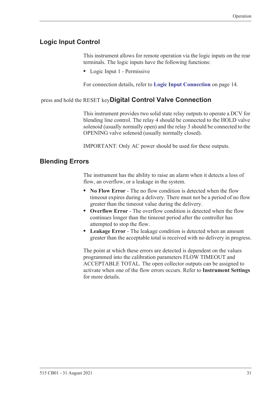## **Logic Input Control**

This instrument allows for remote operation via the logic inputs on the rear terminals. The logic inputs have the following functions:

**•** Logic Input 1 - Permissive

For connection details, refer to **[Logic Input Connection](#page-23-0)** on page 14.

#### press and hold the RESET key**Digital Control Valve Connection**

This instrument provides two solid state relay outputs to operate a DCV for blending line control. The relay 4 should be connected to the HOLD valve solenoid (usually normally open) and the relay 3 should be connected to the OPENING valve solenoid (usually normally closed).

IMPORTANT: Only AC power should be used for these outputs.

#### **Blending Errors**

The instrument has the ability to raise an alarm when it detects a loss of flow, an overflow, or a leakage in the system.

- **No Flow Error** The no flow condition is detected when the flow timeout expires during a delivery. There must not be a period of no flow greater than the timeout value during the delivery.
- **• Overflow Error** The overflow condition is detected when the flow continues longer than the timeout period after the controller has attempted to stop the flow.
- **• Leakage Error** The leakage condition is detected when an amount greater than the acceptable total is received with no delivery in progress.

The point at which these errors are detected is dependent on the values programmed into the calibration parameters FLOW TIMEOUT and ACCEPTABLE TOTAL. The open collector outputs can be assigned to activate when one of the flow errors occurs. Refer to **Instrument Settings** for more details.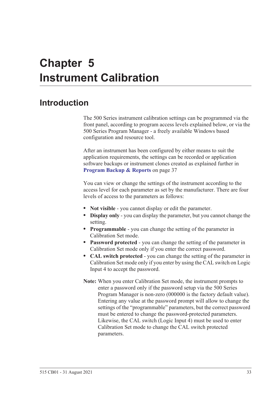# **Chapter 5 Instrument Calibration**

# **Introduction**

The 500 Series instrument calibration settings can be programmed via the front panel, according to program access levels explained below, or via the 500 Series Program Manager - a freely available Windows based configuration and resource tool.

After an instrument has been configured by either means to suit the application requirements, the settings can be recorded or application software backups or instrument clones created as explained further in **[Program Backup & Reports](#page-46-0)** on page 37

You can view or change the settings of the instrument according to the access level for each parameter as set by the manufacturer. There are four levels of access to the parameters as follows:

- **• Not visible** you cannot display or edit the parameter.
- **• Display only** you can display the parameter, but you cannot change the setting.
- **• Programmable** you can change the setting of the parameter in Calibration Set mode.
- **• Password protected** you can change the setting of the parameter in Calibration Set mode only if you enter the correct password.
- **• CAL switch protected**  you can change the setting of the parameter in Calibration Set mode only if you enter by using the CAL switch on Logic Input 4 to accept the password.
- **Note:** When you enter Calibration Set mode, the instrument prompts to enter a password only if the password setup via the 500 Series Program Manager is non-zero (000000 is the factory default value). Entering any value at the password prompt will allow to change the settings of the "programmable" parameters, but the correct password must be entered to change the password-protected parameters. Likewise, the CAL switch (Logic Input 4) must be used to enter Calibration Set mode to change the CAL switch protected parameters.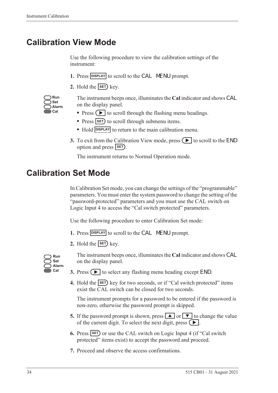# **Calibration View Mode**

Use the following procedure to view the calibration settings of the instrument:

- 1. Press **DISPLAY** to scroll to the CAL MENU prompt.
- **2.** Hold the  $\overline{\text{SET}}$  key.



The instrument beeps once, illuminates the **Cal** indicator and shows CAL on the display panel.

- Press  $\left( \blacktriangleright \right)$  to scroll through the flashing menu headings.
- Press **SET** to scroll through submenu items.
- Hold **DISPLAY** to return to the main calibration menu.
- **3.** To exit from the Calibration View mode, press  $\Box$  to scroll to the END option and press **SET**).

The instrument returns to Normal Operation mode.

# **Calibration Set Mode**

In Calibration Set mode, you can change the settings of the "programmable" parameters. You must enter the system password to change the setting of the "password-protected" parameters and you must use the CAL switch on Logic Input 4 to access the "Cal switch protected" parameters.

Use the following procedure to enter Calibration Set mode:

- **1.** Press **DISPLAY** to scroll to the CAL MENU prompt.
- **2.** Hold the  $\overline{\text{SET}}$  key.



The instrument beeps once, illuminates the **Cal** indicator and shows CAL on the display panel.

- **3.** Press  $\left( \blacktriangleright \right)$  to select any flashing menu heading except END.
- **4.** Hold the **SET** key for two seconds, or if "Cal switch protected" items exist the CAL switch can be closed for two seconds.

The instrument prompts for a password to be entered if the password is non-zero, otherwise the password prompt is skipped.

- **5.** If the password prompt is shown, press  $\boxed{\blacktriangle}$  or  $\boxed{\blacktriangledown}$  to change the value of the current digit. To select the next digit, press  $\Box$ .
- **6.** Press **SET** or use the CAL switch on Logic Input 4 (if "Cal switch protected" items exist) to accept the password and proceed.
- **7.** Proceed and observe the access confirmations.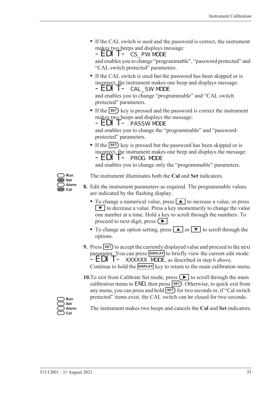**•** If the CAL switch is used and the password is correct, the instrument makes two beeps and displays message:  $-$ FDIT-CS PW MODE

and enables you to change "programmable", "password protected" and "CAL switch protected" parameters.

• If the CAL switch is used but the password has been skipped or is incorrect, the instrument makes one beep and displays message:  $-EDI$   $T - CAL$  SW MODE

and enables you to change "programmable" and "CAL switch protected" parameters.

- If the **SET**) key is pressed and the password is correct the instrument makes two beeps and displays the message:
	- $-EDI$   $-$  Passw mode

and enables you to change the "programmable" and "passwordprotected" parameters.

• If the **SET**) key is pressed but the password has been skipped or is incorrect, the instrument makes one beep and displays the message:  $\Box$   $\Box$   $-$  PROG MODE

and enables you to change only the "programmable" parameters.



The instrument illuminates both the **Cal** and **Set** indicators.

- **8.** Edit the instrument parameters as required. The programmable values are indicated by the flashing display.
	- To change a numerical value, press **A** to increase a value, or press  $\triangledown$  to decrease a value. Press a key momentarily to change the value one number at a time. Hold a key to scroll through the numbers. To proceed to next digit, press  $(\blacktriangleright)$ .
	- To change an option setting, press  $\Box$  or  $\nabla$  to scroll through the options.
- **9.** Press **SET** to accept the currently displayed value and proceed to the next parameter. You can press **DISPLAY** to briefly view the current edit mode: parameter. You can press  $\frac{\text{DISPLAY}}{\text{LO}}$  to briefly view the current ed:<br>-  $\text{EDI}$  T - XXXXXX MODE, as described in step 6 above. Continue to hold the **DISPLAY** key to return to the main calibration menu.
- **10.**To exit from Calibrate Set mode, press  $\Box$  to scroll through the main calibration menu to END, then press **SET**). Otherwise, to quick exit from any menu, you can press and hold **SET** for two seconds or, if "Cal switch protected" items exist, the CAL switch can be closed for two seconds.

**Run Set Alarm Cal**

The instrument makes two beeps and cancels the **Cal** and **Set** indicators.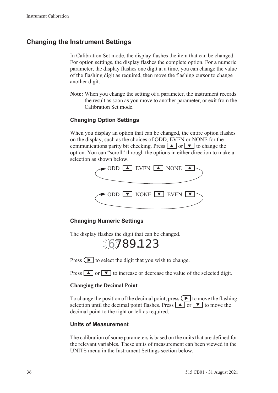## **Changing the Instrument Settings**

In Calibration Set mode, the display flashes the item that can be changed. For option settings, the display flashes the complete option. For a numeric parameter, the display flashes one digit at a time, you can change the value of the flashing digit as required, then move the flashing cursor to change another digit.

**Note:** When you change the setting of a parameter, the instrument records the result as soon as you move to another parameter, or exit from the Calibration Set mode.

#### **Changing Option Settings**

When you display an option that can be changed, the entire option flashes on the display, such as the choices of ODD, EVEN or NONE for the communications parity bit checking. Press  $\boxed{\blacktriangle}$  or  $\boxed{\blacktriangledown}$  to change the option. You can "scroll" through the options in either direction to make a selection as shown below.



#### **Changing Numeric Settings**

The display flashes the digit that can be changed.



Press  $\left( \blacktriangleright \right)$  to select the digit that you wish to change.

Press  $\boxed{\blacktriangle}$  or  $\boxed{\blacktriangledown}$  to increase or decrease the value of the selected digit.

#### **Changing the Decimal Point**

To change the position of the decimal point, press  $\Box$  to move the flashing selection until the decimal point flashes. Press  $\boxed{\blacktriangle}$  or  $\boxed{\blacktriangledown}$  to move the decimal point to the right or left as required.

#### **Units of Measurement**

The calibration of some parameters is based on the units that are defined for the relevant variables. These units of measurement can been viewed in the UNITS menu in the Instrument Settings section below.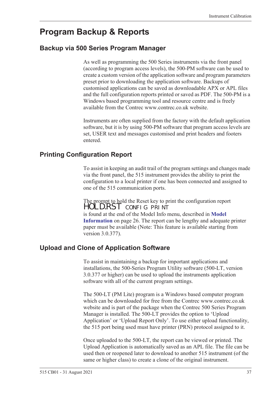# <span id="page-46-0"></span>**Program Backup & Reports**

## **Backup via 500 Series Program Manager**

As well as programming the 500 Series instruments via the front panel (according to program access levels), the 500-PM software can be used to create a custom version of the application software and program parameters preset prior to downloading the application software. Backups of customised applications can be saved as downloadable APX or APL files and the full configuration reports printed or saved as PDF. The 500-PM is a Windows based programming tool and resource centre and is freely available from the Contrec www.contrec.co.uk website.

Instruments are often supplied from the factory with the default application software, but it is by using 500-PM software that program access levels are set, USER text and messages customised and print headers and footers entered.

#### **Printing Configuration Report**

To assist in keeping an audit trail of the program settings and changes made via the front panel, the 515 instrument provides the ability to print the configuration to a local printer if one has been connected and assigned to one of the 515 communication ports.

The prompt to hold the Reset key to print the configuration report HOLD.RST CONFIG PRINT is found at the end of the Model Info menu, described in **[Model](#page-35-0)  [Information](#page-35-0)** on page 26. The report can be lengthy and adequate printer paper must be available (Note: This feature is available starting from version 3.0.377).

## **Upload and Clone of Application Software**

To assist in maintaining a backup for important applications and installations, the 500-Series Program Utility software (500-LT, version 3.0.377 or higher) can be used to upload the instruments application software with all of the current program settings.

The 500-LT (PM Lite) program is a Windows based computer program which can be downloaded for free from the Contrec www.contrec.co.uk website and is part of the package when the Contrec 500 Series Program Manager is installed. The 500-LT provides the option to 'Upload Application' or 'Upload Report Only'. To use either upload functionality, the 515 port being used must have printer (PRN) protocol assigned to it.

Once uploaded to the 500-LT, the report can be viewed or printed. The Upload Application is automatically saved as an APL file. The file can be used then or reopened later to download to another 515 instrument (of the same or higher class) to create a clone of the original instrument.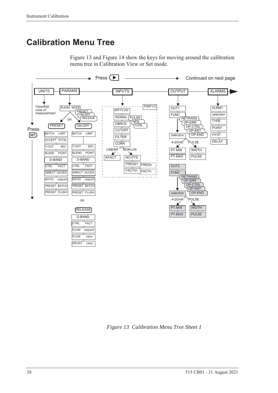# **Calibration Menu Tree**





<span id="page-47-0"></span>*Figure 13 Calibration Menu Tree Sheet 1*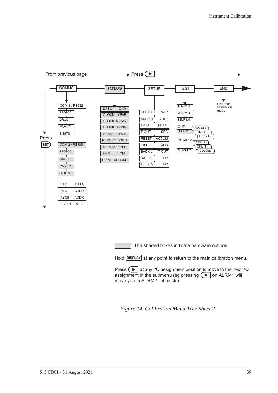

The shaded boxes indicate hardware options

Hold **DISPLAY** at any point to return to the main calibration menu.

Press  $\Box$  at any I/O assignment position to move to the next I/O assignment in the submenu (eg pressing  $\left( \blacktriangleright \right)$  on ALRM1 will move you to ALRM2 if it exists)

<span id="page-48-0"></span>*Figure 14 Calibration Menu Tree Sheet 2*

FLASH PORT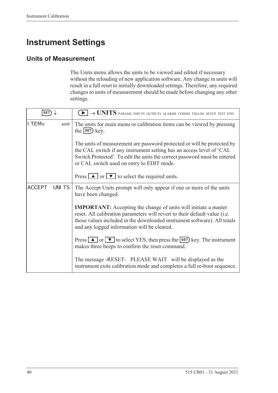# **Instrument Settings**

## **Units of Measurement**

The Units menu allows the units to be viewed and edited if necessary without the reloading of new application software. Any change in units will result in a full reset to initially downloaded settings. Therefore, any required changes to units of measurement should be made before changing any other settings.

| <b>SET</b>                    | $\blacktriangleright$ $\rightarrow$ UNITS params inputs outputs alarms comms tm/log setup test end                                                                                                                                                                              |  |
|-------------------------------|---------------------------------------------------------------------------------------------------------------------------------------------------------------------------------------------------------------------------------------------------------------------------------|--|
| $I$ TEM $n$<br>unit           | The units for main menu or calibration items can be viewed by pressing<br>the $\left  \text{set} \right $ key.                                                                                                                                                                  |  |
|                               | The units of measurement are password protected or will be protected by<br>the CAL switch if any instrument setting has an access level of 'CAL<br>Switch Protected'. To edit the units the correct password must be entered<br>or CAL switch used on entry to EDIT mode.       |  |
|                               | Press $\boxed{\blacktriangle}$ or $\boxed{\blacktriangledown}$ to select the required units.                                                                                                                                                                                    |  |
| <b>ACCEPT</b><br><b>UNITS</b> | The Accept Units prompt will only appear if one or more of the units<br>have been changed.                                                                                                                                                                                      |  |
|                               | <b>IMPORTANT:</b> Accepting the change of units will initiate a master<br>reset. All calibration parameters will revert to their default value (i.e.<br>those values included in the downloaded instrument software). All totals<br>and any logged information will be cleared. |  |
|                               | Press $\boxed{\blacktriangle}$ or $\boxed{\blacktriangledown}$ to select YES, then press the SET key. The instrument<br>makes three beeps to confirm the reset command.                                                                                                         |  |
|                               | The message -RESET- PLEASE WAIT will be displayed as the<br>instrument exits calibration mode and completes a full re-boot sequence.                                                                                                                                            |  |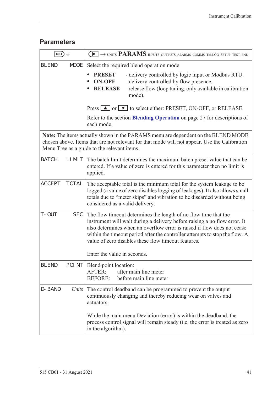## **Parameters**

| SET                           | $\blacktriangleright$ $\rightarrow$ units PARAMS inputs outputs alarms comms tm/log setup test end                                                                                                                                                                                                                                                                                           |  |  |  |
|-------------------------------|----------------------------------------------------------------------------------------------------------------------------------------------------------------------------------------------------------------------------------------------------------------------------------------------------------------------------------------------------------------------------------------------|--|--|--|
| <b>MODE</b><br><b>BLEND</b>   | Select the required blend operation mode.                                                                                                                                                                                                                                                                                                                                                    |  |  |  |
|                               | <b>PRESET</b><br>- delivery controlled by logic input or Modbus RTU.<br><b>ON-OFF</b><br>- delivery controlled by flow presence.<br><b>RELEASE</b><br>- release flow (loop tuning, only available in calibration<br>mode).                                                                                                                                                                   |  |  |  |
|                               | Press $\Box$ or $\nabla$ to select either: PRESET, ON-OFF, or RELEASE.                                                                                                                                                                                                                                                                                                                       |  |  |  |
|                               | Refer to the section <b>Blending Operation</b> on page 27 for descriptions of<br>each mode.                                                                                                                                                                                                                                                                                                  |  |  |  |
|                               | Note: The items actually shown in the PARAMS menu are dependent on the BLEND MODE<br>chosen above. Items that are not relevant for that mode will not appear. Use the Calibration<br>Menu Tree as a guide to the relevant items.                                                                                                                                                             |  |  |  |
| <b>BATCH</b><br><b>LIMIT</b>  | The batch limit determines the maximum batch preset value that can be<br>entered. If a value of zero is entered for this parameter then no limit is<br>applied.                                                                                                                                                                                                                              |  |  |  |
| <b>ACCEPT</b><br><b>TOTAL</b> | The acceptable total is the minimum total for the system leakage to be<br>logged (a value of zero disables logging of leakages). It also allows small<br>totals due to "meter skips" and vibration to be discarded without being<br>considered as a valid delivery.                                                                                                                          |  |  |  |
| T-OUT<br><b>SEC</b>           | The flow timeout determines the length of no flow time that the<br>instrument will wait during a delivery before raising a no flow error. It<br>also determines when an overflow error is raised if flow does not cease<br>within the timeout period after the controller attempts to stop the flow. A<br>value of zero disables these flow timeout features.<br>Enter the value in seconds. |  |  |  |
| POI NT<br><b>BLEND</b>        | Blend point location:<br>AFTER:<br>after main line meter<br><b>BEFORE:</b><br>before main line meter                                                                                                                                                                                                                                                                                         |  |  |  |
| D-BAND<br>Units               | The control deadband can be programmed to prevent the output<br>continuously changing and thereby reducing wear on valves and<br>actuators.                                                                                                                                                                                                                                                  |  |  |  |
|                               | While the main menu Deviation (error) is within the deadband, the<br>process control signal will remain steady (i.e. the error is treated as zero<br>in the algorithm).                                                                                                                                                                                                                      |  |  |  |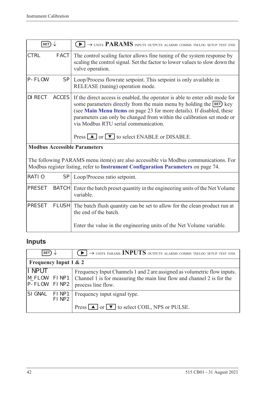| <b>SET</b>        |              | $\rightarrow$ UNITS PARAMS INPUTS OUTPUTS ALARMS COMMS TM/LOG SETUP TEST END                                                                                                                                                                                                                                                                                                                                                                  |
|-------------------|--------------|-----------------------------------------------------------------------------------------------------------------------------------------------------------------------------------------------------------------------------------------------------------------------------------------------------------------------------------------------------------------------------------------------------------------------------------------------|
| <b>CTRL</b>       | <b>FACT</b>  | The control scaling factor allows fine tuning of the system response by<br>scaling the control signal. Set the factor to lower values to slow down the<br>valve operation.                                                                                                                                                                                                                                                                    |
| P-FLOW            | <b>SP</b>    | Loop/Process flowrate setpoint. This setpoint is only available in<br>RELEASE (tuning) operation mode.                                                                                                                                                                                                                                                                                                                                        |
| DI RECT           | <b>ACCES</b> | If the direct access is enabled, the operator is able to enter edit mode for<br>some parameters directly from the main menu by holding the SET) key<br>(see Main Menu Items on page 23 for more details). If disabled, these<br>parameters can only be changed from within the calibration set mode or<br>via Modbus RTU serial communication.<br>Press $\boxed{\blacktriangle}$ or $\boxed{\blacktriangledown}$ to select ENABLE or DISABLE. |
|                   |              | <b>Modbus Accessible Parameters</b>                                                                                                                                                                                                                                                                                                                                                                                                           |
|                   |              | The following PARAMS menu item(s) are also accessible via Modbus communications. For<br>Modbus register listing, refer to Instrument Configuration Parameters on page 74.                                                                                                                                                                                                                                                                     |
| RATI <sub>0</sub> | <b>SP</b>    | Loop/Process ratio setpoint.                                                                                                                                                                                                                                                                                                                                                                                                                  |
| <b>PRESET</b>     | <b>BATCH</b> | Enter the batch preset quantity in the engineering units of the Net Volume<br>variable.                                                                                                                                                                                                                                                                                                                                                       |
| <b>PRESET</b>     | <b>FLUSH</b> | The batch flush quantity can be set to allow for the clean product run at<br>the end of the batch.                                                                                                                                                                                                                                                                                                                                            |
|                   |              | Enter the value in the engineering units of the Net Volume variable.                                                                                                                                                                                                                                                                                                                                                                          |

## **Inputs**

| SET)                                          |                   | $\rightarrow$ units params INPUTS outputs alarms comms tm/log setup test end                                                                                             |  |
|-----------------------------------------------|-------------------|--------------------------------------------------------------------------------------------------------------------------------------------------------------------------|--|
| Frequency Input $1 & 2$                       |                   |                                                                                                                                                                          |  |
| <b>ITNPUT</b><br>M_FLOW FINP1<br>P-FLOW FINP2 |                   | Frequency Input Channels 1 and 2 are assigned as volumetric flow inputs.<br>Channel 1 is for measuring the main line flow and channel 2 is for the<br>process line flow. |  |
| SIGNAL FINP1                                  | FINP <sub>2</sub> | Frequency input signal type.<br>Press $\boxed{\blacktriangle}$ or $\boxed{\blacktriangledown}$ to select COIL, NPS or PULSE.                                             |  |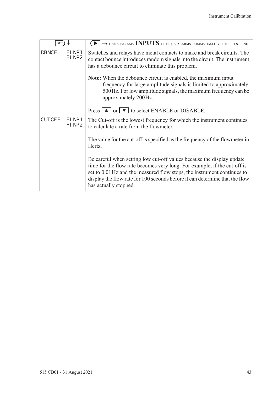| <b>SET</b>    |                                        | $\rightarrow$ UNITS PARAMS INPUTS OUTPUTS ALARMS COMMS TM/LOG SETUP TEST END                                                                                                                                                                                                                                                         |  |
|---------------|----------------------------------------|--------------------------------------------------------------------------------------------------------------------------------------------------------------------------------------------------------------------------------------------------------------------------------------------------------------------------------------|--|
| <b>DBNCE</b>  | FI <sub>NP1</sub><br>FI <sub>NP2</sub> | Switches and relays have metal contacts to make and break circuits. The<br>contact bounce introduces random signals into the circuit. The instrument<br>has a debounce circuit to eliminate this problem.                                                                                                                            |  |
|               |                                        | <b>Note:</b> When the debounce circuit is enabled, the maximum input<br>frequency for large amplitude signals is limited to approximately<br>500 Hz. For low amplitude signals, the maximum frequency can be<br>approximately 200Hz.                                                                                                 |  |
|               |                                        | Press $\Box$ or $\nabla$ to select ENABLE or DISABLE.                                                                                                                                                                                                                                                                                |  |
| <b>CUTOFF</b> | FI <sub>NP1</sub><br>FI <sub>NP2</sub> | The Cut-off is the lowest frequency for which the instrument continues<br>to calculate a rate from the flowmeter.                                                                                                                                                                                                                    |  |
|               |                                        | The value for the cut-off is specified as the frequency of the flowmeter in<br>Hertz.                                                                                                                                                                                                                                                |  |
|               |                                        | Be careful when setting low cut-off values because the display update<br>time for the flow rate becomes very long. For example, if the cut-off is<br>set to 0.01 Hz and the measured flow stops, the instrument continues to<br>display the flow rate for 100 seconds before it can determine that the flow<br>has actually stopped. |  |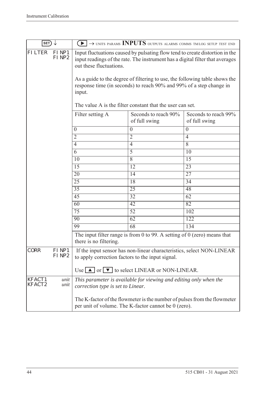| SET)             |                            | $\blacktriangleright$ $\rightarrow$ units params INPUTS outputs alarms comms tm/log setup test end                                                                                                                                                                                                                                                                                                                    |                                                                                                                                  |                                       |  |
|------------------|----------------------------|-----------------------------------------------------------------------------------------------------------------------------------------------------------------------------------------------------------------------------------------------------------------------------------------------------------------------------------------------------------------------------------------------------------------------|----------------------------------------------------------------------------------------------------------------------------------|---------------------------------------|--|
| <b>FILTER</b>    | FINP1<br>FI <sub>NP2</sub> | Input fluctuations caused by pulsating flow tend to create distortion in the<br>input readings of the rate. The instrument has a digital filter that averages<br>out these fluctuations.<br>As a guide to the degree of filtering to use, the following table shows the<br>response time (in seconds) to reach 90% and 99% of a step change in<br>input.<br>The value A is the filter constant that the user can set. |                                                                                                                                  |                                       |  |
|                  |                            | Filter setting A                                                                                                                                                                                                                                                                                                                                                                                                      | Seconds to reach 90%<br>of full swing                                                                                            | Seconds to reach 99%<br>of full swing |  |
|                  |                            | $\theta$                                                                                                                                                                                                                                                                                                                                                                                                              | $\overline{0}$                                                                                                                   | $\boldsymbol{0}$                      |  |
|                  |                            | $\overline{2}$                                                                                                                                                                                                                                                                                                                                                                                                        | $\overline{2}$                                                                                                                   | $\overline{4}$                        |  |
|                  |                            | $\overline{4}$                                                                                                                                                                                                                                                                                                                                                                                                        | $\overline{4}$                                                                                                                   | $\overline{8}$                        |  |
|                  |                            | 6                                                                                                                                                                                                                                                                                                                                                                                                                     | $\overline{5}$                                                                                                                   | 10                                    |  |
|                  |                            | 10                                                                                                                                                                                                                                                                                                                                                                                                                    | 8                                                                                                                                | 15                                    |  |
|                  |                            | $\overline{15}$                                                                                                                                                                                                                                                                                                                                                                                                       | $\overline{12}$                                                                                                                  | 23                                    |  |
|                  |                            | 20                                                                                                                                                                                                                                                                                                                                                                                                                    | 14                                                                                                                               | 27                                    |  |
|                  |                            | $\overline{25}$                                                                                                                                                                                                                                                                                                                                                                                                       | 18                                                                                                                               | 34                                    |  |
|                  |                            | $\overline{35}$                                                                                                                                                                                                                                                                                                                                                                                                       | $\overline{25}$                                                                                                                  | 48                                    |  |
|                  |                            | $\overline{45}$                                                                                                                                                                                                                                                                                                                                                                                                       | $\overline{32}$                                                                                                                  | 62                                    |  |
|                  |                            | 60                                                                                                                                                                                                                                                                                                                                                                                                                    | 42                                                                                                                               | 82                                    |  |
|                  |                            | $\overline{75}$                                                                                                                                                                                                                                                                                                                                                                                                       | $\overline{52}$                                                                                                                  | 102                                   |  |
|                  |                            | 90                                                                                                                                                                                                                                                                                                                                                                                                                    | $\overline{62}$                                                                                                                  | 122                                   |  |
|                  |                            | 99                                                                                                                                                                                                                                                                                                                                                                                                                    | 68                                                                                                                               | 134                                   |  |
|                  |                            | there is no filtering.                                                                                                                                                                                                                                                                                                                                                                                                | The input filter range is from 0 to 99. A setting of $0$ (zero) means that                                                       |                                       |  |
| <b>CORR</b>      | FINP1<br>FI <sub>NP2</sub> | to apply correction factors to the input signal.                                                                                                                                                                                                                                                                                                                                                                      | If the input sensor has non-linear characteristics, select NON-LINEAR<br>Use $\Box$ or $\nabla$ to select LINEAR or NON-LINEAR.  |                                       |  |
| KFACT1<br>KFACT2 | unit<br>unit               | This parameter is available for viewing and editing only when the<br>correction type is set to Linear.                                                                                                                                                                                                                                                                                                                |                                                                                                                                  |                                       |  |
|                  |                            |                                                                                                                                                                                                                                                                                                                                                                                                                       | The K-factor of the flowmeter is the number of pulses from the flowmeter<br>per unit of volume. The K-factor cannot be 0 (zero). |                                       |  |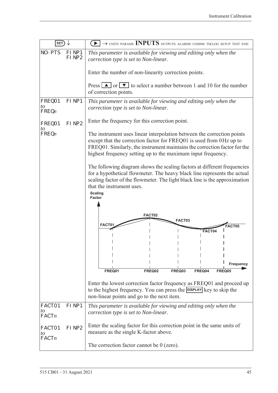| <b>SET</b>                   |                                        | $\rightarrow$ units params INPUTS outputs alarms comms tm/log setup test end                                                                                                                                                                                                                                                                                                                                                                                                                                                                                                                     |  |  |
|------------------------------|----------------------------------------|--------------------------------------------------------------------------------------------------------------------------------------------------------------------------------------------------------------------------------------------------------------------------------------------------------------------------------------------------------------------------------------------------------------------------------------------------------------------------------------------------------------------------------------------------------------------------------------------------|--|--|
| NO-PTS                       | FI <sub>NP1</sub><br>FI <sub>NP2</sub> | This parameter is available for viewing and editing only when the<br>correction type is set to Non-linear.                                                                                                                                                                                                                                                                                                                                                                                                                                                                                       |  |  |
|                              |                                        | Enter the number of non-linearity correction points.                                                                                                                                                                                                                                                                                                                                                                                                                                                                                                                                             |  |  |
|                              |                                        | Press $\Box$ or $\nabla$ to select a number between 1 and 10 for the number<br>of correction points.                                                                                                                                                                                                                                                                                                                                                                                                                                                                                             |  |  |
| <b>FREQ01</b><br>to<br>FREDn | FINP <sub>1</sub>                      | This parameter is available for viewing and editing only when the<br>correction type is set to Non-linear.                                                                                                                                                                                                                                                                                                                                                                                                                                                                                       |  |  |
| <b>FREQ01</b>                | FI <sub>NP2</sub>                      | Enter the frequency for this correction point.                                                                                                                                                                                                                                                                                                                                                                                                                                                                                                                                                   |  |  |
| to<br>FREDn                  |                                        | The instrument uses linear interpolation between the correction points<br>except that the correction factor for FREQ01 is used from 0Hz up to<br>FREQ01. Similarly, the instrument maintains the correction factor for the<br>highest frequency setting up to the maximum input frequency.<br>The following diagram shows the scaling factors at different frequencies<br>for a hypothetical flowmeter. The heavy black line represents the actual<br>scaling factor of the flowmeter. The light black line is the approximation<br>that the instrument uses.<br><b>Scaling</b><br><b>Factor</b> |  |  |
|                              |                                        | FACT02                                                                                                                                                                                                                                                                                                                                                                                                                                                                                                                                                                                           |  |  |
|                              |                                        | FACT03<br>FACT01<br><b>FACT05</b><br>FACT04<br><b>Frequency</b><br>FREQ02<br>FREQ03<br>FREQ01<br>FREQ04<br>FREQ05                                                                                                                                                                                                                                                                                                                                                                                                                                                                                |  |  |
|                              |                                        | Enter the lowest correction factor frequency as FREQ01 and proceed up<br>to the highest frequency. You can press the <b>DISPLAY</b> key to skip the<br>non-linear points and go to the next item.                                                                                                                                                                                                                                                                                                                                                                                                |  |  |
| FACT01<br>to<br>FACTn        | FI <sub>NP1</sub>                      | This parameter is available for viewing and editing only when the<br>correction type is set to Non-linear.                                                                                                                                                                                                                                                                                                                                                                                                                                                                                       |  |  |
| FACT01<br>to<br>FACTn        | FI <sub>NP2</sub>                      | Enter the scaling factor for this correction point in the same units of<br>measure as the single K-factor above.                                                                                                                                                                                                                                                                                                                                                                                                                                                                                 |  |  |
|                              |                                        | The correction factor cannot be $0$ (zero).                                                                                                                                                                                                                                                                                                                                                                                                                                                                                                                                                      |  |  |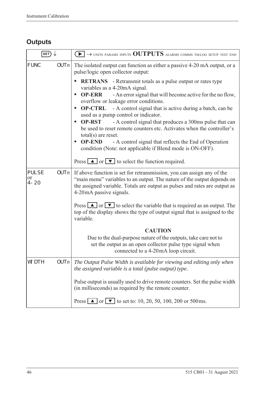# **Outputs**

| SET)                                   | $\textcolor{blue}{\blacktriangleright} \rightarrow$ units params inputs $\textcolor{blue}{\text{OUTPUTS}}$ alarms comms tmlog setup test end                                                                                                                                                                                                                                                                                                                                                                                                                                                                                                                                                                                                                                                                               |  |  |
|----------------------------------------|----------------------------------------------------------------------------------------------------------------------------------------------------------------------------------------------------------------------------------------------------------------------------------------------------------------------------------------------------------------------------------------------------------------------------------------------------------------------------------------------------------------------------------------------------------------------------------------------------------------------------------------------------------------------------------------------------------------------------------------------------------------------------------------------------------------------------|--|--|
| <b>FUNC</b><br>OUTn                    | The isolated output can function as either a passive 4-20 mA output, or a<br>pulse/logic open collector output:                                                                                                                                                                                                                                                                                                                                                                                                                                                                                                                                                                                                                                                                                                            |  |  |
|                                        | <b>RETRANS</b> - Retransmit totals as a pulse output or rates type<br>variables as a 4-20mA signal.<br><b>OP-ERR</b><br>- An error signal that will become active for the no flow,<br>$\bullet$<br>overflow or leakage error conditions.<br><b>OP-CTRL</b> - A control signal that is active during a batch, can be<br>$\bullet$<br>used as a pump control or indicator.<br><b>OP-RST</b><br>- A control signal that produces a 300ms pulse that can<br>$\bullet$<br>be used to reset remote counters etc. Activates when the controller's<br>$total(s)$ are reset.<br><b>OP-END</b><br>- A control signal that reflects the End of Operation<br>$\bullet$<br>condition (Note: not applicable if Blend mode is ON-OFF).<br>Press $\boxed{\blacktriangle}$ or $\boxed{\blacktriangledown}$ to select the function required. |  |  |
| <b>PULSE</b><br>OUTn<br>or<br>$4 - 20$ | If above function is set for retransmission, you can assign any of the<br>"main menu" variables to an output. The nature of the output depends on<br>the assigned variable. Totals are output as pulses and rates are output as<br>4-20 mA passive signals.<br>Press $\Box$ or $\nabla$ to select the variable that is required as an output. The<br>top of the display shows the type of output signal that is assigned to the<br>variable.                                                                                                                                                                                                                                                                                                                                                                               |  |  |
|                                        | <b>CAUTION</b><br>Due to the dual-purpose nature of the outputs, take care not to                                                                                                                                                                                                                                                                                                                                                                                                                                                                                                                                                                                                                                                                                                                                          |  |  |
|                                        | set the output as an open collector pulse type signal when<br>connected to a 4-20mA loop circuit.                                                                                                                                                                                                                                                                                                                                                                                                                                                                                                                                                                                                                                                                                                                          |  |  |
| <b>WI DTH</b><br>OUT <sub>n</sub>      | The Output Pulse Width is available for viewing and editing only when<br>the assigned variable is a total (pulse output) type.                                                                                                                                                                                                                                                                                                                                                                                                                                                                                                                                                                                                                                                                                             |  |  |
|                                        | Pulse output is usually used to drive remote counters. Set the pulse width<br>(in milliseconds) as required by the remote counter.                                                                                                                                                                                                                                                                                                                                                                                                                                                                                                                                                                                                                                                                                         |  |  |
|                                        | Press $\boxed{\blacktriangle}$ or $\boxed{\blacktriangledown}$ to set to: 10, 20, 50, 100, 200 or 500 ms.                                                                                                                                                                                                                                                                                                                                                                                                                                                                                                                                                                                                                                                                                                                  |  |  |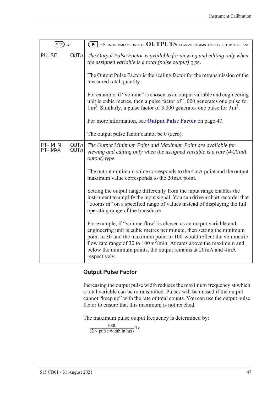| SET)             |                          |                                                                                                                                                                                                                                                                                                                                                                                               |
|------------------|--------------------------|-----------------------------------------------------------------------------------------------------------------------------------------------------------------------------------------------------------------------------------------------------------------------------------------------------------------------------------------------------------------------------------------------|
| <b>PULSE</b>     | OUT <sub>n</sub>         | The Output Pulse Factor is available for viewing and editing only when<br>the assigned variable is a total (pulse output) type.                                                                                                                                                                                                                                                               |
|                  |                          | The Output Pulse Factor is the scaling factor for the retransmission of the<br>measured total quantity.                                                                                                                                                                                                                                                                                       |
|                  |                          | For example, if "volume" is chosen as an output variable and engineering<br>unit is cubic metres, then a pulse factor of 1.000 generates one pulse for<br>$1 \text{ m}^3$ . Similarly, a pulse factor of 3.000 generates one pulse for $3 \text{ m}^3$ .                                                                                                                                      |
|                  |                          | For more information, see Output Pulse Factor on page 47.                                                                                                                                                                                                                                                                                                                                     |
|                  |                          | The output pulse factor cannot be $0$ (zero).                                                                                                                                                                                                                                                                                                                                                 |
| PT-MIN<br>PT-MAX | OUTn<br>OUT <sub>n</sub> | The Output Minimum Point and Maximum Point are available for<br>viewing and editing only when the assigned variable is a rate (4-20mA<br>output) type.                                                                                                                                                                                                                                        |
|                  |                          | The output minimum value corresponds to the 4mA point and the output<br>maximum value corresponds to the 20mA point.                                                                                                                                                                                                                                                                          |
|                  |                          | Setting the output range differently from the input range enables the<br>instrument to amplify the input signal. You can drive a chart recorder that<br>"zooms in" on a specified range of values instead of displaying the full<br>operating range of the transducer.                                                                                                                        |
|                  |                          | For example, if "volume flow" is chosen as an output variable and<br>engineering unit is cubic metres per minute, then setting the minimum<br>point to 30 and the maximum point to 100 would reflect the volumetric<br>flow rate range of 30 to $100 \text{m}^3/\text{min}$ . At rates above the maximum and<br>below the minimum points, the output remains at 20mA and 4mA<br>respectively. |

#### <span id="page-56-0"></span>**Output Pulse Factor**

Increasing the output pulse width reduces the maximum frequency at which a total variable can be retransmitted. Pulses will be missed if the output cannot "keep up" with the rate of total counts. You can use the output pulse factor to ensure that this maximum is not reached.

The maximum pulse output frequency is determined by:

```
1000
\frac{1000}{(2 \times \text{pulse width in ms})}Hz
```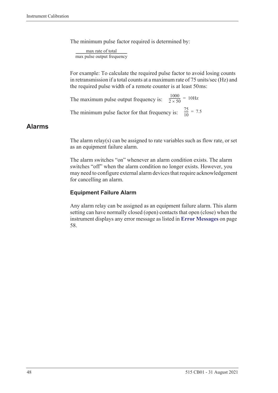The minimum pulse factor required is determined by:

max rate of total max pulse output frequency ------------------------------------------------------------------

For example: To calculate the required pulse factor to avoid losing counts in retransmission if a total counts at a maximum rate of 75 units/sec (Hz) and the required pulse width of a remote counter is at least 50 ms:

The maximum pulse output frequency is:  $\frac{1000}{2 \times 50}$  = 10Hz The minimum pulse factor for that frequency is:  $\frac{75}{10}$  $\frac{73}{10}$  = 7.5

#### **Alarms**

The alarm relay(s) can be assigned to rate variables such as flow rate, or set as an equipment failure alarm.

The alarm switches "on" whenever an alarm condition exists. The alarm switches "off" when the alarm condition no longer exists. However, you may need to configure external alarm devices that require acknowledgement for cancelling an alarm.

#### **Equipment Failure Alarm**

Any alarm relay can be assigned as an equipment failure alarm. This alarm setting can have normally closed (open) contacts that open (close) when the instrument displays any error message as listed in **[Error Messages](#page-67-0)** on page [58](#page-67-0).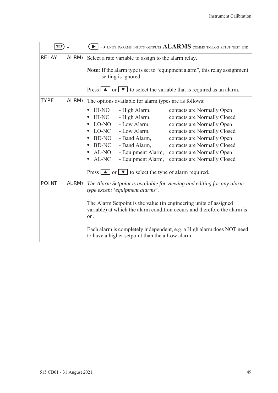| SET)         |              | $\rightarrow$ units params inputs outputs $ALARMS$ comms tm/log setup test end                                                                            |                                                                                                                                                                                                              |                                                                                                                                                                                                                                                                                                 |
|--------------|--------------|-----------------------------------------------------------------------------------------------------------------------------------------------------------|--------------------------------------------------------------------------------------------------------------------------------------------------------------------------------------------------------------|-------------------------------------------------------------------------------------------------------------------------------------------------------------------------------------------------------------------------------------------------------------------------------------------------|
| <b>RELAY</b> | ALRMn        | Select a rate variable to assign to the alarm relay.<br>Note: If the alarm type is set to "equipment alarm", this relay assignment<br>setting is ignored. |                                                                                                                                                                                                              |                                                                                                                                                                                                                                                                                                 |
|              |              | Press $\boxed{\blacktriangle}$ or $\boxed{\blacktriangledown}$ to select the variable that is required as an alarm.                                       |                                                                                                                                                                                                              |                                                                                                                                                                                                                                                                                                 |
| <b>TYPE</b>  | <b>ALRMn</b> |                                                                                                                                                           | The options available for alarm types are as follows:                                                                                                                                                        |                                                                                                                                                                                                                                                                                                 |
|              |              | HI-NO<br>HI-NC<br>LO-NO<br>LO-NC<br>BD-NO<br>$\bullet$<br>BD-NC<br>AL-NO<br>AL-NC                                                                         | - High Alarm,<br>- High Alarm,<br>- Low Alarm,<br>- Low Alarm,<br>- Band Alarm,<br>- Band Alarm,<br>- Equipment Alarm,<br>- Equipment Alarm,<br>Press $\Box$ or $\Box$ to select the type of alarm required. | contacts are Normally Open<br>contacts are Normally Closed<br>contacts are Normally Open<br>contacts are Normally Closed<br>contacts are Normally Open<br>contacts are Normally Closed<br>contacts are Normally Open<br>contacts are Normally Closed                                            |
| POI NT       | ALRMn        | on.                                                                                                                                                       | type except 'equipment alarms'.<br>to have a higher setpoint than the a Low alarm.                                                                                                                           | The Alarm Setpoint is available for viewing and editing for any alarm<br>The Alarm Setpoint is the value (in engineering units of assigned<br>variable) at which the alarm condition occurs and therefore the alarm is<br>Each alarm is completely independent, e.g. a High alarm does NOT need |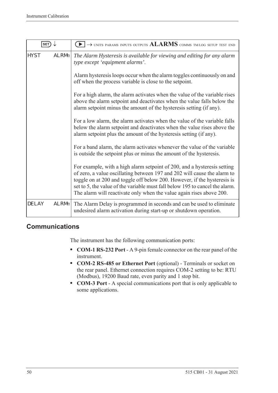| SET)                         | $\rightarrow$ units params inputs outputs $ALARMS$ comms tm/log setup test end                                                                                                                                                                                                                                                                                                           |
|------------------------------|------------------------------------------------------------------------------------------------------------------------------------------------------------------------------------------------------------------------------------------------------------------------------------------------------------------------------------------------------------------------------------------|
| <b>ALRMn</b><br><b>HYST</b>  | The Alarm Hysteresis is available for viewing and editing for any alarm<br>type except 'equipment alarms'.                                                                                                                                                                                                                                                                               |
|                              | Alarm hysteresis loops occur when the alarm toggles continuously on and<br>off when the process variable is close to the setpoint.                                                                                                                                                                                                                                                       |
|                              | For a high alarm, the alarm activates when the value of the variable rises<br>above the alarm setpoint and deactivates when the value falls below the<br>alarm setpoint minus the amount of the hysteresis setting (if any).                                                                                                                                                             |
|                              | For a low alarm, the alarm activates when the value of the variable falls<br>below the alarm setpoint and deactivates when the value rises above the<br>alarm setpoint plus the amount of the hysteresis setting (if any).                                                                                                                                                               |
|                              | For a band alarm, the alarm activates whenever the value of the variable<br>is outside the setpoint plus or minus the amount of the hysteresis.                                                                                                                                                                                                                                          |
|                              | For example, with a high alarm setpoint of 200, and a hysteresis setting<br>of zero, a value oscillating between 197 and 202 will cause the alarm to<br>toggle on at 200 and toggle off below 200. However, if the hysteresis is<br>set to 5, the value of the variable must fall below 195 to cancel the alarm.<br>The alarm will reactivate only when the value again rises above 200. |
| <b>DELAY</b><br><b>ALRMn</b> | The Alarm Delay is programmed in seconds and can be used to eliminate<br>undesired alarm activation during start-up or shutdown operation.                                                                                                                                                                                                                                               |

## **Communications**

The instrument has the following communication ports:

- **• COM-1 RS-232 Port** A 9-pin female connector on the rear panel of the instrument.
- **• COM-2 RS-485 or Ethernet Port** (optional) Terminals or socket on the rear panel. Ethernet connection requires COM-2 setting to be: RTU (Modbus), 19200 Baud rate, even parity and 1 stop bit.
- **• COM-3 Port** A special communications port that is only applicable to some applications.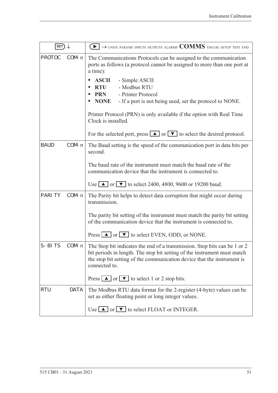| <b>SET</b>                 | $\blacktriangleright$ $\rightarrow$ units params inputs outputs alarms $\text{COMMS}$ tm/log setup test end                                                                                                                                       |  |
|----------------------------|---------------------------------------------------------------------------------------------------------------------------------------------------------------------------------------------------------------------------------------------------|--|
| <b>PROTOC</b><br>$COM - n$ | The Communications Protocols can be assigned to the communication<br>ports as follows (a protocol cannot be assigned to more than one port at<br>a time):                                                                                         |  |
|                            | <b>ASCII</b><br>- Simple ASCII                                                                                                                                                                                                                    |  |
|                            | - Modbus RTU<br><b>RTU</b>                                                                                                                                                                                                                        |  |
|                            | - Printer Protocol<br><b>PRN</b><br><b>NONE</b><br>- If a port is not being used, set the protocol to NONE.                                                                                                                                       |  |
|                            |                                                                                                                                                                                                                                                   |  |
|                            | Printer Protocol (PRN) is only available if the option with Real Time<br>Clock is installed.                                                                                                                                                      |  |
|                            | For the selected port, press $\boxed{\blacktriangle}$ or $\boxed{\blacktriangledown}$ to select the desired protocol.                                                                                                                             |  |
| $COM - n$<br><b>BAUD</b>   | The Baud setting is the speed of the communication port in data bits per<br>second.                                                                                                                                                               |  |
|                            | The baud rate of the instrument must match the baud rate of the<br>communication device that the instrument is connected to.                                                                                                                      |  |
|                            | Use 1 or $\bullet$ to select 2400, 4800, 9600 or 19200 baud.                                                                                                                                                                                      |  |
| PARI TY<br>$COM - n$       | The Parity bit helps to detect data corruption that might occur during<br>transmission.                                                                                                                                                           |  |
|                            | The parity bit setting of the instrument must match the parity bit setting<br>of the communication device that the instrument is connected to.                                                                                                    |  |
|                            | Press $\Box$ or $\nabla$ to select EVEN, ODD, or NONE.                                                                                                                                                                                            |  |
| S-BITS<br>$COM - n$        | The Stop bit indicates the end of a transmission. Stop bits can be 1 or 2<br>bit periods in length. The stop bit setting of the instrument must match<br>the stop bit setting of the communication device that the instrument is<br>connected to. |  |
|                            | Press $\boxed{\blacktriangle}$ or $\boxed{\blacktriangledown}$ to select 1 or 2 stop bits.                                                                                                                                                        |  |
| <b>DATA</b><br>RTU         | The Modbus RTU data format for the 2-register (4-byte) values can be<br>set as either floating point or long integer values.                                                                                                                      |  |
|                            | Use $\blacksquare$ or $\blacksquare$ to select FLOAT or INTEGER.                                                                                                                                                                                  |  |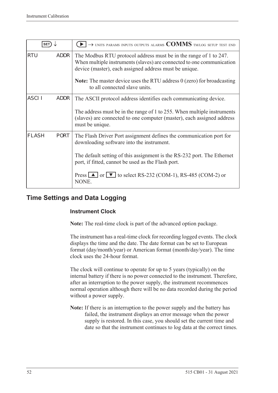| <b>SET</b>   |             | $\rightarrow$ units params inputs outputs alarms $\text{COMMS}$ tm/log setup test end                                                                                                                |
|--------------|-------------|------------------------------------------------------------------------------------------------------------------------------------------------------------------------------------------------------|
| <b>RTU</b>   | ADDR        | The Modbus RTU protocol address must be in the range of 1 to 247.<br>When multiple instruments (slaves) are connected to one communication<br>device (master), each assigned address must be unique. |
|              |             | <b>Note:</b> The master device uses the RTU address $0$ (zero) for broadcasting<br>to all connected slave units.                                                                                     |
| <b>ASCII</b> | <b>ADDR</b> | The ASCII protocol address identifies each communicating device.                                                                                                                                     |
|              |             | The address must be in the range of 1 to 255. When multiple instruments<br>(slaves) are connected to one computer (master), each assigned address<br>must be unique.                                 |
| <b>FLASH</b> | <b>PORT</b> | The Flash Driver Port assignment defines the communication port for<br>downloading software into the instrument.                                                                                     |
|              |             | The default setting of this assignment is the RS-232 port. The Ethernet<br>port, if fitted, cannot be used as the Flash port.                                                                        |
|              |             | Press $\Box$ or $\Box$ to select RS-232 (COM-1), RS-485 (COM-2) or<br>NONE.                                                                                                                          |

## **Time Settings and Data Logging**

#### **Instrument Clock**

**Note:** The real-time clock is part of the advanced option package.

The instrument has a real-time clock for recording logged events. The clock displays the time and the date. The date format can be set to European format (day/month/year) or American format (month/day/year). The time clock uses the 24-hour format.

The clock will continue to operate for up to 5 years (typically) on the internal battery if there is no power connected to the instrument. Therefore, after an interruption to the power supply, the instrument recommences normal operation although there will be no data recorded during the period without a power supply.

**Note:** If there is an interruption to the power supply and the battery has failed, the instrument displays an error message when the power supply is restored. In this case, you should set the current time and date so that the instrument continues to log data at the correct times.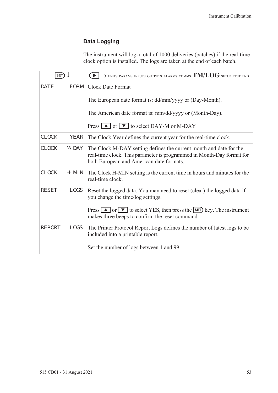## **Data Logging**

The instrument will log a total of 1000 deliveries (batches) if the real-time clock option is installed. The logs are taken at the end of each batch.

| SET)          |             | $\rightarrow$ units params inputs outputs alarms comms $\mathrm{TM/LOG}$ setup test end                                                                                                 |
|---------------|-------------|-----------------------------------------------------------------------------------------------------------------------------------------------------------------------------------------|
| <b>DATE</b>   | <b>FORM</b> | <b>Clock Date Format</b>                                                                                                                                                                |
|               |             | The European date format is: dd/mm/yyyy or (Day-Month).                                                                                                                                 |
|               |             | The American date format is: mm/dd/yyyy or (Month-Day).                                                                                                                                 |
|               |             | Press $\boxed{\blacktriangle}$ or $\boxed{\blacktriangledown}$ to select DAY-M or M-DAY                                                                                                 |
| <b>CLOCK</b>  | <b>YEAR</b> | The Clock Year defines the current year for the real-time clock.                                                                                                                        |
| <b>CLOCK</b>  | $M - DAY$   | The Clock M-DAY setting defines the current month and date for the<br>real-time clock. This parameter is programmed in Month-Day format for<br>both European and American date formats. |
| <b>CLOCK</b>  | $H-MI N$    | The Clock H-MIN setting is the current time in hours and minutes for the<br>real-time clock.                                                                                            |
| <b>RESET</b>  | <b>LOGS</b> | Reset the logged data. You may need to reset (clear) the logged data if<br>you change the time/log settings.                                                                            |
|               |             | Press $\Box$ or $\nabla$ to select YES, then press the <b>SET</b> ) key. The instrument<br>makes three beeps to confirm the reset command.                                              |
| <b>REPORT</b> | <b>LOGS</b> | The Printer Protocol Report Logs defines the number of latest logs to be<br>included into a printable report.                                                                           |
|               |             | Set the number of logs between 1 and 99.                                                                                                                                                |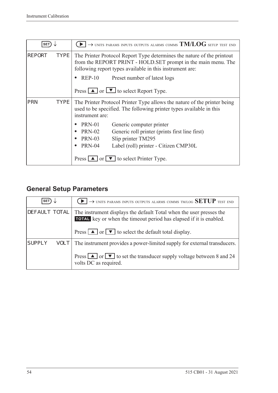| <b>SET</b>    |             | $\rightarrow$ units params inputs outputs alarms comms $TM/LOG$ setup test end                                                                                                                      |  |  |
|---------------|-------------|-----------------------------------------------------------------------------------------------------------------------------------------------------------------------------------------------------|--|--|
| <b>REPORT</b> | <b>TYPE</b> | The Printer Protocol Report Type determines the nature of the printout<br>from the REPORT PRINT - HOLD.SET prompt in the main menu. The<br>following report types available in this instrument are: |  |  |
|               |             | REP-10 Preset number of latest logs                                                                                                                                                                 |  |  |
|               |             | Press $\boxed{\blacktriangle}$ or $\boxed{\blacktriangledown}$ to select Report Type.                                                                                                               |  |  |
| <b>PRN</b>    | <b>TYPE</b> | The Printer Protocol Printer Type allows the nature of the printer being<br>used to be specified. The following printer types available in this<br>instrument are:                                  |  |  |
|               |             | <b>PRN-01</b><br>Generic computer printer                                                                                                                                                           |  |  |
|               |             | <b>PRN-02</b><br>Generic roll printer (prints first line first)                                                                                                                                     |  |  |
|               |             | <b>PRN-03</b><br>Slip printer TM295                                                                                                                                                                 |  |  |
|               |             | <b>PRN-04</b><br>Label (roll) printer - Citizen CMP30L                                                                                                                                              |  |  |
|               |             | Press $\boxed{\blacktriangle}$ or $\boxed{\blacktriangledown}$ to select Printer Type.                                                                                                              |  |  |

# <span id="page-63-0"></span>**General Setup Parameters**

| $ $ SET $) \downarrow$ | $\rightarrow$ units params inputs outputs alarms comms tm/log SETUP test end                                                                     |
|------------------------|--------------------------------------------------------------------------------------------------------------------------------------------------|
| DEFAULT TOTAL          | The instrument displays the default Total when the user presses the<br><b>TOTAL</b> key or when the timeout period has elapsed if it is enabled. |
|                        | Press $\boxed{\blacktriangle}$ or $\boxed{\blacktriangledown}$ to select the default total display.                                              |
| <b>SUPPLY</b><br>VOLT  | The instrument provides a power-limited supply for external transducers.                                                                         |
|                        | Press $\Box$ or $\Box$ to set the transducer supply voltage between 8 and 24<br>volts DC as required.                                            |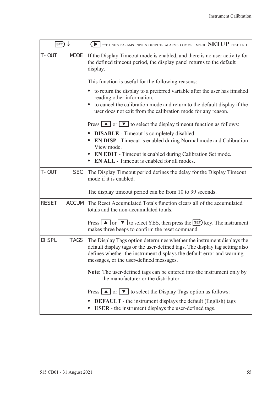| SET)                         | $\textcolor{red}{\blacktriangleright} \hspace{1mm} \rightarrow$ units params inputs outputs alarms comms tm/log $\text{SETUP}$ test end                                                                                                                                   |
|------------------------------|---------------------------------------------------------------------------------------------------------------------------------------------------------------------------------------------------------------------------------------------------------------------------|
| <b>MODE</b><br>T-OUT         | If the Display Timeout mode is enabled, and there is no user activity for<br>the defined timeout period, the display panel returns to the default<br>display.                                                                                                             |
|                              | This function is useful for the following reasons:                                                                                                                                                                                                                        |
|                              | to return the display to a preferred variable after the user has finished<br>$\bullet$<br>reading other information,<br>to cancel the calibration mode and return to the default display if the                                                                           |
|                              | user does not exit from the calibration mode for any reason.                                                                                                                                                                                                              |
|                              | Press $\boxed{\blacktriangle}$ or $\boxed{\blacktriangledown}$ to select the display timeout function as follows:                                                                                                                                                         |
|                              | <b>DISABLE</b> - Timeout is completely disabled.<br>$\bullet$<br><b>EN DISP</b> - Timeout is enabled during Normal mode and Calibration<br>View mode.                                                                                                                     |
|                              | <b>EN EDIT</b> - Timeout is enabled during Calibration Set mode.<br>$\bullet$<br><b>EN ALL</b> - Timeout is enabled for all modes.                                                                                                                                        |
| <b>SEC</b><br>T-OUT          | The Display Timeout period defines the delay for the Display Timeout<br>mode if it is enabled.                                                                                                                                                                            |
|                              | The display timeout period can be from 10 to 99 seconds.                                                                                                                                                                                                                  |
| <b>ACCUM</b><br><b>RESET</b> | The Reset Accumulated Totals function clears all of the accumulated<br>totals and the non-accumulated totals.                                                                                                                                                             |
|                              | Press $\Box$ or $\nabla$ to select YES, then press the <b>SET</b> ) key. The instrument<br>makes three beeps to confirm the reset command.                                                                                                                                |
| DI SPL<br><b>TAGS</b>        | The Display Tags option determines whether the instrument displays the<br>default display tags or the user-defined tags. The display tag setting also<br>defines whether the instrument displays the default error and warning<br>messages, or the user-defined messages. |
|                              | Note: The user-defined tags can be entered into the instrument only by<br>the manufacturer or the distributor.                                                                                                                                                            |
|                              | Press $\Box$ or $\nabla$ to select the Display Tags option as follows:                                                                                                                                                                                                    |
|                              | <b>DEFAULT</b> - the instrument displays the default (English) tags<br>$\bullet$<br><b>USER</b> - the instrument displays the user-defined tags.                                                                                                                          |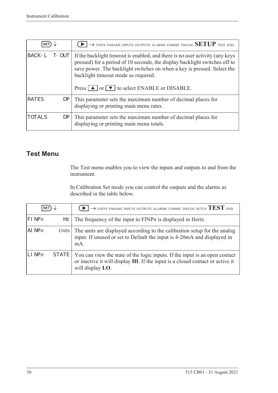| <b>SET</b>    |                 | $\rightarrow$ units params inputs outputs alarms comms tm/log SETUP test end                                                                                                                                                                                                                                                           |
|---------------|-----------------|----------------------------------------------------------------------------------------------------------------------------------------------------------------------------------------------------------------------------------------------------------------------------------------------------------------------------------------|
| BACK-L        | T-OUT           | If the backlight time out is enabled, and there is no user activity (any keys<br>pressed) for a period of 10 seconds, the display backlight switches off to<br>save power. The backlight switches on when a key is pressed. Select the<br>backlight timeout mode as required.<br>Press $\Box$ or $\nabla$ to select ENABLE or DISABLE. |
| <b>RATES</b>  | DP I            | This parameter sets the maximum number of decimal places for<br>displaying or printing main menu rates.                                                                                                                                                                                                                                |
| <b>TOTALS</b> | DP <sub>1</sub> | This parameter sets the maximum number of decimal places for<br>displaying or printing main menu totals.                                                                                                                                                                                                                               |

## **Test Menu**

The Test menu enables you to view the inputs and outputs to and from the instrument.

In Calibration Set mode you can control the outputs and the alarms as described in the table below.

| <b>SET</b>   |       | $\rightarrow$ units params inputs outputs alarms comms tm/log setup $\mathrm{TEST}$ end                                                                                                  |
|--------------|-------|------------------------------------------------------------------------------------------------------------------------------------------------------------------------------------------|
| F1 NPn       | Hz    | The frequency of the input to $FINPn$ is displayed in Hertz.                                                                                                                             |
| AI $N\Box n$ | Units | The units are displayed according to the calibration setup for the analog<br>input. If unused or set to Default the input is 4-20mA and displayed in<br>mA.                              |
| LI NPn       |       | STATE   You can view the state of the logic inputs. If the input is an open contact<br>or inactive it will display HI. If the input is a closed contact or active it<br>will display LO. |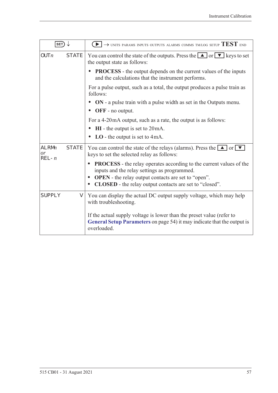| SET)                     |              | $\rightarrow$ units params inputs outputs alarms comms tm/log setup $\mathrm{TEST}$ end                                                                         |
|--------------------------|--------------|-----------------------------------------------------------------------------------------------------------------------------------------------------------------|
| OUT <sub>n</sub>         | <b>STATE</b> | You can control the state of the outputs. Press the $\Box$ or $\nabla$ keys to set<br>the output state as follows:                                              |
|                          |              | <b>PROCESS</b> - the output depends on the current values of the inputs<br>and the calculations that the instrument performs.                                   |
|                          |              | For a pulse output, such as a total, the output produces a pulse train as<br>follows:                                                                           |
|                          |              | ON - a pulse train with a pulse width as set in the Outputs menu.<br>OFF - no output.                                                                           |
|                          |              | For a 4-20 mA output, such as a rate, the output is as follows:                                                                                                 |
|                          |              | $HI - the output is set to 20 mA.$                                                                                                                              |
|                          |              | LO - the output is set to $4mA$ .                                                                                                                               |
| ALRMn<br>or<br>$REL - n$ | <b>STATE</b> | You can control the state of the relays (alarms). Press the $\Box$ or $\nabla$<br>keys to set the selected relay as follows:                                    |
|                          |              | PROCESS - the relay operates according to the current values of the<br>inputs and the relay settings as programmed.                                             |
|                          |              | <b>OPEN</b> - the relay output contacts are set to "open".<br>$\bullet$                                                                                         |
|                          |              | CLOSED - the relay output contacts are set to "closed".                                                                                                         |
| <b>SUPPLY</b>            | V            | You can display the actual DC output supply voltage, which may help<br>with troubleshooting.                                                                    |
|                          |              | If the actual supply voltage is lower than the preset value (refer to<br>General Setup Parameters on page 54) it may indicate that the output is<br>overloaded. |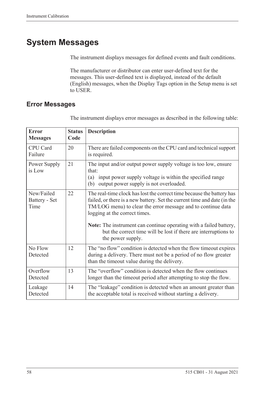# **System Messages**

The instrument displays messages for defined events and fault conditions.

The manufacturer or distributor can enter user-defined text for the messages. This user-defined text is displayed, instead of the default (English) messages, when the Display Tags option in the Setup menu is set to USER.

## <span id="page-67-0"></span>**Error Messages**

| <b>Error</b><br><b>Messages</b>     | <b>Status</b><br>Code | <b>Description</b>                                                                                                                                                                                                                                                                                                                                                                          |
|-------------------------------------|-----------------------|---------------------------------------------------------------------------------------------------------------------------------------------------------------------------------------------------------------------------------------------------------------------------------------------------------------------------------------------------------------------------------------------|
| CPU Card<br>Failure                 | 20                    | There are failed components on the CPU card and technical support<br>is required.                                                                                                                                                                                                                                                                                                           |
| Power Supply<br>is Low              | 21                    | The input and/or output power supply voltage is too low, ensure<br>that:<br>input power supply voltage is within the specified range<br>(a)<br>output power supply is not overloaded.<br>(b)                                                                                                                                                                                                |
| New/Failed<br>Battery - Set<br>Time | 22                    | The real-time clock has lost the correct time because the battery has<br>failed, or there is a new battery. Set the current time and date (in the<br>TM/LOG menu) to clear the error message and to continue data<br>logging at the correct times.<br>Note: The instrument can continue operating with a failed battery,<br>but the correct time will be lost if there are interruptions to |
|                                     |                       | the power supply.                                                                                                                                                                                                                                                                                                                                                                           |
| No Flow<br>Detected                 | 12                    | The "no flow" condition is detected when the flow timeout expires<br>during a delivery. There must not be a period of no flow greater<br>than the timeout value during the delivery.                                                                                                                                                                                                        |
| Overflow<br>Detected                | 13                    | The "overflow" condition is detected when the flow continues<br>longer than the timeout period after attempting to stop the flow.                                                                                                                                                                                                                                                           |
| Leakage<br>Detected                 | 14                    | The "leakage" condition is detected when an amount greater than<br>the acceptable total is received without starting a delivery.                                                                                                                                                                                                                                                            |

The instrument displays error messages as described in the following table: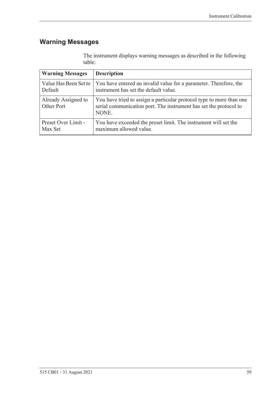# **Warning Messages**

The instrument displays warning messages as described in the following table:

| <b>Warning Messages</b>           | <b>Description</b>                                                                                                                                 |
|-----------------------------------|----------------------------------------------------------------------------------------------------------------------------------------------------|
| Value Has Been Set to             | You have entered an invalid value for a parameter. Therefore, the                                                                                  |
| Default                           | instrument has set the default value.                                                                                                              |
| Already Assigned to<br>Other Port | You have tried to assign a particular protocol type to more than one<br>serial communication port. The instrument has set the protocol to<br>NONE. |
| Preset Over Limit -               | You have exceeded the preset limit. The instrument will set the                                                                                    |
| Max Set                           | maximum allowed value.                                                                                                                             |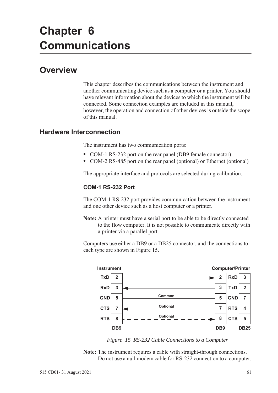# **Chapter 6 Communications**

# **Overview**

This chapter describes the communications between the instrument and another communicating device such as a computer or a printer. You should have relevant information about the devices to which the instrument will be connected. Some connection examples are included in this manual, however, the operation and connection of other devices is outside the scope of this manual.

#### **Hardware Interconnection**

The instrument has two communication ports:

- **•** COM-1 RS-232 port on the rear panel (DB9 female connector)
- **•** COM-2 RS-485 port on the rear panel (optional) or Ethernet (optional)

The appropriate interface and protocols are selected during calibration.

#### **COM-1 RS-232 Port**

The COM-1 RS-232 port provides communication between the instrument and one other device such as a host computer or a printer.

**Note:** A printer must have a serial port to be able to be directly connected to the flow computer. It is not possible to communicate directly with a printer via a parallel port.

Computers use either a DB9 or a DB25 connector, and the connections to each type are shown in [Figure 15.](#page-70-0)



*Figure 15 RS-232 Cable Connections to a Computer*

<span id="page-70-0"></span>**Note:** The instrument requires a cable with straight-through connections. Do not use a null modem cable for RS-232 connection to a computer.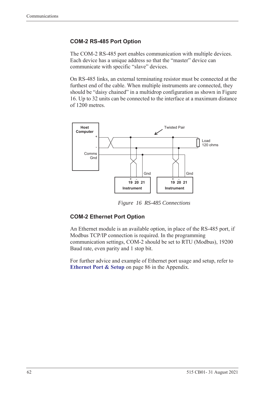#### **COM-2 RS-485 Port Option**

The COM-2 RS-485 port enables communication with multiple devices. Each device has a unique address so that the "master" device can communicate with specific "slave" devices.

On RS-485 links, an external terminating resistor must be connected at the furthest end of the cable. When multiple instruments are connected, they should be "daisy chained" in a multidrop configuration as shown in [Figure](#page-71-0)  [16](#page-71-0). Up to 32 units can be connected to the interface at a maximum distance of 1200 metres.



*Figure 16 RS-485 Connections*

#### <span id="page-71-0"></span>**COM-2 Ethernet Port Option**

An Ethernet module is an available option, in place of the RS-485 port, if Modbus TCP/IP connection is required. In the programming communication settings, COM-2 should be set to RTU (Modbus), 19200 Baud rate, even parity and 1 stop bit.

For further advice and example of Ethernet port usage and setup, refer to **[Ethernet Port & Setup](#page-95-0)** on page 86 in the Appendix.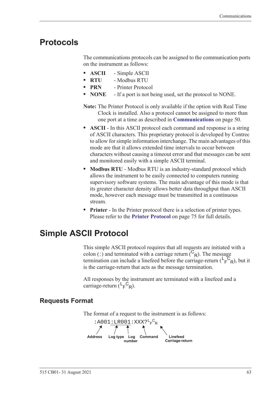### **Protocols**

<span id="page-72-1"></span>The communications protocols can be assigned to the communication ports on the instrument as follows:

- **• ASCII** Simple ASCII
- **• RTU** Modbus RTU
- **• PRN** Printer Protocol
- **• NONE** If a port is not being used, set the protocol to NONE.
- **Note:** The Printer Protocol is only available if the option with Real Time Clock is installed. Also a protocol cannot be assigned to more than one port at a time as described in **[Communications](#page-59-0)** on page 50.
- **• ASCII** In this ASCII protocol each command and response is a string of ASCII characters. This proprietary protocol is developed by Contrec to allow for simple information interchange. The main advantages of this mode are that it allows extended time intervals to occur between characters without causing a timeout error and that messages can be sent and monitored easily with a simple ASCII terminal.
- **• Modbus RTU** Modbus RTU is an industry-standard protocol which allows the instrument to be easily connected to computers running supervisory software systems. The main advantage of this mode is that its greater character density allows better data throughput than ASCII mode, however each message must be transmitted in a continuous stream.
- <span id="page-72-0"></span>**• Printer** - In the Printer protocol there is a selection of printer types. Please refer to the **[Printer Protocol](#page-84-0)** on page 75 for full details.

### **Simple ASCII Protocol**

This simple ASCII protocol requires that all requests are initiated with a colon (:) and terminated with a carriage return  $\binom{C_R}{R}$ . The message termination can include a linefeed before the carriage-return  $(\mathsf{L}_\mathsf{F}^\mathsf{C}_{\mathsf{R}})$ , but it is the carriage-return that acts as the message termination.

<span id="page-72-2"></span>All responses by the instrument are terminated with a linefeed and a carriage-return  $(L_F^C_R)$ .

### **Requests Format**

The format of a request to the instrument is as follows:

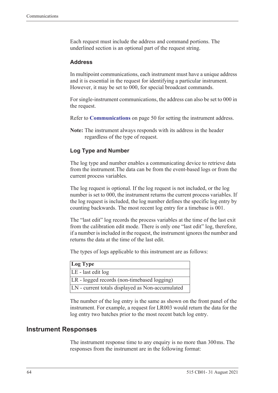Each request must include the address and command portions. The underlined section is an optional part of the request string.

#### <span id="page-73-0"></span>**Address**

In multipoint communications, each instrument must have a unique address and it is essential in the request for identifying a particular instrument. However, it may be set to 000, for special broadcast commands.

For single-instrument communications, the address can also be set to 000 in the request.

Refer to **[Communications](#page-59-0)** on page 50 for setting the instrument address.

**Note:** The instrument always responds with its address in the header regardless of the type of request.

#### **Log Type and Number**

The log type and number enables a communicating device to retrieve data from the instrument.The data can be from the event-based logs or from the current process variables.

The log request is optional. If the log request is not included, or the log number is set to 000, the instrument returns the current process variables. If the log request is included, the log number defines the specific log entry by counting backwards. The most recent log entry for a timebase is 001.

The "last edit" log records the process variables at the time of the last exit from the calibration edit mode. There is only one "last edit" log, therefore, if a number is included in the request, the instrument ignores the number and returns the data at the time of the last edit.

The types of logs applicable to this instrument are as follows:

| Log Type                                         |
|--------------------------------------------------|
| LE - last edit log                               |
| LR - logged records (non-timebased logging)      |
| LN - current totals displayed as Non-accumulated |

The number of the log entry is the same as shown on the front panel of the instrument. For example, a request for LR003 would return the data for the log entry two batches prior to the most recent batch log entry.

#### **Instrument Responses**

<span id="page-73-1"></span>The instrument response time to any enquiry is no more than 300 ms. The responses from the instrument are in the following format: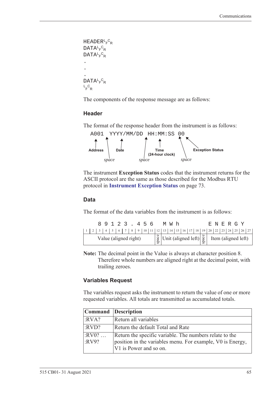```
HEADER<sup>L</sup>F<sup>C</sup>R
DATA<sup>L</sup>F<sup>C</sup>R
DATA<sup>L</sup>F<sup>C</sup>R
.
.
.
DATA<sup>L</sup>F<sup>C</sup>R
L_p^CR
```
The components of the response message are as follows:

#### **Header**

The format of the response header from the instrument is as follows:



<span id="page-74-0"></span>The instrument **Exception Status** codes that the instrument returns for the ASCII protocol are the same as those described for the Modbus RTU protocol in **[Instrument Exception Status](#page-82-0)** on page 73.

#### **Data**

The format of the data variables from the instrument is as follows:



**Note:** The decimal point in the Value is always at character position 8. Therefore whole numbers are aligned right at the decimal point, with trailing zeroes.

#### **Variables Request**

The variables request asks the instrument to return the value of one or more requested variables. All totals are transmitted as accumulated totals.

|                                      | <b>Command</b> Description                                                                                                                      |
|--------------------------------------|-------------------------------------------------------------------------------------------------------------------------------------------------|
| :RVA?                                | Return all variables                                                                                                                            |
| :RVD?                                | Return the default Total and Rate                                                                                                               |
| $\vert:\mathrm{RV}0? \dots$<br>:RV9? | Return the specific variable. The numbers relate to the<br>position in the variables menu. For example, V0 is Energy,<br>V1 is Power and so on. |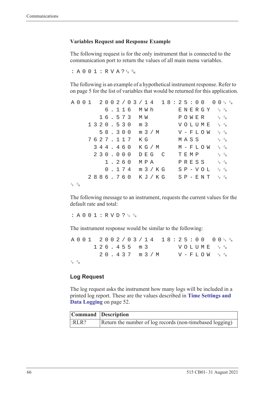#### **Variables Request and Response Example**

The following request is for the only instrument that is connected to the communication port to return the values of all main menu variables.

: A 0 0 1 : R V A ?  $L_F$   $C_R$ 

The following is an example of a hypothetical instrument response. Refer to on page 5 for the list of variables that would be returned for this application.

|             |  |  |  |         |  |                  |  |         | A001 2002/03/14 18:25:00 00 <sup>L</sup> F |  |         |  |                                               |  |                                   |  |
|-------------|--|--|--|---------|--|------------------|--|---------|--------------------------------------------|--|---------|--|-----------------------------------------------|--|-----------------------------------|--|
|             |  |  |  |         |  | 6.116 MWh        |  |         |                                            |  |         |  | $E N E R G Y \vdash c_R$                      |  |                                   |  |
|             |  |  |  |         |  | 16.573 MW        |  |         |                                            |  |         |  | POWER                                         |  | $L_{F}$ $C_{R}$                   |  |
|             |  |  |  |         |  | 1320.530 m3      |  |         |                                            |  |         |  | VOLUME <sup>L</sup> <sup>c</sup> <sub>R</sub> |  |                                   |  |
|             |  |  |  |         |  |                  |  |         | 58.300 m 3 / M V - F L O W $F_{R}^{c}$     |  |         |  |                                               |  |                                   |  |
|             |  |  |  |         |  | 7627.117 KG      |  |         |                                            |  | MASS    |  |                                               |  | $L_F$ $C_R$                       |  |
|             |  |  |  | 344.460 |  |                  |  |         | K G / M                                    |  |         |  | M – F L O W                                   |  | $L$ <sub>F</sub> $C$ <sub>R</sub> |  |
|             |  |  |  | 230.000 |  |                  |  | D E G C |                                            |  | T E M P |  |                                               |  | $L_{F}$ $C_{R}$                   |  |
|             |  |  |  | 1.260   |  | МРА              |  |         |                                            |  |         |  | PRESS                                         |  | $L_F$ $C_R$                       |  |
|             |  |  |  |         |  | $0.174$ m $3/KG$ |  |         |                                            |  |         |  | $S P - V O L$                                 |  | $L_{F}$ $C_{R}$                   |  |
|             |  |  |  |         |  |                  |  |         | 2886.760 KJ/KG SP-ENT                      |  |         |  |                                               |  | $L_{F}$ $C_{R}$                   |  |
| $L_F$ $C_R$ |  |  |  |         |  |                  |  |         |                                            |  |         |  |                                               |  |                                   |  |

The following message to an instrument, requests the current values for the default rate and total:

: A 0 0 1 : R V D ?  $L_F$   $C_R$ 

The instrument response would be similar to the following:

A001 2002/03/14 18:25:00 <sup>F</sup> <sup>C</sup> R 126.455 m3 VOLUME  $F$   $\circ$ <sub>R</sub> 20.437 m3/M V-FLOW <sup>L</sup>  $F$   $\circ$ <sub>R</sub> L <sup>F</sup> <sup>C</sup> R

#### **Log Request**

The log request asks the instrument how many logs will be included in a printed log report. These are the values described in **[Time Settings and](#page-61-0)  [Data Logging](#page-61-0)** on page 52.

|      | <b>Command Description</b>                               |
|------|----------------------------------------------------------|
| RLR? | Return the number of log records (non-timebased logging) |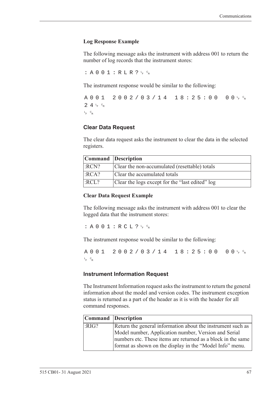#### **Log Response Example**

The following message asks the instrument with address 001 to return the number of log records that the instrument stores:

 $: A 0 0 1 : R L R ? \nvert R$ 

The instrument response would be similar to the following:

A001 2002/03/14 18:25:00 <sup>F</sup> <sup>C</sup> R  $24r$ <sub>F</sub>  $c_R$ L <sup>F</sup> <sup>C</sup> R

#### **Clear Data Request**

The clear data request asks the instrument to clear the data in the selected registers.

| Command Description |                                                 |
|---------------------|-------------------------------------------------|
| :RCN?               | Clear the non-accumulated (resettable) totals   |
| $ $ :RCA?           | Clear the accumulated totals                    |
| :RCL?               | Clear the logs except for the "last edited" log |

#### **Clear Data Request Example**

The following message asks the instrument with address 001 to clear the logged data that the instrument stores:

: A 0 0 1 : R C L ?  $L_F$   $c_R$ 

The instrument response would be similar to the following:

 $A001 2002/03/14 18:25:00$  $F$   $C_R$ L <sup>F</sup> <sup>C</sup> R

#### <span id="page-76-0"></span>**Instrument Information Request**

The Instrument Information request asks the instrument to return the general information about the model and version codes. The instrument exception status is returned as a part of the header as it is with the header for all command responses.

| Command Description |                                                              |
|---------------------|--------------------------------------------------------------|
| $\cdot$ :RIG?       | Return the general information about the instrument such as  |
|                     | Model number, Application number, Version and Serial         |
|                     | numbers etc. These items are returned as a block in the same |
|                     | format as shown on the display in the "Model Info" menu.     |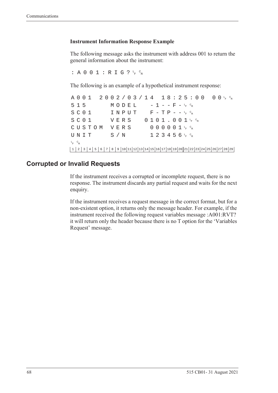#### **Instrument Information Response Example**

The following message asks the instrument with address 001 to return the general information about the instrument:

 $: A 0 0 1 : R I G ? \vdash c_R$ 

The following is an example of a hypothetical instrument response:

```
A001 2002/03/14 18:25:00
                                                                       F C
R
515 MODEL -1--F-<sup>L</sup>F<sup>C</sup>R
S C O 1 I N P U T F - T P - - <sup>L</sup><sub>F</sub> <sup>C</sup>R
S C 0 1 \, V E R S \, 0 1 0 1 \, L \, C \, C \, V E R S \, 0 1 0 1 \, L \, C \, C \,CUSTOM VERS
                                                     F \circR
\texttt{UNIT} S/N 123456<sup>L</sup><sub>F</sub> \texttt{C}_{\texttt{R}}L
F C
R
1 2 3 4 5 6 7 8 9 10 11 12 13 14 15 16 17 18 19 20 21 22 23 24 25 26 27 28 29
```
#### **Corrupted or Invalid Requests**

If the instrument receives a corrupted or incomplete request, there is no response. The instrument discards any partial request and waits for the next enquiry.

If the instrument receives a request message in the correct format, but for a non-existent option, it returns only the message header. For example, if the instrument received the following request variables message :A001:RVT? it will return only the header because there is no T option for the 'Variables Request' message.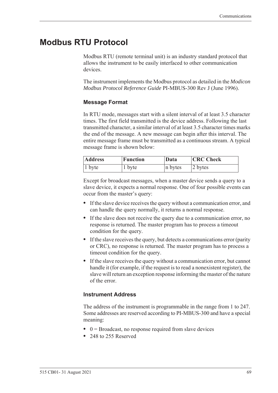### **Modbus RTU Protocol**

<span id="page-78-0"></span>Modbus RTU (remote terminal unit) is an industry standard protocol that allows the instrument to be easily interfaced to other communication devices.

The instrument implements the Modbus protocol as detailed in the *Modicon Modbus Protocol Reference Guide* PI-MBUS-300 Rev J (June 1996).

#### **Message Format**

In RTU mode, messages start with a silent interval of at least 3.5 character times. The first field transmitted is the device address. Following the last transmitted character, a similar interval of at least 3.5 character times marks the end of the message. A new message can begin after this interval. The entire message frame must be transmitted as a continuous stream. A typical message frame is shown below:

| <b>Address</b> | <b>Function</b> | Data    | <b>CRC</b> Check |
|----------------|-----------------|---------|------------------|
| $ 1$ byte      | 1 byte          | n bytes | 2 bytes          |

Except for broadcast messages, when a master device sends a query to a slave device, it expects a normal response. One of four possible events can occur from the master's query:

- **•** If the slave device receives the query without a communication error, and can handle the query normally, it returns a normal response.
- **•** If the slave does not receive the query due to a communication error, no response is returned. The master program has to process a timeout condition for the query.
- **•** If the slave receives the query, but detects a communications error (parity or CRC), no response is returned. The master program has to process a timeout condition for the query.
- **•** If the slave receives the query without a communication error, but cannot handle it (for example, if the request is to read a nonexistent register), the slave will return an exception response informing the master of the nature of the error.

#### **Instrument Address**

The address of the instrument is programmable in the range from 1 to 247. Some addresses are reserved according to PI-MBUS-300 and have a special meaning:

- 0 = Broadcast, no response required from slave devices
- **•** 248 to 255 Reserved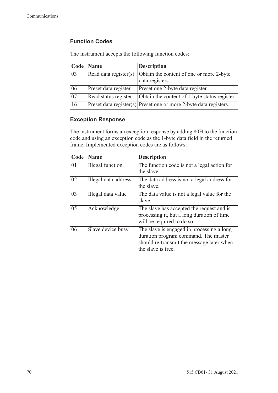#### **Function Codes**

| Code            | <b>Name</b>           | <b>Description</b>                                                    |
|-----------------|-----------------------|-----------------------------------------------------------------------|
| 03              | Read data register(s) | Obtain the content of one or more 2-byte<br>data registers.           |
| 06              | Preset data register  | Preset one 2-byte data register.                                      |
| $\overline{07}$ | Read status register  | Obtain the content of 1-byte status register.                         |
| 16              |                       | $ $ Preset data register(s) Preset one or more 2-byte data registers. |

The instrument accepts the following function codes:

#### **Exception Response**

The instrument forms an exception response by adding 80H to the function code and using an exception code as the 1-byte data field in the returned frame. Implemented exception codes are as follows:

| Code | <b>Name</b>             | <b>Description</b>                                                                                                                                   |
|------|-------------------------|------------------------------------------------------------------------------------------------------------------------------------------------------|
| 01   | <b>Illegal</b> function | The function code is not a legal action for<br>the slave.                                                                                            |
| 02   | Illegal data address    | The data address is not a legal address for<br>the slave.                                                                                            |
| 03   | Illegal data value      | The data value is not a legal value for the<br>slave.                                                                                                |
| 05   | Acknowledge             | The slave has accepted the request and is<br>processing it, but a long duration of time<br>will be required to do so.                                |
| 06   | Slave device busy       | The slave is engaged in processing a long<br>duration program command. The master<br>should re-transmit the message later when<br>the slave is free. |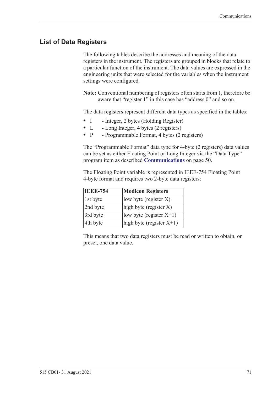#### **List of Data Registers**

The following tables describe the addresses and meaning of the data registers in the instrument. The registers are grouped in blocks that relate to a particular function of the instrument. The data values are expressed in the engineering units that were selected for the variables when the instrument settings were configured.

**Note:** Conventional numbering of registers often starts from 1, therefore be aware that "register 1" in this case has "address 0" and so on.

The data registers represent different data types as specified in the tables:

- I Integer, 2 bytes (Holding Register)
- L Long Integer, 4 bytes (2 registers)
- P Programmable Format, 4 bytes (2 registers)

The "Programmable Format" data type for 4-byte (2 registers) data values can be set as either Floating Point or Long Integer via the "Data Type" program item as described **[Communications](#page-59-0)** on page 50.

The Floating Point variable is represented in IEEE-754 Floating Point 4-byte format and requires two 2-byte data registers:

| <b>IEEE-754</b> | <b>Modicon Registers</b>                       |
|-----------------|------------------------------------------------|
| 1st byte        | low byte (register $X$ )                       |
| 2nd byte        | $\left  \text{high byte (register X)} \right $ |
| 3rd byte        | low byte (register $X+1$ )                     |
| 4th byte        | high byte (register $X+1$ )                    |

This means that two data registers must be read or written to obtain, or preset, one data value.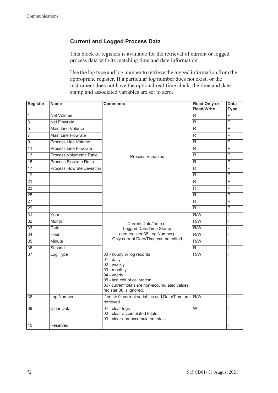#### **Current and Logged Process Data**

This block of registers is available for the retrieval of current or logged process data with its matching time and date information.

Use the log type and log number to retrieve the logged information from the appropriate register. If a particular log number does not exist, or the instrument does not have the optional real-time clock, the time and date stamp and associated variables are set to zero.

| Register        | <b>Name</b>                       | <b>Comments</b>                                                                                                                                                                                                | <b>Read Only or</b><br><b>Read/Write</b> | <b>Data</b><br><b>Type</b> |
|-----------------|-----------------------------------|----------------------------------------------------------------------------------------------------------------------------------------------------------------------------------------------------------------|------------------------------------------|----------------------------|
| $\overline{1}$  | <b>Net Volume</b>                 |                                                                                                                                                                                                                | R                                        | $\overline{\mathsf{P}}$    |
| $\overline{3}$  | Net Flowrate                      |                                                                                                                                                                                                                | R                                        | $\overline{\mathsf{P}}$    |
| $\overline{5}$  | Main Line Volume                  |                                                                                                                                                                                                                | R.                                       | $\overline{P}$             |
| $\overline{7}$  | Main Line Flowrate                |                                                                                                                                                                                                                | R                                        | $\overline{\mathsf{P}}$    |
| $\overline{9}$  | <b>Process Line Volume</b>        |                                                                                                                                                                                                                | R                                        | P                          |
| $\overline{11}$ | <b>Process Line Flowrate</b>      |                                                                                                                                                                                                                | R                                        | P                          |
| $\overline{13}$ | Process Volumetric Ratio          | <b>Process Variables</b>                                                                                                                                                                                       | $\overline{\mathsf{R}}$                  | P                          |
| 15              | Process Flowrate Ratio            |                                                                                                                                                                                                                | R                                        | $\overline{\mathsf{P}}$    |
| $\overline{17}$ | <b>Process Flowrate Deviation</b> |                                                                                                                                                                                                                | R                                        | $\overline{P}$             |
| $\overline{19}$ |                                   |                                                                                                                                                                                                                | R                                        | $\overline{P}$             |
| $\overline{21}$ |                                   |                                                                                                                                                                                                                | R.                                       | $\overline{P}$             |
| $\overline{23}$ |                                   |                                                                                                                                                                                                                | R.                                       | $\overline{\mathsf{P}}$    |
| $\overline{25}$ |                                   |                                                                                                                                                                                                                | R                                        | P                          |
| $\overline{27}$ |                                   |                                                                                                                                                                                                                | R                                        | $\overline{P}$             |
| $\overline{29}$ |                                   |                                                                                                                                                                                                                | R.                                       | $\overline{P}$             |
| $\overline{31}$ | Year                              |                                                                                                                                                                                                                | R/W                                      | $\overline{1}$             |
| $\overline{32}$ | Month                             | Current Date/Time or                                                                                                                                                                                           | $\overline{R/W}$                         | $\overline{\phantom{a}}$   |
| $\overline{33}$ | Date                              | Logged Date/Time Stamp                                                                                                                                                                                         | $\overline{R/W}$                         | $\overline{\phantom{a}}$   |
| $\overline{34}$ | Hour                              | (see register 38 Log Number).                                                                                                                                                                                  | R/W                                      | $\overline{\phantom{a}}$   |
| $\overline{35}$ | Minute                            | Only current Date/Time can be edited                                                                                                                                                                           | R/W                                      | $\overline{\phantom{a}}$   |
| $\overline{36}$ | Second                            |                                                                                                                                                                                                                | $\overline{\mathsf{R}}$                  | $\overline{1}$             |
| $\overline{37}$ | Log Type                          | 00 - hourly or log records<br>$01 - \text{daily}$<br>02 - weekly<br>03 - monthly<br>04 - yearly<br>05 - last edit of calibration<br>06 - current totals are non-accumulated values,<br>register 38 is ignored. | R/W                                      | I                          |
| $\overline{38}$ | Log Number                        | If set to 0, current variables and Date/Time are<br>retrieved                                                                                                                                                  | $\overline{R/W}$                         | $\overline{\phantom{a}}$   |
| 39              | <b>Clear Data</b>                 | 01 - clear logs<br>02 - clear accumulated totals<br>03 - clear non-accumulated totals                                                                                                                          | $\overline{W}$                           | ı                          |
| 40              | Reserved                          |                                                                                                                                                                                                                |                                          | ı                          |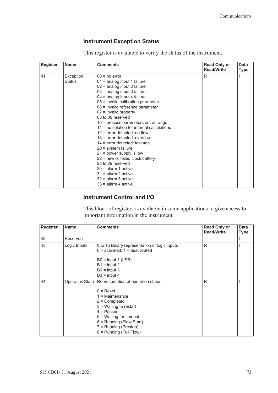#### <span id="page-82-1"></span><span id="page-82-0"></span>**Instrument Exception Status**

This register is available to verify the status of the instrument.

| <b>Register</b> | <b>Name</b>   | <b>Comments</b>                            | <b>Read Only or</b><br><b>Read/Write</b> | <b>Data</b><br><b>Type</b> |
|-----------------|---------------|--------------------------------------------|------------------------------------------|----------------------------|
| 41              | Exception     | $00 = no error$                            | R                                        |                            |
|                 | <b>Status</b> | $01$ = analog input 1 failure              |                                          |                            |
|                 |               | 02 = analog input 2 failure                |                                          |                            |
|                 |               | 03 = analog input 3 failure                |                                          |                            |
|                 |               | 04 = analog input 4 failure                |                                          |                            |
|                 |               | 05 = invalid calibration parameter         |                                          |                            |
|                 |               | 06 = invalid reference parameter           |                                          |                            |
|                 |               | $07$ = invalid property                    |                                          |                            |
|                 |               | 08 to 09 reserved                          |                                          |                            |
|                 |               | $10$ = process parameters out of range     |                                          |                            |
|                 |               | 11 = no solution for internal calculations |                                          |                            |
|                 |               | $12$ = error detected: no flow             |                                          |                            |
|                 |               | $13$ = error detected: overflow            |                                          |                            |
|                 |               | $14$ = error detected: leakage             |                                          |                            |
|                 |               | $20 =$ system failure                      |                                          |                            |
|                 |               | $21$ = power supply is low                 |                                          |                            |
|                 |               | $22$ = new or failed clock battery         |                                          |                            |
|                 |               | 23 to 29 reserved                          |                                          |                            |
|                 |               | $30 =$ alarm 1 active                      |                                          |                            |
|                 |               | $31$ = alarm 2 active                      |                                          |                            |
|                 |               | $32$ = alarm 3 active                      |                                          |                            |
|                 |               | $33$ = alarm 4 active                      |                                          |                            |

#### **Instrument Control and I/O**

This block of registers is available in some applications to give access to important information in the instrument.

| <b>Register</b> | <b>Name</b>  | <b>Comments</b>                                                                                                                                                                                                                                                      | <b>Read Only or</b><br><b>Read/Write</b> | <b>Data</b><br><b>Type</b> |
|-----------------|--------------|----------------------------------------------------------------------------------------------------------------------------------------------------------------------------------------------------------------------------------------------------------------------|------------------------------------------|----------------------------|
| 42              | Reserved     |                                                                                                                                                                                                                                                                      |                                          |                            |
| 43              | Logic Inputs | 0 to 15 Binary representation of logic inputs<br>$0 =$ activated; $1 =$ deactivated<br>$B0 = input 1 (LSB)$<br>$B1 = input 2$<br>$B2 = input 3$<br>$B3 = input 4$                                                                                                    | R                                        |                            |
| 44              |              | Operation State   Representation of operation status<br>$0 =$ Reset<br>1 = Maintenance<br>$2 =$ Completed<br>$3$ = Waiting to restart<br>$4 =$ Paused<br>5 = Waiting for timeout<br>$6$ = Running (Slow Start)<br>7 = Running (Prestop)<br>$8$ = Running (Full Flow) | R                                        |                            |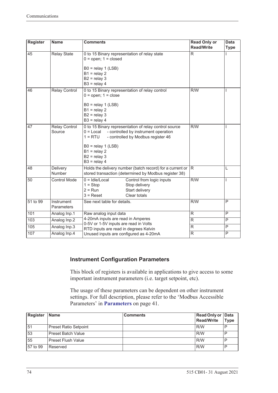| <b>Register</b> | <b>Name</b>                     | <b>Comments</b>                                                                                                                                                                                                                               | <b>Read Only or</b><br><b>Read/Write</b> | <b>Data</b><br><b>Type</b> |  |
|-----------------|---------------------------------|-----------------------------------------------------------------------------------------------------------------------------------------------------------------------------------------------------------------------------------------------|------------------------------------------|----------------------------|--|
| 45              | <b>Relay State</b>              | 0 to 15 Binary representation of relay state<br>$0 =$ open; $1 =$ closed<br>$B0 =$ relay 1 (LSB)<br>$B1$ = relay 2<br>$B2 =$ relay 3<br>$B3 =$ relay 4                                                                                        | R                                        |                            |  |
| 46              | <b>Relay Control</b>            | 0 to 15 Binary representation of relay control<br>$0 =$ open; $1 =$ close<br>$B0 =$ relay 1 (LSB)<br>$B1 =$ relay 2<br>$B2 =$ relay 3<br>$B3 =$ relay 4                                                                                       | R/W                                      |                            |  |
| 47              | <b>Relay Control</b><br>Source  | 0 to 15 Binary representation of relay control source<br>- controlled by instrument operation<br>$0 =$ Local<br>$1 = RTU$<br>- controlled by Modbus register 46<br>$B0 =$ relay 1 (LSB)<br>$B1 =$ relay 2<br>$B2 =$ relay 3<br>$B3 =$ relay 4 | R/W                                      | ı                          |  |
| 48              | Delivery<br>Number              | stored transaction (determined by Modbus register 38)                                                                                                                                                                                         |                                          | L                          |  |
| 50              | <b>Control Mode</b>             | $0 =$ Idle/Local<br>Control from logic inputs<br>$1 = Stop$<br>Stop delivery<br>$2 = Run$<br>Start delivery<br>Clear totals<br>$3 =$ Reset                                                                                                    | R/W                                      | ı                          |  |
| 51 to 99        | Instrument<br><b>Parameters</b> | See next table for details.                                                                                                                                                                                                                   | R/W                                      | P                          |  |
| 101             | Analog Inp.1                    | Raw analog input data                                                                                                                                                                                                                         | R                                        | P                          |  |
| 103             | Analog Inp.2                    |                                                                                                                                                                                                                                               | R                                        | P                          |  |
| 105             | Analog Inp.3                    | Holds the delivery number (batch record) for a current or $ R$<br>4-20mA inputs are read in Amperes<br>0-5V or 1-5V inputs are read in Volts<br>$\overline{R}$<br>RTD inputs are read in degrees Kelvin                                       |                                          |                            |  |
| 107             | Analog Inp.4                    | Unused inputs are configured as 4-20mA                                                                                                                                                                                                        | $\mathsf{R}$                             | $\overline{P}$             |  |

#### **Instrument Configuration Parameters**

This block of registers is available in applications to give access to some important instrument parameters (i.e. target setpoint, etc).

The usage of these parameters can be dependent on other instrument settings. For full description, please refer to the 'Modbus Accessible Parameters' in **[Parameters](#page-50-0)** on page 41.

| Register   Name |                           | <b>Comments</b> | Read Only or Data<br><b>Read/Write</b> | 'Type |
|-----------------|---------------------------|-----------------|----------------------------------------|-------|
| 51              | Preset Ratio Setpoint     |                 | R/W                                    | P     |
| $\overline{5}3$ | <b>Preset Batch Value</b> |                 | R/W                                    | D     |
| 55              | <b>Preset Flush Value</b> |                 | R/W                                    | D     |
| 57 to 99        | Reserved                  |                 | R/W                                    | D     |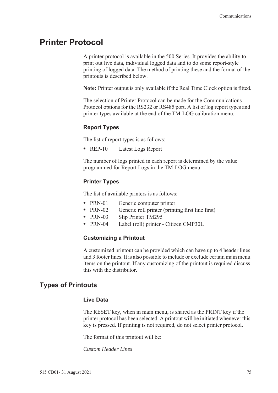### <span id="page-84-0"></span>**Printer Protocol**

<span id="page-84-2"></span>A printer protocol is available in the 500 Series. It provides the ability to print out live data, individual logged data and to do some report-style printing of logged data. The method of printing these and the format of the printouts is described below.

**Note:** Printer output is only available if the Real Time Clock option is fitted.

The selection of Printer Protocol can be made for the Communications Protocol options for the RS232 or RS485 port. A list of log report types and printer types available at the end of the TM-LOG calibration menu.

#### <span id="page-84-3"></span>**Report Types**

The list of report types is as follows:

**•** REP-10 Latest Logs Report

The number of logs printed in each report is determined by the value programmed for Report Logs in the TM-LOG menu.

#### <span id="page-84-4"></span>**Printer Types**

The list of available printers is as follows:

- PRN-01 Generic computer printer
- **•** PRN-02 Generic roll printer (printing first line first)
- **•** PRN-03 Slip Printer TM295
- **•** PRN-04 Label (roll) printer Citizen CMP30L

#### <span id="page-84-1"></span>**Customizing a Printout**

A customized printout can be provided which can have up to 4 header lines and 3 footer lines. It is also possible to include or exclude certain main menu items on the printout. If any customizing of the printout is required discuss this with the distributor.

#### <span id="page-84-6"></span>**Types of Printouts**

#### <span id="page-84-5"></span>**Live Data**

The RESET key, when in main menu, is shared as the PRINT key if the printer protocol has been selected. A printout will be initiated whenever this key is pressed. If printing is not required, do not select printer protocol.

The format of this printout will be:

*Custom Header Lines*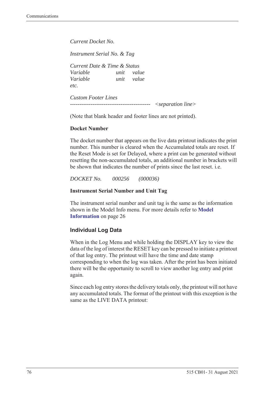*Current Docket No.* 

*Instrument Serial No. & Tag*

*Current Date & Time & Status Variable unit value Variable unit value etc.*

*Custom Footer Lines ------------------------------------------- <separation line>*

(Note that blank header and footer lines are not printed).

#### **Docket Number**

The docket number that appears on the live data printout indicates the print number. This number is cleared when the Accumulated totals are reset. If the Reset Mode is set for Delayed, where a print can be generated without resetting the non-accumulated totals, an additional number in brackets will be shown that indicates the number of prints since the last reset. i.e.

*DOCKET No. 000256 (000036)*

#### **Instrument Serial Number and Unit Tag**

The instrument serial number and unit tag is the same as the information shown in the Model Info menu. For more details refer to **[Model](#page-35-0)  [Information](#page-35-0)** on page 26

#### <span id="page-85-0"></span>**Individual Log Data**

When in the Log Menu and while holding the DISPLAY key to view the data of the log of interest the RESET key can be pressed to initiate a printout of that log entry. The printout will have the time and date stamp corresponding to when the log was taken. After the print has been initiated there will be the opportunity to scroll to view another log entry and print again.

Since each log entry stores the delivery totals only, the printout will not have any accumulated totals. The format of the printout with this exception is the same as the LIVE DATA printout: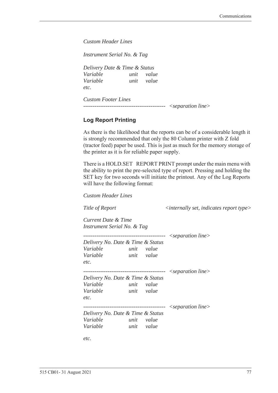*Custom Header Lines*

*Instrument Serial No. & Tag*

*Delivery Date & Time & Status Variable unit value Variable unit value etc.*

*Custom Footer Lines -------------------------------------------- <separation line>*

#### <span id="page-86-0"></span>**Log Report Printing**

As there is the likelihood that the reports can be of a considerable length it is strongly recommended that only the 80 Column printer with Z fold (tractor feed) paper be used. This is just as much for the memory storage of the printer as it is for reliable paper supply.

There is a HOLD.SET REPORT PRINT prompt under the main menu with the ability to print the pre-selected type of report. Pressing and holding the SET key for two seconds will initiate the printout. Any of the Log Reports will have the following format:

*Custom Header Lines Title of Report*  $\leq$  *internally set, indicates report type> Current Date & Time Instrument Serial No. & Tag -------------------------------------------- <separation line> Delivery No. Date & Time & Status Variable unit value Variable unit value etc. -------------------------------------------- <separation line> Delivery No. Date & Time & Status Variable unit value Variable unit value etc. -------------------------------------------- <separation line> Delivery No. Date & Time & Status Variable unit value Variable unit value*

*etc.*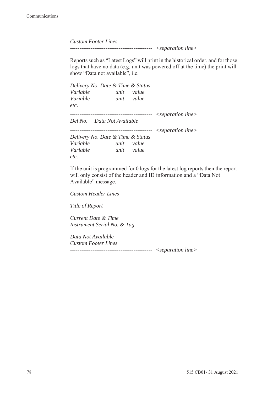*Custom Footer Lines* 

*-------------------------------------------- <separation line>*

Reports such as "Latest Logs" will print in the historical order, and for those logs that have no data (e.g. unit was powered off at the time) the print will show "Data not available", i.e.

*Delivery No. Date & Time & Status Variable unit value Variable unit value etc. -------------------------------------------- <separation line> Del No. Data Not Available -------------------------------------------- <separation line> Delivery No. Date & Time & Status Variable unit value Variable unit value etc.*

If the unit is programmed for 0 logs for the latest log reports then the report will only consist of the header and ID information and a "Data Not Available" message.

*Custom Header Lines*

*Title of Report*

*Current Date & Time Instrument Serial No. & Tag*

*Data Not Available Custom Footer Lines -------------------------------------------- <separation line>*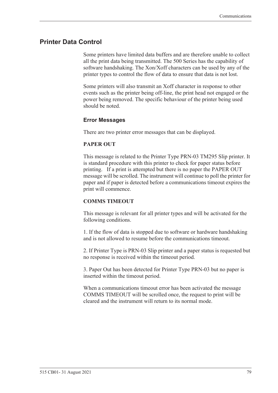#### <span id="page-88-0"></span>**Printer Data Control**

Some printers have limited data buffers and are therefore unable to collect all the print data being transmitted. The 500 Series has the capability of software handshaking. The Xon/Xoff characters can be used by any of the printer types to control the flow of data to ensure that data is not lost.

Some printers will also transmit an Xoff character in response to other events such as the printer being off-line, the print head not engaged or the power being removed. The specific behaviour of the printer being used should be noted.

#### <span id="page-88-1"></span>**Error Messages**

There are two printer error messages that can be displayed.

#### **PAPER OUT**

This message is related to the Printer Type PRN-03 TM295 Slip printer. It is standard procedure with this printer to check for paper status before printing. If a print is attempted but there is no paper the PAPER OUT message will be scrolled. The instrument will continue to poll the printer for paper and if paper is detected before a communications timeout expires the print will commence.

#### **COMMS TIMEOUT**

This message is relevant for all printer types and will be activated for the following conditions.

1. If the flow of data is stopped due to software or hardware handshaking and is not allowed to resume before the communications timeout.

2. If Printer Type is PRN-03 Slip printer and a paper status is requested but no response is received within the timeout period.

3. Paper Out has been detected for Printer Type PRN-03 but no paper is inserted within the timeout period.

When a communications timeout error has been activated the message COMMS TIMEOUT will be scrolled once, the request to print will be cleared and the instrument will return to its normal mode.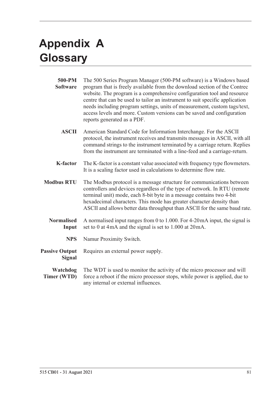# <span id="page-90-1"></span>**Appendix A Glossary**

<span id="page-90-0"></span>

| 500-PM<br><b>Software</b>              | The 500 Series Program Manager (500-PM software) is a Windows based<br>program that is freely available from the download section of the Contrec<br>website. The program is a comprehensive configuration tool and resource<br>centre that can be used to tailor an instrument to suit specific application<br>needs including program settings, units of measurement, custom tags/text,<br>access levels and more. Custom versions can be saved and configuration<br>reports generated as a PDF. |
|----------------------------------------|---------------------------------------------------------------------------------------------------------------------------------------------------------------------------------------------------------------------------------------------------------------------------------------------------------------------------------------------------------------------------------------------------------------------------------------------------------------------------------------------------|
| <b>ASCII</b>                           | American Standard Code for Information Interchange. For the ASCII<br>protocol, the instrument receives and transmits messages in ASCII, with all<br>command strings to the instrument terminated by a carriage return. Replies<br>from the instrument are terminated with a line-feed and a carriage-return.                                                                                                                                                                                      |
| <b>K-factor</b>                        | The K-factor is a constant value associated with frequency type flowmeters.<br>It is a scaling factor used in calculations to determine flow rate.                                                                                                                                                                                                                                                                                                                                                |
| <b>Modbus RTU</b>                      | The Modbus protocol is a message structure for communications between<br>controllers and devices regardless of the type of network. In RTU (remote<br>terminal unit) mode, each 8-bit byte in a message contains two 4-bit<br>hexadecimal characters. This mode has greater character density than<br>ASCII and allows better data throughput than ASCII for the same baud rate.                                                                                                                  |
| <b>Normalised</b><br>Input             | A normalised input ranges from 0 to 1.000. For 4-20 mA input, the signal is<br>set to 0 at 4mA and the signal is set to 1.000 at 20mA.                                                                                                                                                                                                                                                                                                                                                            |
| <b>NPS</b>                             | Namur Proximity Switch.                                                                                                                                                                                                                                                                                                                                                                                                                                                                           |
| <b>Passive Output</b><br><b>Signal</b> | Requires an external power supply.                                                                                                                                                                                                                                                                                                                                                                                                                                                                |
| Watchdog<br>Timer (WTD)                | The WDT is used to monitor the activity of the micro processor and will<br>force a reboot if the micro processor stops, while power is applied, due to<br>any internal or external influences.                                                                                                                                                                                                                                                                                                    |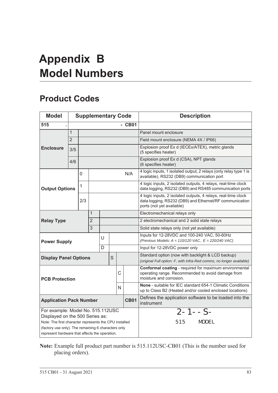# <span id="page-92-1"></span>**Appendix B Model Numbers**

### <span id="page-92-0"></span>**Product Codes**

| <b>Model</b>                                                                                          |                                               |     | <b>Supplementary Code</b> |                                                                                                                                        |   |                                                                      |         | <b>Description</b>                                                                                                                                    |
|-------------------------------------------------------------------------------------------------------|-----------------------------------------------|-----|---------------------------|----------------------------------------------------------------------------------------------------------------------------------------|---|----------------------------------------------------------------------|---------|-------------------------------------------------------------------------------------------------------------------------------------------------------|
| 515                                                                                                   |                                               |     |                           |                                                                                                                                        |   |                                                                      | $-CB01$ |                                                                                                                                                       |
|                                                                                                       | $\mathbf{1}$                                  |     |                           |                                                                                                                                        |   |                                                                      |         | Panel mount enclosure                                                                                                                                 |
|                                                                                                       | $\overline{2}$                                |     |                           |                                                                                                                                        |   |                                                                      |         | Field mount enclosure (NEMA 4X / IP66)                                                                                                                |
| <b>Enclosure</b>                                                                                      | 3/5                                           |     |                           |                                                                                                                                        |   |                                                                      |         | Explosion proof Ex d (IECEx/ATEX), metric glands<br>(5 specifies heater)                                                                              |
|                                                                                                       | 4/6                                           |     |                           |                                                                                                                                        |   |                                                                      |         | Explosion proof Ex d (CSA), NPT glands<br>(6 specifies heater)                                                                                        |
|                                                                                                       |                                               | 0   |                           |                                                                                                                                        |   |                                                                      | N/A     | 4 logic inputs, 1 isolated output, 2 relays (only relay type 1 is<br>available), RS232 (DB9) communication port                                       |
| <b>Output Options</b>                                                                                 |                                               | 1   |                           |                                                                                                                                        |   |                                                                      |         | 4 logic inputs, 2 isolated outputs, 4 relays, real-time clock<br>data logging, RS232 (DB9) and RS485 communication ports                              |
|                                                                                                       |                                               | 2/3 |                           |                                                                                                                                        |   |                                                                      |         | 4 logic inputs, 2 isolated outputs, 4 relays, real-time clock<br>data logging, RS232 (DB9) and Ethernet/RF communication<br>ports (not yet available) |
|                                                                                                       |                                               |     | 1                         |                                                                                                                                        |   |                                                                      |         | Electromechanical relays only                                                                                                                         |
| <b>Relay Type</b>                                                                                     |                                               |     | $\overline{2}$            |                                                                                                                                        |   |                                                                      |         | 2 electromechanical and 2 solid state relays                                                                                                          |
|                                                                                                       |                                               |     | 3                         |                                                                                                                                        |   |                                                                      |         | Solid state relays only (not yet available)                                                                                                           |
|                                                                                                       | U<br><b>Power Supply</b>                      |     |                           | Inputs for 12-28VDC and 100-240 VAC, 50-60Hz<br>(Previous Models: $A = 110/120$ VAC, $E = 220/240$ VAC)                                |   |                                                                      |         |                                                                                                                                                       |
|                                                                                                       |                                               |     |                           | D                                                                                                                                      |   |                                                                      |         | Input for 12-28VDC power only                                                                                                                         |
| <b>Display Panel Options</b>                                                                          |                                               |     |                           |                                                                                                                                        | S |                                                                      |         | Standard option (now with backlight & LCD backup)<br>(original Full option: F, with Infra-Red comms, no longer available)                             |
|                                                                                                       | C<br><b>PCB Protection</b>                    |     |                           | Conformal coating - required for maximum environmental<br>operating range. Recommended to avoid damage from<br>moisture and corrosion. |   |                                                                      |         |                                                                                                                                                       |
| N                                                                                                     |                                               |     |                           |                                                                                                                                        |   |                                                                      |         | None - suitable for IEC standard 654-1 Climatic Conditions<br>up to Class B2 (Heated and/or cooled enclosed locations)                                |
|                                                                                                       | <b>CB01</b><br><b>Application Pack Number</b> |     |                           |                                                                                                                                        |   | Defines the application software to be loaded into the<br>instrument |         |                                                                                                                                                       |
| For example: Model No. 515.112USC<br>Displayed on the 500 Series as:                                  |                                               |     |                           |                                                                                                                                        |   |                                                                      |         | $2 - 1 - -5 -$                                                                                                                                        |
| Note: The first character represents the CPU installed                                                |                                               |     |                           |                                                                                                                                        |   |                                                                      |         | 515<br><b>MODEL</b>                                                                                                                                   |
| (factory use only). The remaining 6 characters only<br>represent hardware that affects the operation. |                                               |     |                           |                                                                                                                                        |   |                                                                      |         |                                                                                                                                                       |

**Note:** Example full product part number is 515.112USC-CB01 (This is the number used for placing orders).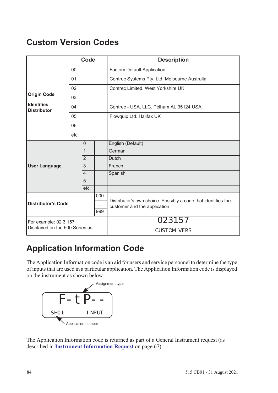### <span id="page-93-1"></span>**Custom Version Codes**

|                                         |        | Code                                                                                           | <b>Description</b>                            |
|-----------------------------------------|--------|------------------------------------------------------------------------------------------------|-----------------------------------------------|
|                                         | $00\,$ |                                                                                                | <b>Factory Default Application</b>            |
|                                         | 01     |                                                                                                | Contrec Systems Pty. Ltd. Melbourne Australia |
|                                         | 02     |                                                                                                | Contrec Limited, West Yorkshire UK            |
| <b>Origin Code</b>                      | 03     |                                                                                                |                                               |
| <b>Identifies</b><br><b>Distributor</b> | 04     |                                                                                                | Contrec - USA, LLC. Pelham AL 35124 USA       |
|                                         | 05     |                                                                                                | Flowquip Ltd. Halifax UK                      |
|                                         | 06     |                                                                                                |                                               |
|                                         | etc.   |                                                                                                |                                               |
|                                         |        | $\overline{0}$                                                                                 | English (Default)                             |
|                                         |        | $\mathbf{1}$                                                                                   | German                                        |
|                                         |        | $\overline{2}$                                                                                 | Dutch                                         |
| <b>User Language</b>                    |        | 3                                                                                              | French                                        |
|                                         |        | $\overline{4}$                                                                                 | Spanish                                       |
|                                         |        | $\overline{5}$                                                                                 |                                               |
|                                         |        | etc.                                                                                           |                                               |
|                                         | 000    |                                                                                                |                                               |
| <b>Distributor's Code</b><br>.<br>999   |        | Distributor's own choice. Possibly a code that identifies the<br>customer and the application. |                                               |
|                                         |        |                                                                                                |                                               |
| For example: 02 3 157                   |        |                                                                                                | 023157                                        |
| Displayed on the 500 Series as:         |        |                                                                                                | <b>CUSTOM VERS</b>                            |

### **Application Information Code**

The Application Information code is an aid for users and service personnel to determine the type of inputs that are used in a particular application. The Application Information code is displayed on the instrument as shown below.

<span id="page-93-0"></span>

The Application Information code is returned as part of a General Instrument request (as described in **[Instrument Information Request](#page-76-0)** on page 67).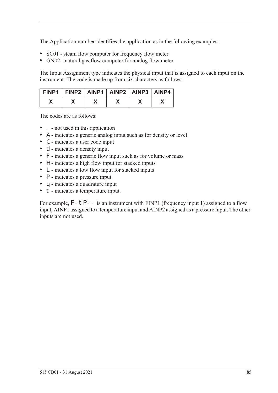The Application number identifies the application as in the following examples:

- **•** SC01 steam flow computer for frequency flow meter
- **•** GN02 natural gas flow computer for analog flow meter

The Input Assignment type indicates the physical input that is assigned to each input on the instrument. The code is made up from six characters as follows:

| FINP1   FINP2   AINP1   AINP2   AINP3   AINP4 |  |  |  |
|-----------------------------------------------|--|--|--|
|                                               |  |  |  |

The codes are as follows:

- - not used in this application
- **•** A indicates a generic analog input such as for density or level
- **•** C indicates a user code input
- d indicates a density input
- F indicates a generic flow input such as for volume or mass
- $\vdash$  indicates a high flow input for stacked inputs
- L indicates a low flow input for stacked inputs
- **•** P indicates a pressure input
- q indicates a quadrature input
- t indicates a temperature input.

For example,  $F - tP - -$  is an instrument with FINP1 (frequency input 1) assigned to a flow input, AINP1 assigned to a temperature input and AINP2 assigned as a pressure input. The other inputs are not used.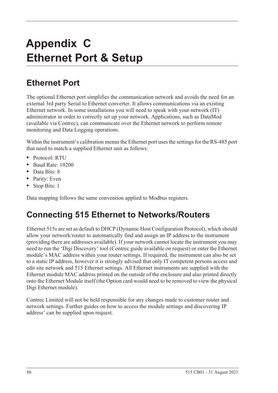# **Appendix C Ethernet Port & Setup**

## **Ethernet Port**

The optional Ethernet port simplifies the communication network and avoids the need for an external 3rd party Serial to Ethernet converter. It allows communications via an existing Ethernet network. In some installations you will need to speak with your network (IT) administrator in order to correctly set up your network. Applications, such as DataMod (available via Contrec), can communicate over the Ethernet network to perform remote monitoring and Data Logging operations.

Within the instrument's calibration menus the Ethernet port uses the settings for the RS-485 port that need to match a supplied Ethernet unit as follows:

- **•** Protocol: RTU
- **•** Baud Rate: 19200
- **•** Data Bits: 8
- **•** Parity: Even
- **•** Stop Bits: 1

Data mapping follows the same convention applied to Modbus registers.

## **Connecting 515 Ethernet to Networks/Routers**

Ethernet 515s are set as default to DHCP (Dynamic Host Configuration Protocol), which should allow your network/router to automatically find and assign an IP address to the instrument (providing there are addresses available). If your network cannot locate the instrument you may need to run the 'Digi Discovery' tool (Contrec guide available on request) or enter the Ethernet module's MAC address within your router settings. If required, the instrument can also be set to a static IP address, however it is strongly advised that only IT competent persons access and edit site network and 515 Ethernet settings. All Ethernet instruments are supplied with the Ethernet module MAC address printed on the outside of the enclosure and also printed directly onto the Ethernet Module itself (the Option card would need to be removed to view the physical Digi Ethernet module).

Contrec Limited will not be held responsible for any changes made to customer router and network settings. Further guides on how to access the module settings and discovering IP address' can be supplied upon request.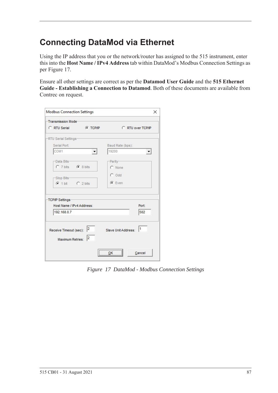### **Connecting DataMod via Ethernet**

Using the IP address that you or the network/router has assigned to the 515 instrument, enter this into the **Host Name / IPv4 Address** tab within DataMod's Modbus Connection Settings as per [Figure 17.](#page-96-0)

Ensure all other settings are correct as per the **Datamod User Guide** and the **515 Ethernet Guide - Establishing a Connection to Datamod**. Both of these documents are available from Contrec on request.

| Transmission Mode-        |                  |                     |                   |
|---------------------------|------------------|---------------------|-------------------|
| C RTU Serial              | <b>CONTINUES</b> |                     | C RTU over TCP/IP |
| RTU Serial Settings-      |                  |                     |                   |
| Serial Port:              |                  | Baud Rate (bps):    |                   |
| COM1                      |                  | 19200               |                   |
| -Data Bits-               |                  | -Parity-            |                   |
| C 7 bits C 8 bits         |                  | C None              |                   |
|                           |                  | $C$ Odd             |                   |
| Stop Bits-                |                  |                     |                   |
| $C$ 1 bit $C$ 2 bits      |                  | $G$ Even            |                   |
| TCP/IP Settings           |                  |                     |                   |
| Host Name / IPv4 Address: |                  |                     | Port:             |
| 192.168.0.7               |                  |                     | 502               |
|                           |                  |                     |                   |
| Receive Timeout (sec): 2  |                  | Slave Unit Address: | $\vert$ 1         |
| <b>Maximum Retries:</b>   | 12               |                     |                   |
|                           |                  |                     |                   |

<span id="page-96-0"></span>*Figure 17 DataMod - Modbus Connection Settings*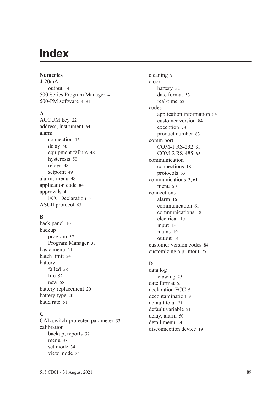# **Index**

#### **Numerics**

4-20mA output [14](#page-23-0) 500 Series Program Manage[r 4](#page-13-0) 500-PM software [4,](#page-13-0) [81](#page-90-0)

#### **A**

ACCUM ke[y 22](#page-31-0) address, instrumen[t 64](#page-73-0) alarm connection [16](#page-25-0) dela[y 50](#page-59-1) equipment failur[e 48](#page-57-0) hysteresi[s 50](#page-59-2) relays [48](#page-57-1) setpoin[t 49](#page-58-0) alarms menu [48](#page-57-2) application cod[e 84](#page-93-0) approvals [4](#page-13-1) FCC Declaration [5](#page-14-0) ASCII protoco[l 63](#page-72-0)

#### **B**

back panel [10](#page-19-0) backup program [37](#page-46-0) Program Manage[r 37](#page-46-1) basic men[u 24](#page-33-0) batch limit [24](#page-33-1) battery faile[d 58](#page-67-0) lif[e 52](#page-61-1) ne[w 58](#page-67-0) battery replacemen[t 20](#page-29-0) battery typ[e 20](#page-29-1) baud rat[e 51](#page-60-0)

### **C**

CAL switch-protected parameter [33](#page-42-0) calibration backup, report[s 37](#page-46-0) menu [38](#page-47-0) set mod[e 34](#page-43-0) view mod[e 34](#page-43-1)

cleaning [9](#page-18-0) clock batter[y 52](#page-61-1) date format [53](#page-62-0) real-tim[e 52](#page-61-2) codes application information [84](#page-93-0) customer versio[n 84](#page-93-1) exception [73](#page-82-1) product numbe[r 83](#page-92-0) comm port COM-1 RS-232 [61](#page-70-0) COM-2 RS-485 [62](#page-71-0) communication connection[s 18](#page-27-0) protocols [63](#page-72-1) communication[s 3,](#page-12-0) [61](#page-70-1) menu [50](#page-59-3) connections alar[m 16](#page-25-0) communication [61](#page-70-2) communication[s 18](#page-27-0) electrical [10](#page-19-1) input [13](#page-22-0) mains [19](#page-28-0) output [14](#page-23-1) customer version codes [84](#page-93-1) customizing a printout [75](#page-84-1)

### **D**

data log viewing [25](#page-34-0) date format [53](#page-62-0) declaration FCC [5](#page-14-0) decontamination [9](#page-18-0) default total [21](#page-30-0) default variable [21](#page-30-0) delay, alar[m 50](#page-59-1) detail men[u 24](#page-33-0) disconnection device [19](#page-28-1)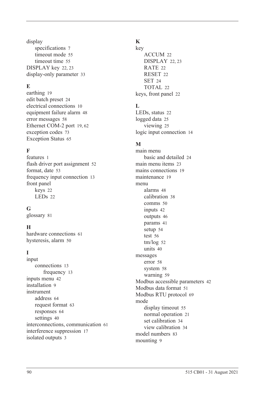display specifications [7](#page-16-0) timeout mod[e 55](#page-64-0) timeout time [55](#page-64-1) DISPLAY key [22,](#page-31-1) [23](#page-32-0) display-only parameter [33](#page-42-1)

#### **E**

earthin[g 19](#page-28-2) edit batch prese[t 24](#page-33-2) electrical connections [10](#page-19-1) equipment failure alarm [48](#page-57-0) error message[s 58](#page-67-1) Ethernet COM-2 por[t 19,](#page-28-3) [62](#page-71-1) exception codes [73](#page-82-1) Exception Status [65](#page-74-0)

#### **F**

features [1](#page-10-0) flash driver port assignmen[t 52](#page-61-3) format, date [53](#page-62-0) frequency input connection [13](#page-22-1) front panel keys [22](#page-31-2) LEDs [22](#page-31-3)

#### **G**

glossary [81](#page-90-1)

#### **H**

hardware connections [61](#page-70-2) hysteresis, alar[m 50](#page-59-2)

#### **I**

input connection[s 13](#page-22-0) frequency [13](#page-22-1) inputs menu [42](#page-51-0) installatio[n 9](#page-18-1) instrument address [64](#page-73-0) request forma[t 63](#page-72-2) response[s 64](#page-73-1) setting[s 40](#page-49-0) interconnections, communication [61](#page-70-2) interference suppression [17](#page-26-0) isolated output[s 3](#page-12-1)

#### **K**

```
key
   ACCUM 22
   DISPLAY 22, 23
   RATE 22
   RESET 22
   SET 24
   TOTAL 22
keys, front panel 22
```
#### **L**

LEDs, status [22](#page-31-3) logged dat[a 25](#page-34-0) viewin[g 25](#page-34-1) logic input connection [14](#page-23-2)

#### **M**

main menu basic and detailed [24](#page-33-0) main menu item[s 23](#page-32-1) mains connections [19](#page-28-0) maintenanc[e 19](#page-28-4) menu alarms [48](#page-57-2) calibration [38](#page-47-0) comm[s 50](#page-59-3) inputs [42](#page-51-0) outputs [46](#page-55-0) param[s 41](#page-50-1) setup [54](#page-63-0) tes[t 56](#page-65-0) tm/log [52](#page-61-4) units [40](#page-49-1) messages error [58](#page-67-1) system [58](#page-67-2) warning [59](#page-68-0) Modbus accessible parameter[s 42](#page-51-1) Modbus data format [51](#page-60-1) Modbus RTU protocol [69](#page-78-0) mode display timeout [55](#page-64-0) normal operation [21](#page-30-1) set calibratio[n 34](#page-43-0) view calibratio[n 34](#page-43-1) model numbers [83](#page-92-1) mounting [9](#page-18-2)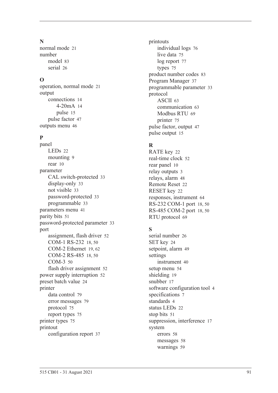normal mode [21](#page-30-1) number mode[l 83](#page-92-1) seria[l 26](#page-35-1)

#### **O**

operation, normal mod[e 21](#page-30-1) output connection[s 14](#page-23-1) 4-20m[A 14](#page-23-0) puls[e 15](#page-24-0) pulse facto[r 47](#page-56-0) outputs men[u 46](#page-55-0)

#### **P**

N<br>
Interactional mode 21<br>
montal mode 21<br>
model as the data 75<br>
model as the data 75<br>
consider a consider a superpose of the data 75<br>
consider a computation of the data 74<br>
equal model as the proposition of the state of t panel LED[s 22](#page-31-3) mountin[g 9](#page-18-2) rear [10](#page-19-0) parameter CAL switch-protecte[d 33](#page-42-0) display-onl[y 33](#page-42-1) not visibl[e 33](#page-42-2) password-protecte[d 33](#page-42-3) programmabl[e 33](#page-42-4) parameters men[u 41](#page-50-1) parity bit[s 51](#page-60-2) password-protected parameter [33](#page-42-3) port assignment, flash drive[r 52](#page-61-3) COM-1 RS-23[2 18,](#page-27-1) [50](#page-59-4) COM-2 Etherne[t 19,](#page-28-3) [62](#page-71-1) COM-2 RS-48[5 18,](#page-27-2) [50](#page-59-5) COM-[3 50](#page-59-6) flash driver assignmen[t 52](#page-61-3) power supply interruption [52](#page-61-1) preset batch value [24](#page-33-2) printer data contro[l 79](#page-88-0) error messages [79](#page-88-1) protoco[l 75](#page-84-2) report type[s 75](#page-84-3) printer type[s 75](#page-84-4) printout configuration repor[t 37](#page-46-2)

printouts individual logs [76](#page-85-0) live data [75](#page-84-5) log report [77](#page-86-0) type[s 75](#page-84-6) product number codes [83](#page-92-0) Program Manager [37](#page-46-1) programmable parameter [33](#page-42-4) protocol ASCI[I 63](#page-72-0) communication [63](#page-72-1) Modbus RT[U 69](#page-78-0) printer [75](#page-84-2) pulse factor, output [47](#page-56-0) pulse output [15](#page-24-0)

#### **R**

RATE key [22](#page-31-4) real-time cloc[k 52](#page-61-2) rear panel [10](#page-19-0) relay output[s 3](#page-12-2) relays, alarm [48](#page-57-1) Remote Reset [22](#page-31-7) RESET key [22](#page-31-5) responses, instrument [64](#page-73-1) RS-232 COM-1 por[t 18,](#page-27-1) [50](#page-59-4) RS-485 COM-2 por[t 18,](#page-27-2) [50](#page-59-5) RTU protocol [69](#page-78-0)

### **S**

serial number [26](#page-35-1) SET key [24](#page-33-3) setpoint, alar[m 49](#page-58-0) settings instrumen[t 40](#page-49-0) setup menu [54](#page-63-0) shielding [19](#page-28-2) snubber [17](#page-26-1) software configuration tool [4](#page-13-0) specifications [7](#page-16-1) standard[s 4](#page-13-1) status LED[s 22](#page-31-3) stop bit[s 51](#page-60-3) suppression, interference [17](#page-26-0) system errors [58](#page-67-1) message[s 58](#page-67-2) warnings [59](#page-68-0)